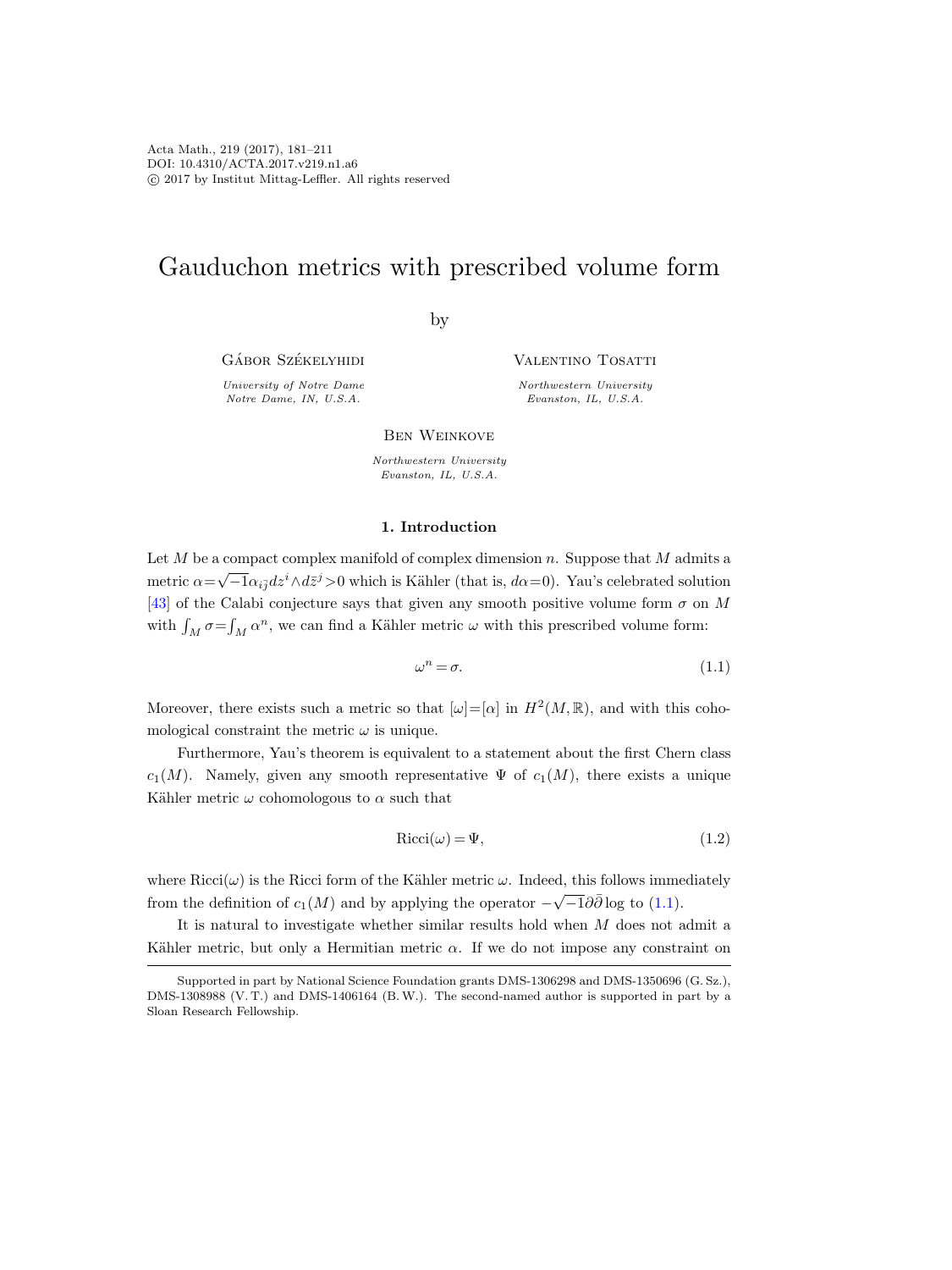# Gauduchon metrics with prescribed volume form

by

GÁBOR SZÉKELYHIDI

University of Notre Dame Notre Dame, IN, U.S.A.

Valentino Tosatti

Northwestern University Evanston, IL, U.S.A.

Ben Weinkove

Northwestern University Evanston, IL, U.S.A.

#### 1. Introduction

Let  $M$  be a compact complex manifold of complex dimension n. Suppose that  $M$  admits a metric  $\alpha = \sqrt{-1} \alpha_{i\bar{j}} dz^i \wedge d\bar{z}^j > 0$  which is Kähler (that is,  $d\alpha = 0$ ). Yau's celebrated solution [\[43\]](#page-30-0) of the Calabi conjecture says that given any smooth positive volume form  $\sigma$  on M with  $\int_M \sigma = \int_M \alpha^n$ , we can find a Kähler metric  $\omega$  with this prescribed volume form:

<span id="page-0-0"></span>
$$
\omega^n = \sigma. \tag{1.1}
$$

Moreover, there exists such a metric so that  $[\omega]=[\alpha]$  in  $H^2(M,\mathbb{R})$ , and with this cohomological constraint the metric  $\omega$  is unique.

Furthermore, Yau's theorem is equivalent to a statement about the first Chern class  $c_1(M)$ . Namely, given any smooth representative  $\Psi$  of  $c_1(M)$ , there exists a unique Kähler metric  $\omega$  cohomologous to  $\alpha$  such that

$$
Ricci(\omega) = \Psi,\tag{1.2}
$$

where  $Ricci(\omega)$  is the Ricci form of the Kähler metric  $\omega$ . Indeed, this follows immediately from the definition of  $c_1(M)$  and by applying the operator  $-\sqrt{-1}\partial\bar{\partial}$  log to [\(1.1\)](#page-0-0).

It is natural to investigate whether similar results hold when M does not admit a Kähler metric, but only a Hermitian metric  $\alpha$ . If we do not impose any constraint on

Supported in part by National Science Foundation grants DMS-1306298 and DMS-1350696 (G. Sz.), DMS-1308988 (V. T.) and DMS-1406164 (B.W.). The second-named author is supported in part by a Sloan Research Fellowship.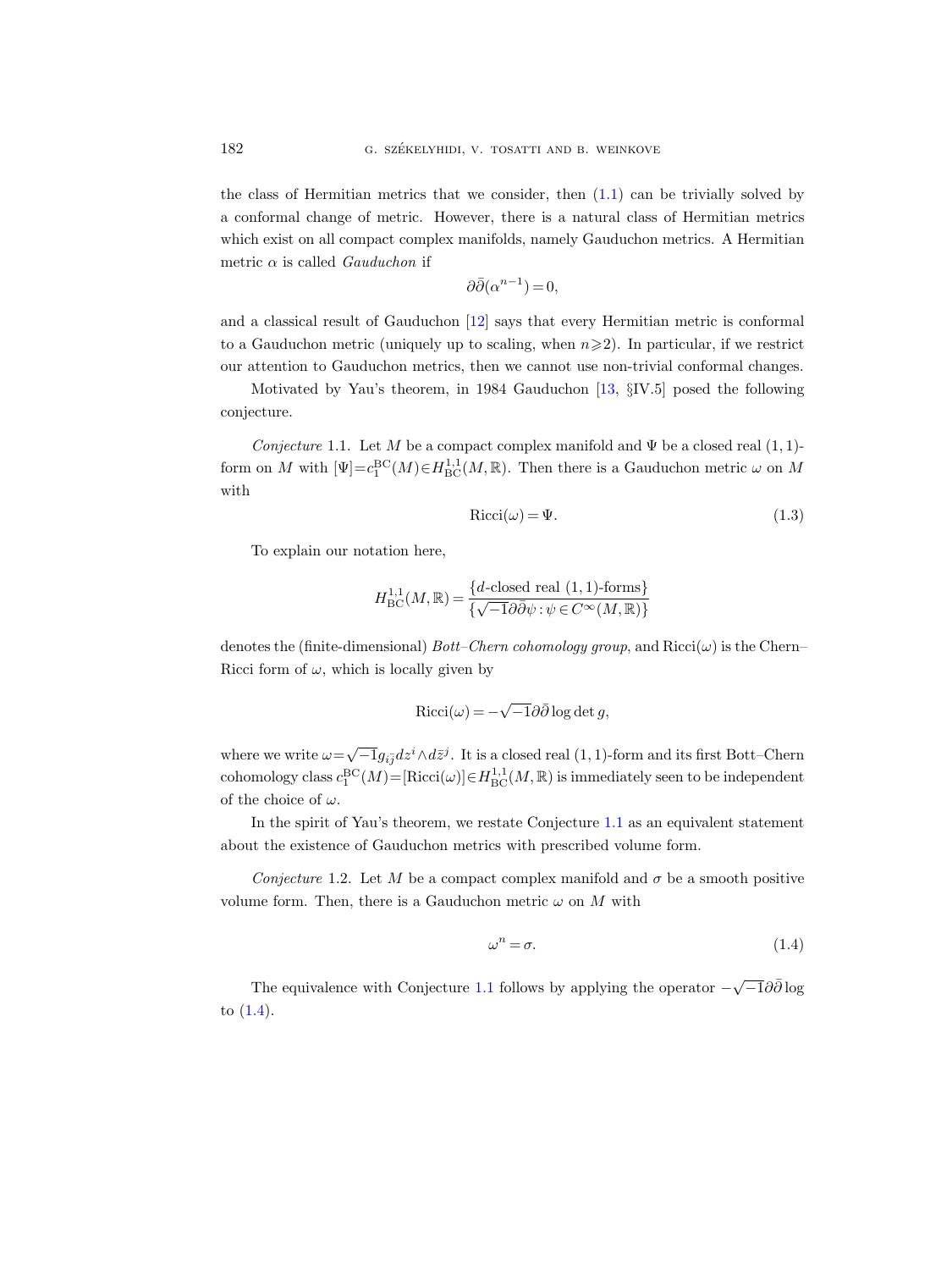the class of Hermitian metrics that we consider, then [\(1.1\)](#page-0-0) can be trivially solved by a conformal change of metric. However, there is a natural class of Hermitian metrics which exist on all compact complex manifolds, namely Gauduchon metrics. A Hermitian metric  $\alpha$  is called *Gauduchon* if

$$
\partial\bar{\partial}(\alpha^{n-1}) = 0,
$$

and a classical result of Gauduchon [\[12\]](#page-29-0) says that every Hermitian metric is conformal to a Gauduchon metric (uniquely up to scaling, when  $n\geqslant 2$ ). In particular, if we restrict our attention to Gauduchon metrics, then we cannot use non-trivial conformal changes.

Motivated by Yau's theorem, in 1984 Gauduchon [\[13,](#page-29-1) §IV.5] posed the following conjecture.

<span id="page-1-0"></span>Conjecture 1.1. Let M be a compact complex manifold and  $\Psi$  be a closed real (1, 1)form on M with  $[\Psi]=c_1^{\text{BC}}(M)\in H^{1,1}_{\text{BC}}(M,\mathbb{R})$ . Then there is a Gauduchon metric  $\omega$  on M with

<span id="page-1-3"></span>
$$
Ricci(\omega) = \Psi.
$$
\n(1.3)

To explain our notation here,

$$
H^{1,1}_{\mathrm{BC}}(M,\mathbb{R}) = \frac{\{d\text{-closed real } (1,1)\text{-forms}\}}{\{\sqrt{-1}\partial\bar{\partial}\psi : \psi \in C^{\infty}(M,\mathbb{R})\}}
$$

denotes the (finite-dimensional) Bott–Chern cohomology group, and  $Ricci(\omega)$  is the Chern– Ricci form of  $\omega$ , which is locally given by

$$
Ricci(\omega) = -\sqrt{-1}\partial\bar{\partial}\log\det g,
$$

where we write  $\omega = \sqrt{-1}g_{i\bar{j}}dz^i \wedge d\bar{z}^j$ . It is a closed real (1, 1)-form and its first Bott–Chern cohomology class  $c_1^{BC}(M) = [\text{Ricci}(\omega)] \in H^{1,1}_{BC}(M,\mathbb{R})$  is immediately seen to be independent of the choice of  $\omega$ .

In the spirit of Yau's theorem, we restate Conjecture [1.1](#page-1-0) as an equivalent statement about the existence of Gauduchon metrics with prescribed volume form.

<span id="page-1-2"></span>Conjecture 1.2. Let M be a compact complex manifold and  $\sigma$  be a smooth positive volume form. Then, there is a Gauduchon metric  $\omega$  on M with

<span id="page-1-1"></span>
$$
\omega^n = \sigma. \tag{1.4}
$$

The equivalence with Conjecture [1.1](#page-1-0) follows by applying the operator  $-\sqrt{-1}\partial\bar{\partial}\log$ to [\(1.4\)](#page-1-1).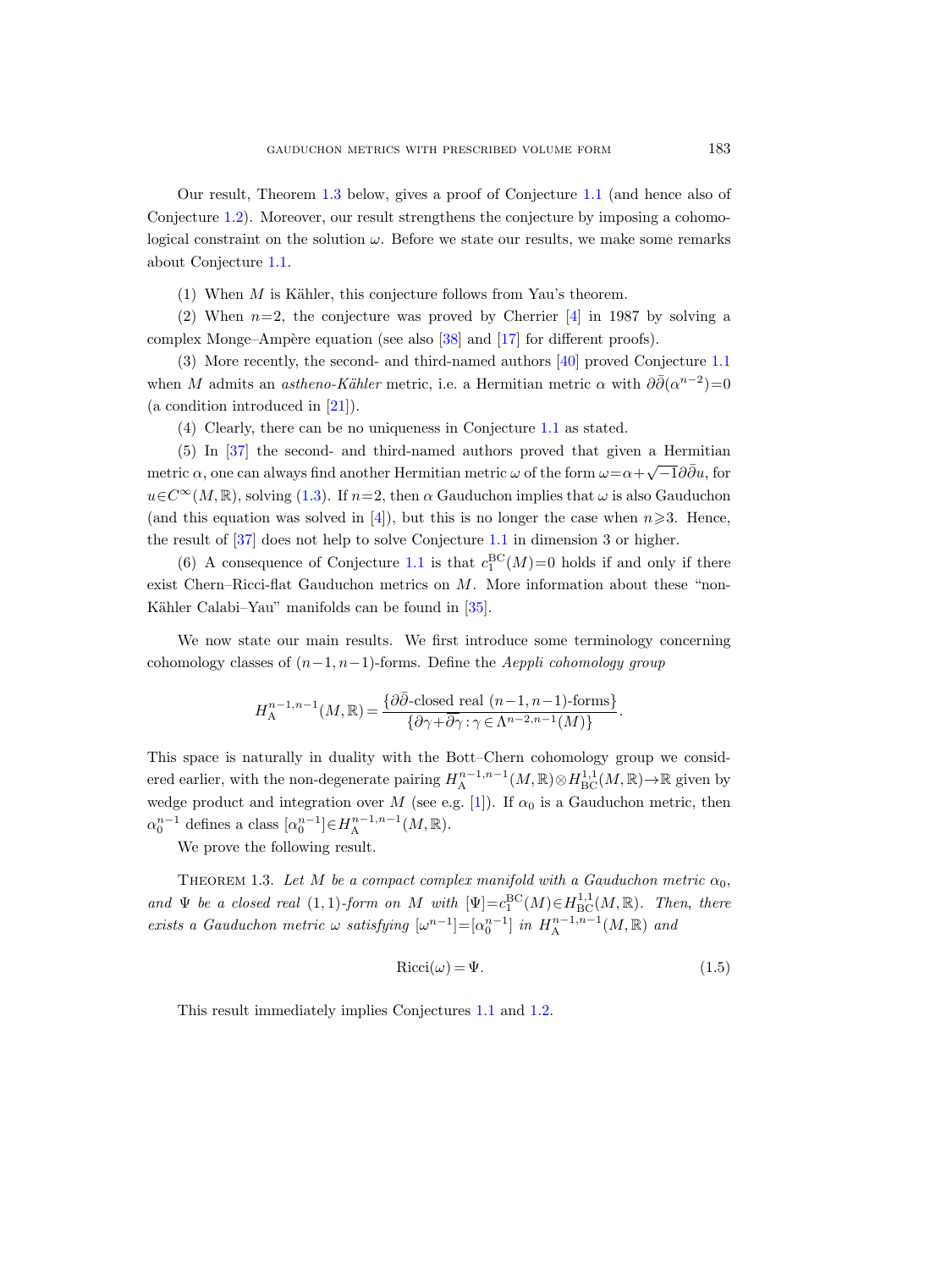Our result, Theorem [1.3](#page-2-0) below, gives a proof of Conjecture [1.1](#page-1-0) (and hence also of Conjecture [1.2\)](#page-1-2). Moreover, our result strengthens the conjecture by imposing a cohomological constraint on the solution  $\omega$ . Before we state our results, we make some remarks about Conjecture [1.1.](#page-1-0)

(1) When  $M$  is Kähler, this conjecture follows from Yau's theorem.

(2) When  $n=2$ , the conjecture was proved by Cherrier [\[4\]](#page-28-0) in 1987 by solving a complex Monge–Ampère equation (see also  $[38]$  and  $[17]$  for different proofs).

(3) More recently, the second- and third-named authors [\[40\]](#page-30-2) proved Conjecture [1.1](#page-1-0) when M admits an astheno-Kähler metric, i.e. a Hermitian metric  $\alpha$  with  $\partial \bar{\partial}(\alpha^{n-2})=0$ (a condition introduced in [\[21\]](#page-29-3)).

(4) Clearly, there can be no uniqueness in Conjecture [1.1](#page-1-0) as stated.

(5) In [\[37\]](#page-30-3) the second- and third-named authors proved that given a Hermitian metric  $\alpha$ , one can always find another Hermitian metric  $\omega$  of the form  $\omega = \alpha + \sqrt{-1}\partial\bar{\partial}u$ , for  $u \in C^{\infty}(M,\mathbb{R})$ , solving [\(1.3\)](#page-1-3). If  $n=2$ , then  $\alpha$  Gauduchon implies that  $\omega$  is also Gauduchon (and this equation was solved in [\[4\]](#page-28-0)), but this is no longer the case when  $n\geqslant 3$ . Hence, the result of [\[37\]](#page-30-3) does not help to solve Conjecture [1.1](#page-1-0) in dimension 3 or higher.

(6) A consequence of Conjecture [1.1](#page-1-0) is that  $c_1^{BC}(M)=0$  holds if and only if there exist Chern–Ricci-flat Gauduchon metrics on M. More information about these "non-Kähler Calabi–Yau" manifolds can be found in [\[35\]](#page-30-4).

We now state our main results. We first introduce some terminology concerning cohomology classes of  $(n-1, n-1)$ -forms. Define the Aeppli cohomology group

$$
H_{\mathcal{A}}^{n-1,n-1}(M,\mathbb{R}) = \frac{\{\partial \bar{\partial}\text{-closed real } (n-1,n-1)\text{-forms}\}}{\{\partial \gamma + \overline{\partial} \gamma : \gamma \in \Lambda^{n-2,n-1}(M)\}}.
$$

This space is naturally in duality with the Bott–Chern cohomology group we considered earlier, with the non-degenerate pairing  $H_{\rm A}^{n-1,n-1}(M,\mathbb{R})\otimes H_{\rm BC}^{1,1}(M,\mathbb{R})\to\mathbb{R}$  given by wedge product and integration over M (see e.g. [\[1\]](#page-28-1)). If  $\alpha_0$  is a Gauduchon metric, then  $\alpha_0^{n-1}$  defines a class  $[\alpha_0^{n-1}] \in H^{n-1,n-1}_{\mathcal{A}}(M,\mathbb{R}).$ 

We prove the following result.

<span id="page-2-0"></span>THEOREM 1.3. Let M be a compact complex manifold with a Gauduchon metric  $\alpha_0$ , and  $\Psi$  be a closed real (1, 1)-form on M with  $[\Psi]=c_1^{\text{BC}}(M)\in H_{\text{BC}}^{1,1}(M,\mathbb{R})$ . Then, there exists a Gauduchon metric  $\omega$  satisfying  $[\omega^{n-1}] = [\alpha_0^{n-1}]$  in  $H_{\rm A}^{n-1,n-1}(M,{\mathbb R})$  and

<span id="page-2-1"></span>
$$
Ricci(\omega) = \Psi.
$$
\n(1.5)

This result immediately implies Conjectures [1.1](#page-1-0) and [1.2.](#page-1-2)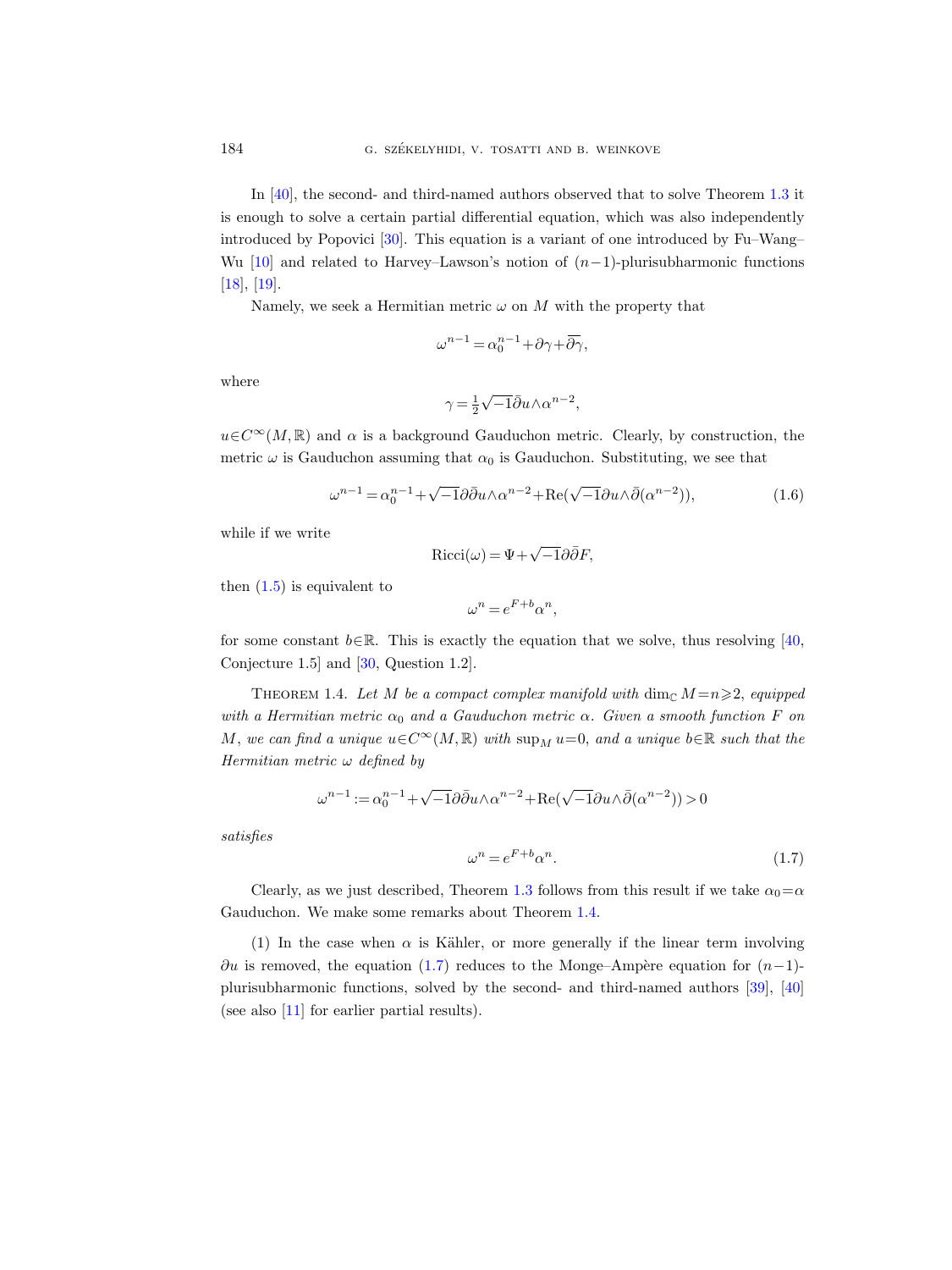In [\[40\]](#page-30-2), the second- and third-named authors observed that to solve Theorem [1.3](#page-2-0) it is enough to solve a certain partial differential equation, which was also independently introduced by Popovici [\[30\]](#page-29-4). This equation is a variant of one introduced by Fu–Wang– Wu [\[10\]](#page-28-2) and related to Harvey–Lawson's notion of  $(n-1)$ -plurisubharmonic functions [\[18\]](#page-29-5), [\[19\]](#page-29-6).

Namely, we seek a Hermitian metric  $\omega$  on M with the property that

$$
\omega^{n-1} = \alpha_0^{n-1} + \partial \gamma + \overline{\partial \gamma},
$$

where

$$
\gamma = \frac{1}{2}\sqrt{-1}\bar{\partial}u \wedge \alpha^{n-2},
$$

 $u\in\mathbb{C}^{\infty}(M,\mathbb{R})$  and  $\alpha$  is a background Gauduchon metric. Clearly, by construction, the metric  $\omega$  is Gauduchon assuming that  $\alpha_0$  is Gauduchon. Substituting, we see that

<span id="page-3-2"></span>
$$
\omega^{n-1} = \alpha_0^{n-1} + \sqrt{-1}\partial\bar{\partial}u \wedge \alpha^{n-2} + \text{Re}(\sqrt{-1}\partial u \wedge \bar{\partial}(\alpha^{n-2})),\tag{1.6}
$$

while if we write

$$
Ricci(\omega) = \Psi + \sqrt{-1}\partial \bar{\partial}F,
$$

then  $(1.5)$  is equivalent to

$$
\omega^n = e^{F+b} \alpha^n,
$$

for some constant  $b \in \mathbb{R}$ . This is exactly the equation that we solve, thus resolving [\[40,](#page-30-2) Conjecture 1.5] and [\[30,](#page-29-4) Question 1.2].

<span id="page-3-0"></span>THEOREM 1.4. Let M be a compact complex manifold with dim<sub>C</sub>  $M=n \geq 2$ , equipped with a Hermitian metric  $\alpha_0$  and a Gauduchon metric  $\alpha$ . Given a smooth function F on M, we can find a unique  $u \in C^{\infty}(M, \mathbb{R})$  with  $\sup_M u=0$ , and a unique  $b \in \mathbb{R}$  such that the Hermitian metric  $\omega$  defined by

$$
\omega^{n-1} := \alpha_0^{n-1} + \sqrt{-1} \partial \bar{\partial} u \wedge \alpha^{n-2} + \text{Re}(\sqrt{-1} \partial u \wedge \bar{\partial}(\alpha^{n-2})) > 0
$$

satisfies

<span id="page-3-1"></span>
$$
\omega^n = e^{F+b} \alpha^n. \tag{1.7}
$$

Clearly, as we just described, Theorem [1.3](#page-2-0) follows from this result if we take  $\alpha_0 = \alpha$ Gauduchon. We make some remarks about Theorem [1.4.](#page-3-0)

(1) In the case when  $\alpha$  is Kähler, or more generally if the linear term involving  $\partial u$  is removed, the equation [\(1.7\)](#page-3-1) reduces to the Monge–Ampère equation for  $(n-1)$ plurisubharmonic functions, solved by the second- and third-named authors [\[39\]](#page-30-5), [\[40\]](#page-30-2) (see also [\[11\]](#page-28-3) for earlier partial results).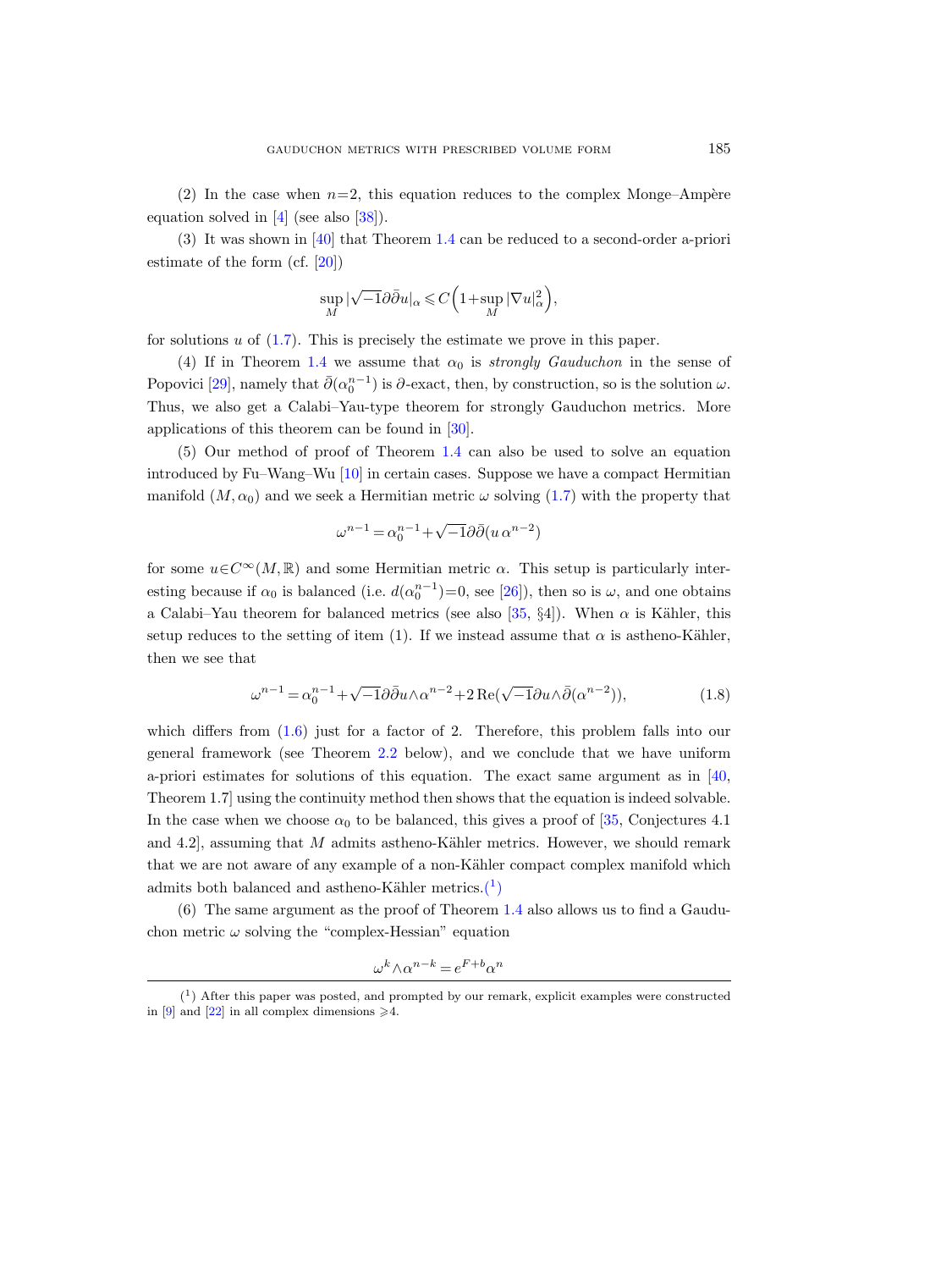(2) In the case when  $n=2$ , this equation reduces to the complex Monge–Ampère equation solved in  $[4]$  (see also  $[38]$ ).

(3) It was shown in [\[40\]](#page-30-2) that Theorem [1.4](#page-3-0) can be reduced to a second-order a-priori estimate of the form (cf. [\[20\]](#page-29-7))

$$
\sup_M |\sqrt{-1}\partial\bar{\partial} u|_\alpha\leqslant C\Big(1+\sup_M |\nabla u|_\alpha^2\Big),
$$

for solutions  $u$  of  $(1.7)$ . This is precisely the estimate we prove in this paper.

(4) If in Theorem [1.4](#page-3-0) we assume that  $\alpha_0$  is *strongly Gauduchon* in the sense of Popovici [\[29\]](#page-29-8), namely that  $\bar{\partial}(\alpha_0^{n-1})$  is  $\partial$ -exact, then, by construction, so is the solution  $\omega$ . Thus, we also get a Calabi–Yau-type theorem for strongly Gauduchon metrics. More applications of this theorem can be found in [\[30\]](#page-29-4).

(5) Our method of proof of Theorem [1.4](#page-3-0) can also be used to solve an equation introduced by Fu–Wang–Wu [\[10\]](#page-28-2) in certain cases. Suppose we have a compact Hermitian manifold  $(M, \alpha_0)$  and we seek a Hermitian metric  $\omega$  solving [\(1.7\)](#page-3-1) with the property that

$$
\omega^{n-1} = \alpha_0^{n-1} + \sqrt{-1}\partial\bar{\partial}(u \,\alpha^{n-2})
$$

for some  $u \in C^{\infty}(M,\mathbb{R})$  and some Hermitian metric  $\alpha$ . This setup is particularly interesting because if  $\alpha_0$  is balanced (i.e.  $d(\alpha_0^{n-1})=0$ , see [\[26\]](#page-29-9)), then so is  $\omega$ , and one obtains a Calabi–Yau theorem for balanced metrics (see also [\[35,](#page-30-4) §4]). When  $\alpha$  is Kähler, this setup reduces to the setting of item (1). If we instead assume that  $\alpha$  is astheno-Kähler, then we see that

$$
\omega^{n-1} = \alpha_0^{n-1} + \sqrt{-1}\partial\bar{\partial}_u \wedge \alpha^{n-2} + 2\operatorname{Re}(\sqrt{-1}\partial_u \wedge \bar{\partial}(\alpha^{n-2})),\tag{1.8}
$$

which differs from  $(1.6)$  just for a factor of 2. Therefore, this problem falls into our general framework (see Theorem [2.2](#page-8-0) below), and we conclude that we have uniform a-priori estimates for solutions of this equation. The exact same argument as in [\[40,](#page-30-2) Theorem 1.7] using the continuity method then shows that the equation is indeed solvable. In the case when we choose  $\alpha_0$  to be balanced, this gives a proof of [\[35,](#page-30-4) Conjectures 4.1] and 4.2], assuming that  $M$  admits astheno-Kähler metrics. However, we should remark that we are not aware of any example of a non-Kähler compact complex manifold which admits both balanced and astheno-Kähler metrics. $(1)$ 

(6) The same argument as the proof of Theorem [1.4](#page-3-0) also allows us to find a Gauduchon metric  $\omega$  solving the "complex-Hessian" equation

$$
\omega^k \wedge \alpha^{n-k} = e^{F+b} \alpha^n
$$

<span id="page-4-0"></span><sup>(</sup> 1 ) After this paper was posted, and prompted by our remark, explicit examples were constructed in [\[9\]](#page-28-4) and [\[22\]](#page-29-10) in all complex dimensions  $\geq 4$ .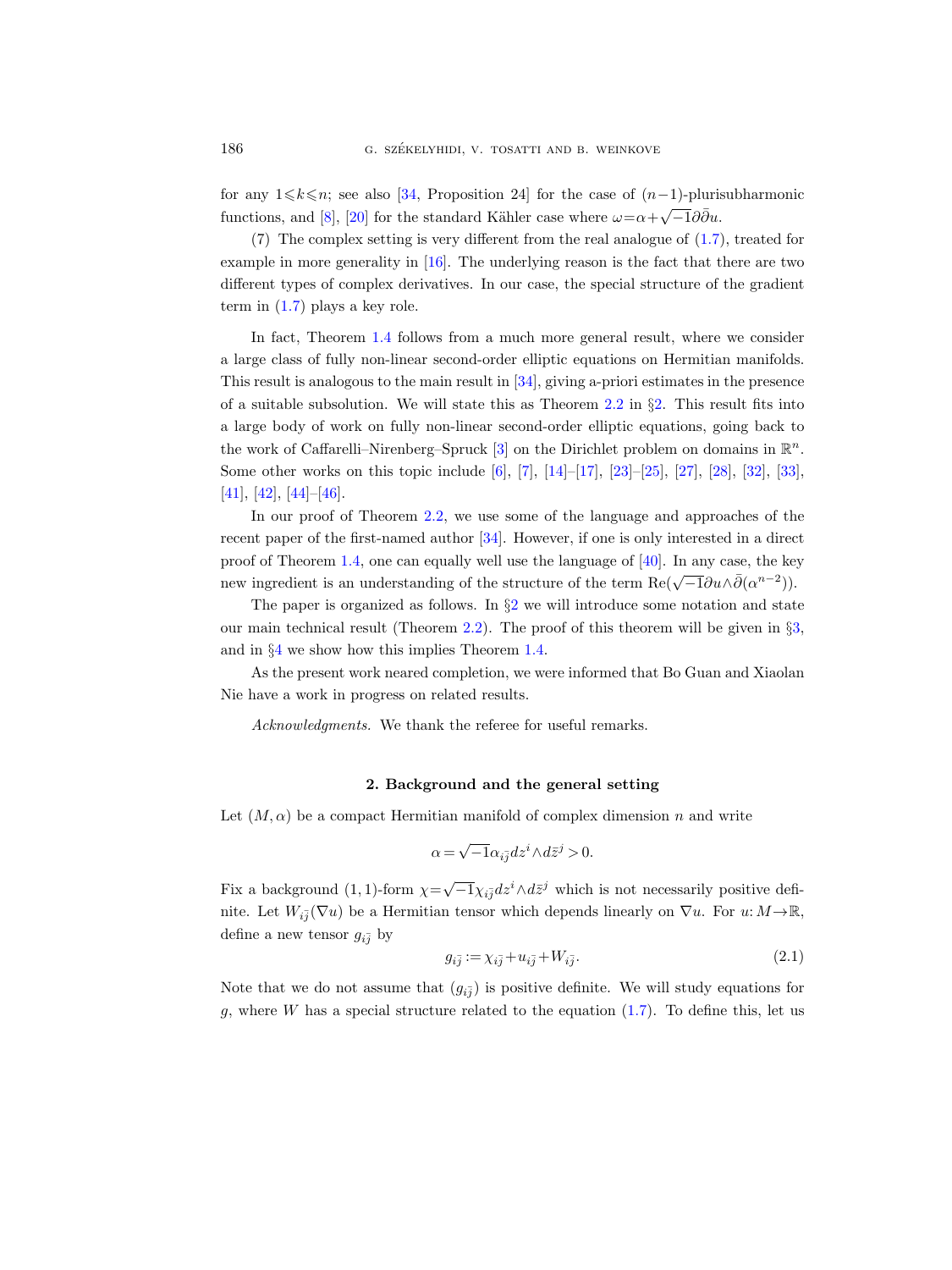for any  $1 \leq k \leq n$ ; see also [\[34,](#page-30-6) Proposition 24] for the case of  $(n-1)$ -plurisubharmonic functions, and [\[8\]](#page-28-5), [\[20\]](#page-29-7) for the standard Kähler case where  $\omega = \alpha + \sqrt{-1}\partial \overline{\partial} u$ .

(7) The complex setting is very different from the real analogue of [\(1.7\)](#page-3-1), treated for example in more generality in [\[16\]](#page-29-11). The underlying reason is the fact that there are two different types of complex derivatives. In our case, the special structure of the gradient term in  $(1.7)$  plays a key role.

In fact, Theorem [1.4](#page-3-0) follows from a much more general result, where we consider a large class of fully non-linear second-order elliptic equations on Hermitian manifolds. This result is analogous to the main result in [\[34\]](#page-30-6), giving a-priori estimates in the presence of a suitable subsolution. We will state this as Theorem [2.2](#page-8-0) in  $\S 2$ . This result fits into a large body of work on fully non-linear second-order elliptic equations, going back to the work of Caffarelli–Nirenberg–Spruck [\[3\]](#page-28-6) on the Dirichlet problem on domains in  $\mathbb{R}^n$ . Some other works on this topic include [\[6\]](#page-28-7), [\[7\]](#page-28-8), [\[14\]](#page-29-12)–[\[17\]](#page-29-2), [\[23\]](#page-29-13)–[\[25\]](#page-29-14), [\[27\]](#page-29-15), [\[28\]](#page-29-16), [\[32\]](#page-29-17), [\[33\]](#page-29-18), [\[41\]](#page-30-7), [\[42\]](#page-30-8), [\[44\]](#page-30-9)–[\[46\]](#page-30-10).

In our proof of Theorem [2.2,](#page-8-0) we use some of the language and approaches of the recent paper of the first-named author [\[34\]](#page-30-6). However, if one is only interested in a direct proof of Theorem [1.4,](#page-3-0) one can equally well use the language of [\[40\]](#page-30-2). In any case, the key new ingredient is an understanding of the structure of the term Re( $\sqrt{-1}\partial u \wedge \bar{\partial}(\alpha^{n-2})$ ).

The paper is organized as follows. In  $\S2$  $\S2$  we will introduce some notation and state our main technical result (Theorem [2.2\)](#page-8-0). The proof of this theorem will be given in §[3,](#page-10-0) and in §[4](#page-26-0) we show how this implies Theorem [1.4.](#page-3-0)

As the present work neared completion, we were informed that Bo Guan and Xiaolan Nie have a work in progress on related results.

Acknowledgments. We thank the referee for useful remarks.

#### 2. Background and the general setting

<span id="page-5-0"></span>Let  $(M, \alpha)$  be a compact Hermitian manifold of complex dimension n and write

$$
\alpha = \sqrt{-1} \alpha_{i\bar{j}} dz^i \wedge d\bar{z}^j > 0.
$$

Fix a background (1, 1)-form  $\chi = \sqrt{-1}\chi_{i\bar{j}}dz^i \wedge d\bar{z}^j$  which is not necessarily positive definite. Let  $W_{i\bar{j}}(\nabla u)$  be a Hermitian tensor which depends linearly on  $\nabla u$ . For  $u: M \to \mathbb{R}$ , define a new tensor  $g_{i,j}$  by

<span id="page-5-1"></span>
$$
g_{i\bar{j}} := \chi_{i\bar{j}} + u_{i\bar{j}} + W_{i\bar{j}}.\tag{2.1}
$$

Note that we do not assume that  $(g_{i\bar{j}})$  is positive definite. We will study equations for g, where W has a special structure related to the equation  $(1.7)$ . To define this, let us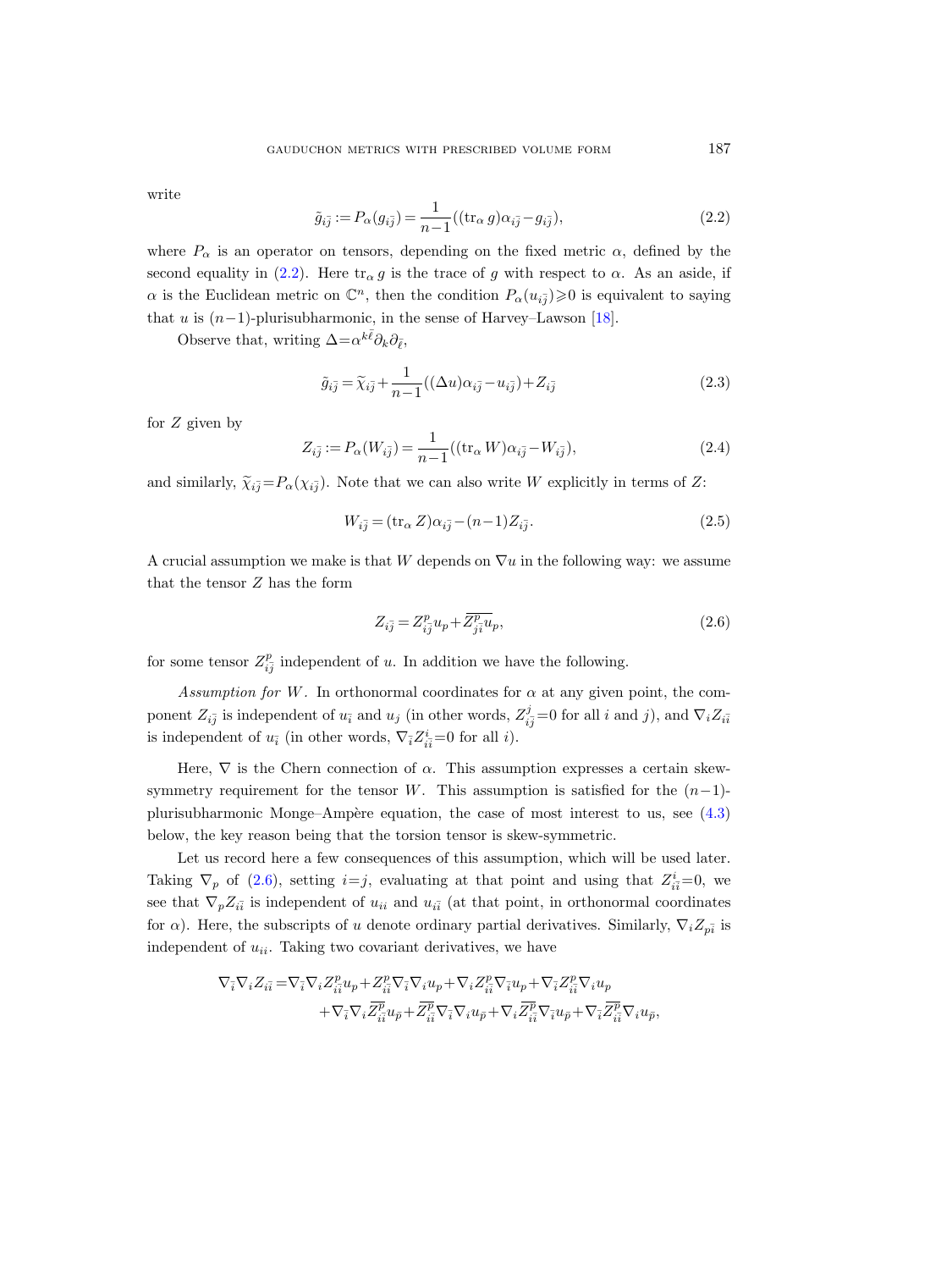write

<span id="page-6-0"></span>
$$
\tilde{g}_{i\bar{j}} := P_{\alpha}(g_{i\bar{j}}) = \frac{1}{n-1} ((\text{tr}_{\alpha} g) \alpha_{i\bar{j}} - g_{i\bar{j}}), \tag{2.2}
$$

where  $P_{\alpha}$  is an operator on tensors, depending on the fixed metric  $\alpha$ , defined by the second equality in [\(2.2\)](#page-6-0). Here  $\text{tr}_{\alpha} g$  is the trace of g with respect to  $\alpha$ . As an aside, if  $\alpha$  is the Euclidean metric on  $\mathbb{C}^n$ , then the condition  $P_\alpha(u_{i\bar{j}}) \geqslant 0$  is equivalent to saying that u is  $(n-1)$ -plurisubharmonic, in the sense of Harvey–Lawson [\[18\]](#page-29-5).

Observe that, writing  $\Delta = \alpha^{k\bar{\ell}} \partial_k \partial_{\bar{\ell}},$ 

<span id="page-6-2"></span>
$$
\tilde{g}_{i\bar{j}} = \tilde{\chi}_{i\bar{j}} + \frac{1}{n-1}((\Delta u)\alpha_{i\bar{j}} - u_{i\bar{j}}) + Z_{i\bar{j}} \tag{2.3}
$$

for  $Z$  given by

$$
Z_{i\bar{j}} := P_{\alpha}(W_{i\bar{j}}) = \frac{1}{n-1}((\text{tr}_{\alpha} W)\alpha_{i\bar{j}} - W_{i\bar{j}}),
$$
\n(2.4)

and similarly,  $\tilde{\chi}_{i\bar{j}} = P_{\alpha}(\chi_{i\bar{j}})$ . Note that we can also write W explicitly in terms of Z:

<span id="page-6-3"></span>
$$
W_{i\bar{j}} = (\text{tr}_{\alpha} Z)\alpha_{i\bar{j}} - (n-1)Z_{i\bar{j}}.
$$
\n
$$
(2.5)
$$

A crucial assumption we make is that W depends on  $\nabla u$  in the following way: we assume that the tensor Z has the form

<span id="page-6-1"></span>
$$
Z_{i\overline{j}} = Z_{i\overline{j}}^p u_p + \overline{Z_{j\overline{i}}^p} u_p,\tag{2.6}
$$

for some tensor  $Z_{i\bar{j}}^p$  independent of u. In addition we have the following.

Assumption for W. In orthonormal coordinates for  $\alpha$  at any given point, the component  $Z_{i\bar{j}}$  is independent of  $u_{\bar{i}}$  and  $u_j$  (in other words,  $Z_{i\bar{j}}^j=0$  for all i and j), and  $\nabla_i Z_{i\bar{i}}$ is independent of  $u_i$  (in other words,  $\nabla_{\bar{i}} Z^i_{i\bar{i}} = 0$  for all *i*).

Here,  $\nabla$  is the Chern connection of  $\alpha$ . This assumption expresses a certain skewsymmetry requirement for the tensor W. This assumption is satisfied for the  $(n-1)$ plurisubharmonic Monge–Ampère equation, the case of most interest to us, see  $(4.3)$ below, the key reason being that the torsion tensor is skew-symmetric.

Let us record here a few consequences of this assumption, which will be used later. Taking  $\nabla_p$  of [\(2.6\)](#page-6-1), setting  $i=j$ , evaluating at that point and using that  $Z_{i\bar{i}}^i=0$ , we see that  $\nabla_p Z_{i\bar{i}}$  is independent of  $u_{ii}$  and  $u_{i\bar{i}}$  (at that point, in orthonormal coordinates for  $\alpha$ ). Here, the subscripts of u denote ordinary partial derivatives. Similarly,  $\nabla_i Z_{p\bar{i}}$  is independent of  $u_{ii}$ . Taking two covariant derivatives, we have

$$
\begin{split} \nabla_{\bar{i}}\nabla_i Z_{i\bar{i}}=&\nabla_{\bar{i}}\nabla_i Z^p_{i\bar{i}}u_p+Z^p_{i\bar{i}}\nabla_{\bar{i}}\nabla_i u_p+\nabla_i Z^p_{i\bar{i}}\nabla_{\bar{i}}u_p+\nabla_{\bar{i}} Z^p_{i\bar{i}}\nabla_i u_p\\ &+\nabla_{\bar{i}}\nabla_i \overline{Z^p_{i\bar{i}}u}_{\bar{p}}+\overline{Z^p_{i\bar{i}}}\nabla_{\bar{i}}\nabla_i u_{\bar{p}}+\nabla_i \overline{Z^p_{i\bar{i}}}\nabla_{\bar{i}}u_{\bar{p}}+\nabla_{\bar{i}} \overline{Z^p_{i\bar{i}}}\nabla_i u_{\bar{p}}, \end{split}
$$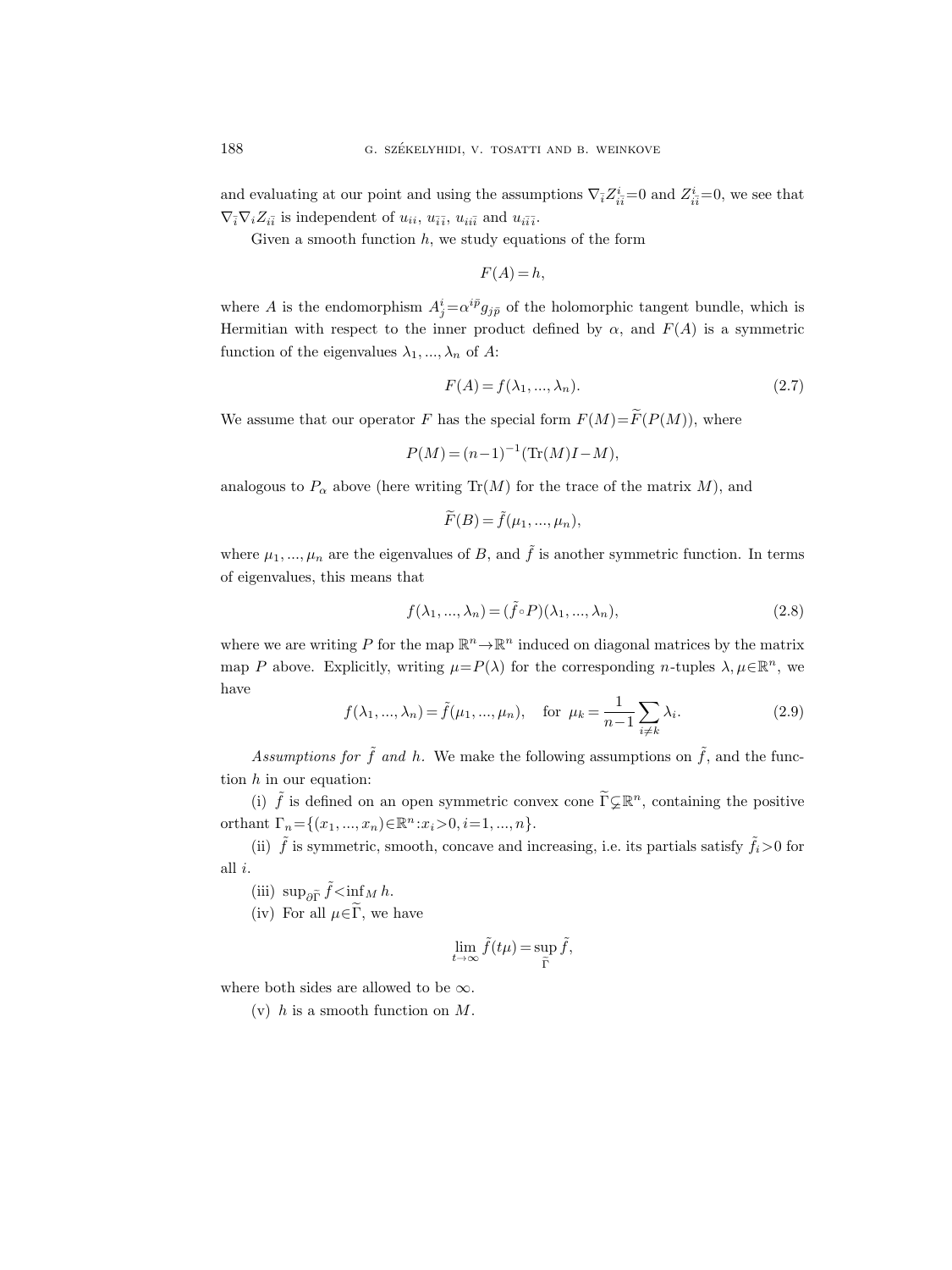and evaluating at our point and using the assumptions  $\nabla_{\bar{i}} Z^i_{i\bar{i}}=0$  and  $Z^i_{i\bar{i}}=0$ , we see that  $\nabla_{\bar{i}}\nabla_i Z_{i\bar{i}}$  is independent of  $u_{ii}$ ,  $u_{\bar{i}\bar{i}}$ ,  $u_{ii\bar{i}}$  and  $u_{i\bar{i}\bar{i}}$ .

Given a smooth function  $h$ , we study equations of the form

$$
F(A) = h,
$$

where A is the endomorphism  $A_j^i = \alpha^{i\bar{p}} g_{j\bar{p}}$  of the holomorphic tangent bundle, which is Hermitian with respect to the inner product defined by  $\alpha$ , and  $F(A)$  is a symmetric function of the eigenvalues  $\lambda_1, ..., \lambda_n$  of A:

<span id="page-7-1"></span>
$$
F(A) = f(\lambda_1, \dots, \lambda_n). \tag{2.7}
$$

We assume that our operator F has the special form  $F(M)=\widetilde{F}(P(M))$ , where

$$
P(M) = (n-1)^{-1}(\text{Tr}(M)I - M),
$$

analogous to  $P_{\alpha}$  above (here writing Tr(M) for the trace of the matrix M), and

$$
\widetilde{F}(B) = \widetilde{f}(\mu_1, ..., \mu_n),
$$

where  $\mu_1, ..., \mu_n$  are the eigenvalues of B, and  $\tilde{f}$  is another symmetric function. In terms of eigenvalues, this means that

$$
f(\lambda_1, ..., \lambda_n) = (\tilde{f} \circ P)(\lambda_1, ..., \lambda_n),
$$
\n(2.8)

where we are writing P for the map  $\mathbb{R}^n \to \mathbb{R}^n$  induced on diagonal matrices by the matrix map P above. Explicitly, writing  $\mu = P(\lambda)$  for the corresponding n-tuples  $\lambda, \mu \in \mathbb{R}^n$ , we have

<span id="page-7-0"></span>
$$
f(\lambda_1, ..., \lambda_n) = \tilde{f}(\mu_1, ..., \mu_n), \text{ for } \mu_k = \frac{1}{n-1} \sum_{i \neq k} \lambda_i.
$$
 (2.9)

Assumptions for  $\tilde{f}$  and h. We make the following assumptions on  $\tilde{f}$ , and the function  $h$  in our equation:

(i)  $\tilde{f}$  is defined on an open symmetric convex cone  $\tilde{\Gamma} \subsetneq \mathbb{R}^n$ , containing the positive orthant  $\Gamma_n = \{(x_1, ..., x_n) \in \mathbb{R}^n : x_i > 0, i = 1, ..., n\}.$ 

(ii)  $\tilde{f}$  is symmetric, smooth, concave and increasing, i.e. its partials satisfy  $\tilde{f}_i>0$  for all i.

- (iii)  $\sup_{\partial \widetilde{\Gamma}} \widetilde{f} \le \inf_{\widetilde{\Gamma}} M h.$
- (iv) For all  $\mu \in \widetilde{\Gamma}$ , we have

$$
\lim_{t \to \infty} \tilde{f}(t\mu) = \sup_{\tilde{\Gamma}} \tilde{f},
$$

where both sides are allowed to be  $\infty$ .

(v) h is a smooth function on  $M$ .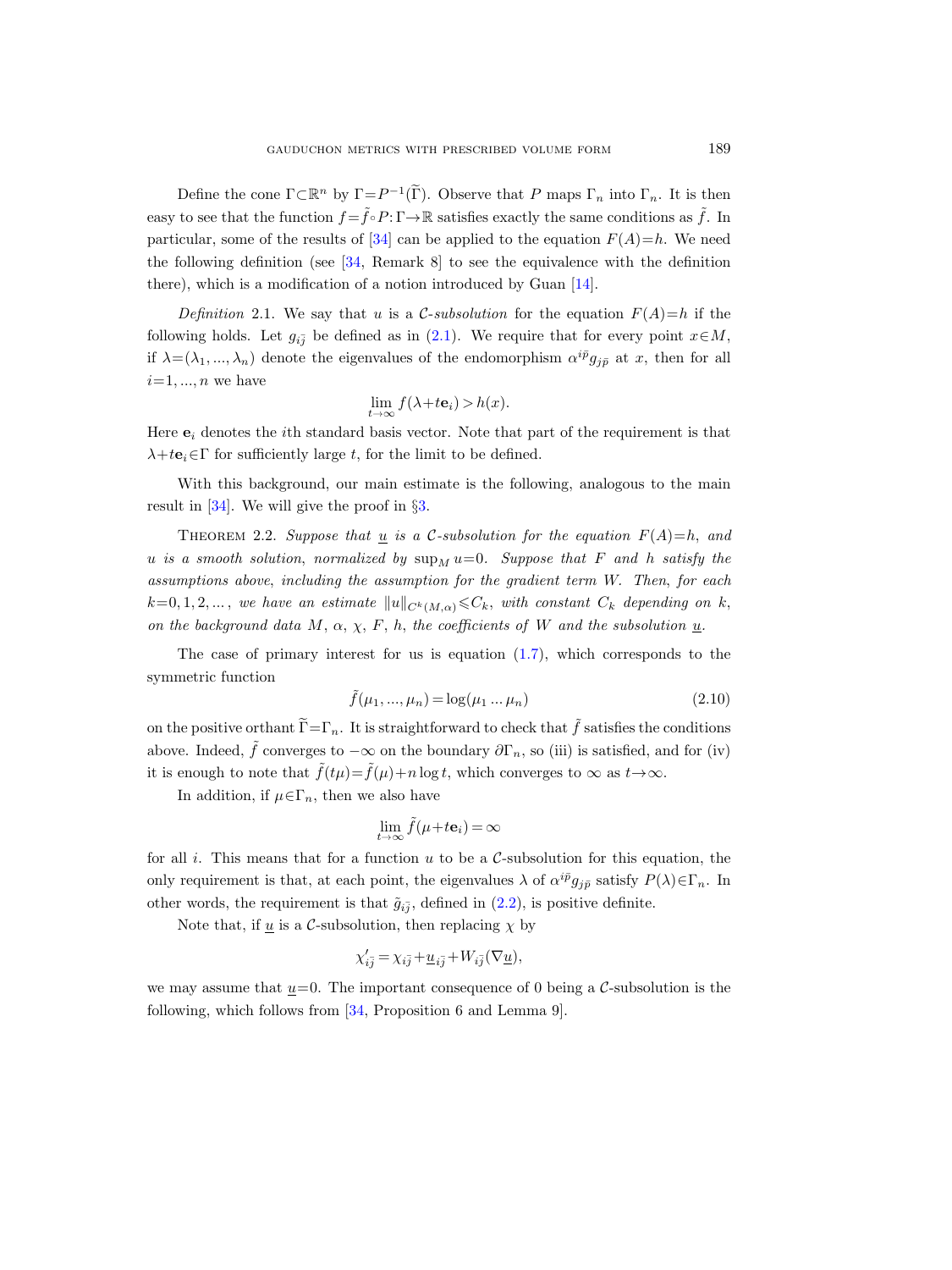Define the cone  $\Gamma \subset \mathbb{R}^n$  by  $\Gamma = P^{-1}(\widetilde{\Gamma})$ . Observe that P maps  $\Gamma_n$  into  $\Gamma_n$ . It is then easy to see that the function  $f = \tilde{f} \circ P : \Gamma \to \mathbb{R}$  satisfies exactly the same conditions as  $\tilde{f}$ . In particular, some of the results of [\[34\]](#page-30-6) can be applied to the equation  $F(A)=h$ . We need the following definition (see [\[34,](#page-30-6) Remark 8] to see the equivalence with the definition there), which is a modification of a notion introduced by Guan [\[14\]](#page-29-12).

Definition 2.1. We say that u is a C-subsolution for the equation  $F(A)=h$  if the following holds. Let  $g_{i\bar{j}}$  be defined as in [\(2.1\)](#page-5-1). We require that for every point  $x \in M$ , if  $\lambda = (\lambda_1, ..., \lambda_n)$  denote the eigenvalues of the endomorphism  $\alpha^{i\bar{p}} g_{j\bar{p}}$  at x, then for all  $i=1, ..., n$  we have

$$
\lim_{t \to \infty} f(\lambda + t\mathbf{e}_i) > h(x).
$$

Here  $e_i$  denotes the *i*th standard basis vector. Note that part of the requirement is that  $\lambda + t\mathbf{e}_i \in \Gamma$  for sufficiently large t, for the limit to be defined.

With this background, our main estimate is the following, analogous to the main result in [\[34\]](#page-30-6). We will give the proof in §[3.](#page-10-0)

<span id="page-8-0"></span>THEOREM 2.2. Suppose that  $\underline{u}$  is a C-subsolution for the equation  $F(A)=h$ , and u is a smooth solution, normalized by  $\sup_M u=0$ . Suppose that F and h satisfy the assumptions above, including the assumption for the gradient term W. Then, for each  $k=0, 1, 2, \ldots$ , we have an estimate  $||u||_{C^k(M,\alpha)} \leq C_k$ , with constant  $C_k$  depending on k, on the background data M,  $\alpha$ ,  $\chi$ , F, h, the coefficients of W and the subsolution  $\underline{u}$ .

The case of primary interest for us is equation  $(1.7)$ , which corresponds to the symmetric function

$$
\tilde{f}(\mu_1, ..., \mu_n) = \log(\mu_1 ... \mu_n)
$$
\n(2.10)

on the positive orthant  $\widetilde{\Gamma}=\Gamma_n$ . It is straightforward to check that  $\widetilde{f}$  satisfies the conditions above. Indeed,  $\tilde{f}$  converges to  $-\infty$  on the boundary  $\partial \Gamma_n$ , so (iii) is satisfied, and for (iv) it is enough to note that  $\tilde{f}(t\mu) = \tilde{f}(\mu) + n \log t$ , which converges to  $\infty$  as  $t \to \infty$ .

In addition, if  $\mu \in \Gamma_n$ , then we also have

$$
\lim_{t\to\infty}\tilde{f}(\mu+t\mathbf{e}_i)=\infty
$$

for all i. This means that for a function  $u$  to be a C-subsolution for this equation, the only requirement is that, at each point, the eigenvalues  $\lambda$  of  $\alpha^{i\bar{p}}g_{j\bar{p}}$  satisfy  $P(\lambda)\in\Gamma_n$ . In other words, the requirement is that  $\tilde{g}_{i\bar{j}}$ , defined in  $(2.2)$ , is positive definite.

Note that, if  $\underline{u}$  is a C-subsolution, then replacing  $\chi$  by

$$
\chi_{i\bar{j}}' = \chi_{i\bar{j}} + \underline{u}_{i\bar{j}} + W_{i\bar{j}}(\nabla \underline{u}),
$$

we may assume that  $\underline{u}=0$ . The important consequence of 0 being a C-subsolution is the following, which follows from [\[34,](#page-30-6) Proposition 6 and Lemma 9].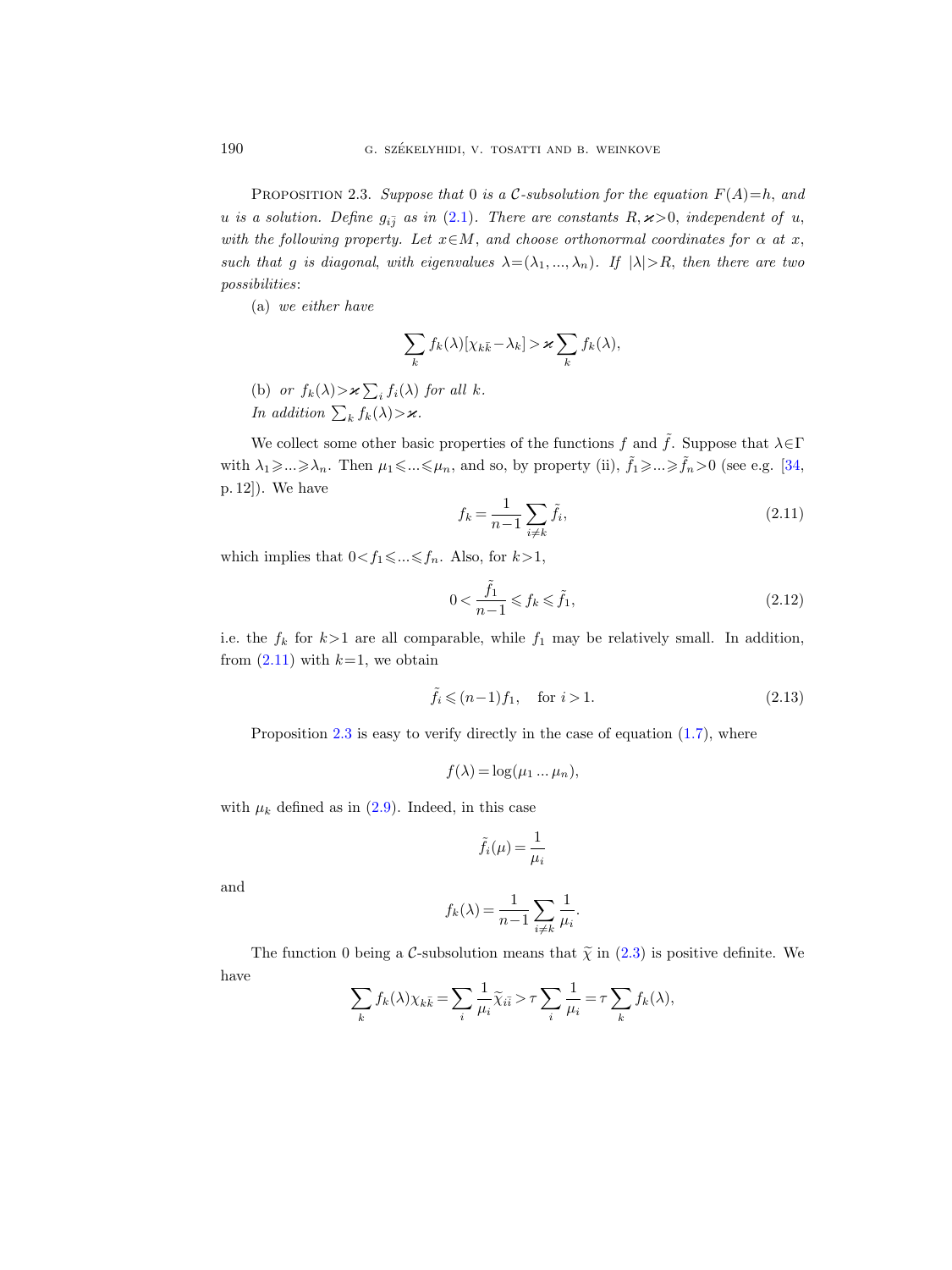<span id="page-9-1"></span>PROPOSITION 2.3. Suppose that 0 is a C-subsolution for the equation  $F(A)=h$ , and u is a solution. Define  $g_{i\bar{j}}$  as in [\(2.1\)](#page-5-1). There are constants  $R, \varkappa >0$ , independent of u, with the following property. Let  $x \in M$ , and choose orthonormal coordinates for  $\alpha$  at x, such that g is diagonal, with eigenvalues  $\lambda = (\lambda_1, ..., \lambda_n)$ . If  $|\lambda| > R$ , then there are two possibilities:

(a) we either have

$$
\sum_{k} f_k(\lambda) [\chi_{k\bar{k}} - \lambda_k] > \varkappa \sum_{k} f_k(\lambda),
$$

(b) or  $f_k(\lambda) > \varkappa \sum_i f_i(\lambda)$  for all k. In addition  $\sum_{k} f_k(\lambda) > \varkappa$ .

We collect some other basic properties of the functions f and  $\tilde{f}$ . Suppose that  $\lambda \in \Gamma$ with  $\lambda_1 \geq \ldots \geq \lambda_n$ . Then  $\mu_1 \leq \ldots \leq \mu_n$ , and so, by property (ii),  $\tilde{f}_1 \geq \ldots \geq \tilde{f}_n > 0$  (see e.g. [\[34,](#page-30-6) p. 12]). We have

<span id="page-9-0"></span>
$$
f_k = \frac{1}{n-1} \sum_{i \neq k} \tilde{f}_i,
$$
\n(2.11)

which implies that  $0 \le f_1 \le \dots \le f_n$ . Also, for  $k > 1$ ,

<span id="page-9-2"></span>
$$
0 < \frac{\tilde{f}_1}{n-1} \leqslant f_k \leqslant \tilde{f}_1,\tag{2.12}
$$

i.e. the  $f_k$  for  $k>1$  are all comparable, while  $f_1$  may be relatively small. In addition, from  $(2.11)$  with  $k=1$ , we obtain

<span id="page-9-3"></span>
$$
\tilde{f}_i \leqslant (n-1)f_1, \quad \text{for } i > 1. \tag{2.13}
$$

Proposition  $2.3$  is easy to verify directly in the case of equation  $(1.7)$ , where

$$
f(\lambda) = \log(\mu_1 \dots \mu_n),
$$

with  $\mu_k$  defined as in [\(2.9\)](#page-7-0). Indeed, in this case

$$
\tilde{f}_i(\mu) = \frac{1}{\mu_i}
$$

and

$$
f_k(\lambda) = \frac{1}{n-1} \sum_{i \neq k} \frac{1}{\mu_i}.
$$

The function 0 being a C-subsolution means that  $\tilde{\chi}$  in [\(2.3\)](#page-6-2) is positive definite. We have

$$
\sum_{k} f_k(\lambda) \chi_{k\bar{k}} = \sum_{i} \frac{1}{\mu_i} \widetilde{\chi}_{i\bar{i}} > \tau \sum_{i} \frac{1}{\mu_i} = \tau \sum_{k} f_k(\lambda),
$$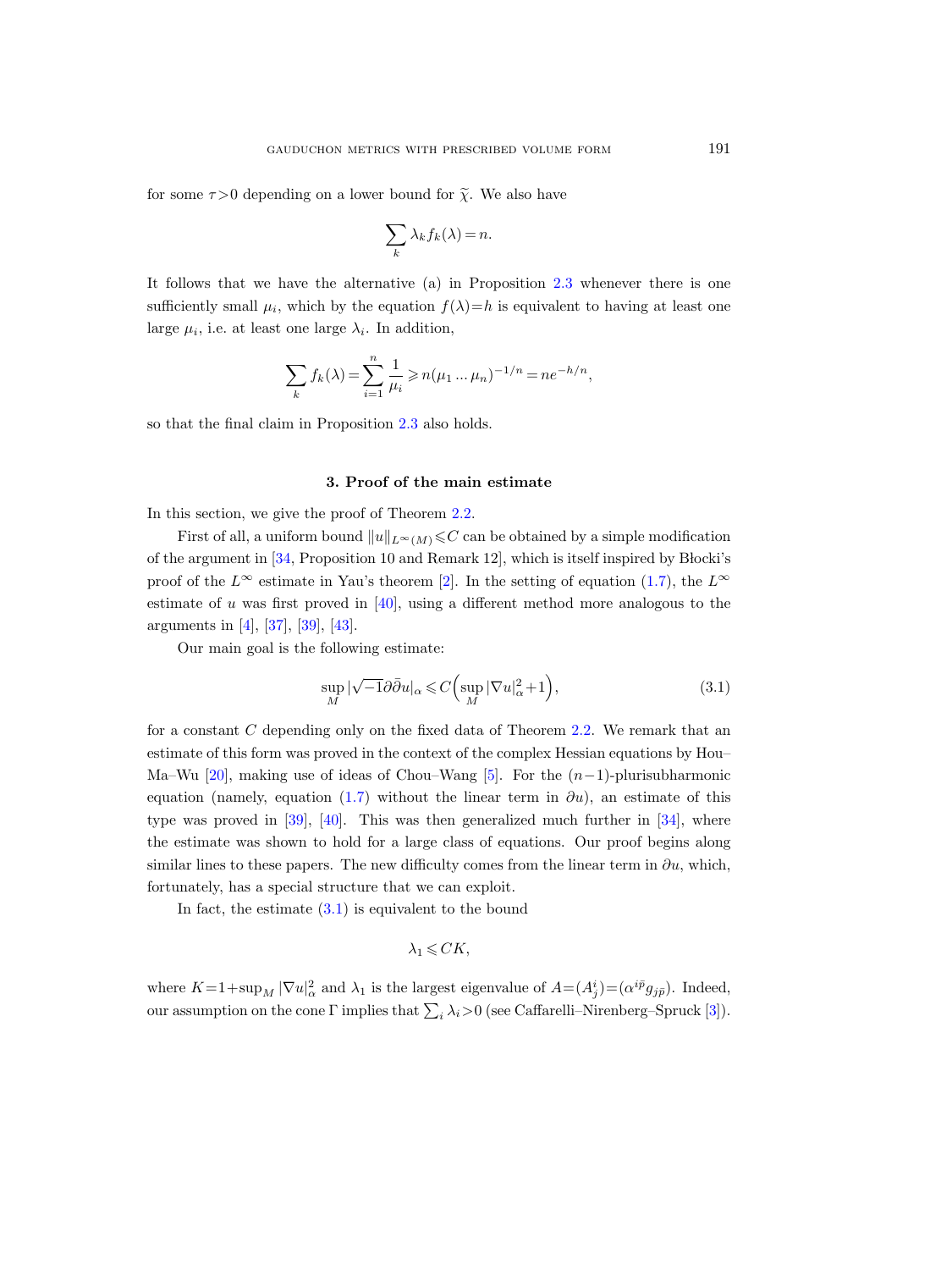for some  $\tau > 0$  depending on a lower bound for  $\tilde{\chi}$ . We also have

$$
\sum_{k} \lambda_{k} f_{k}(\lambda) = n.
$$

It follows that we have the alternative (a) in Proposition [2.3](#page-9-1) whenever there is one sufficiently small  $\mu_i$ , which by the equation  $f(\lambda)=h$  is equivalent to having at least one large  $\mu_i$ , i.e. at least one large  $\lambda_i$ . In addition,

$$
\sum_{k} f_k(\lambda) = \sum_{i=1}^{n} \frac{1}{\mu_i} \geqslant n(\mu_1 \dots \mu_n)^{-1/n} = n e^{-h/n},
$$

so that the final claim in Proposition [2.3](#page-9-1) also holds.

#### 3. Proof of the main estimate

<span id="page-10-0"></span>In this section, we give the proof of Theorem [2.2.](#page-8-0)

First of all, a uniform bound  $||u||_{L^\infty(M)} \leq C$  can be obtained by a simple modification of the argument in  $[34,$  Proposition 10 and Remark 12, which is itself inspired by Blocki's proof of the  $L^{\infty}$  estimate in Yau's theorem [\[2\]](#page-28-9). In the setting of equation [\(1.7\)](#page-3-1), the  $L^{\infty}$ estimate of u was first proved in  $[40]$ , using a different method more analogous to the arguments in [\[4\]](#page-28-0), [\[37\]](#page-30-3), [\[39\]](#page-30-5), [\[43\]](#page-30-0).

Our main goal is the following estimate:

<span id="page-10-1"></span>
$$
\sup_{M} |\sqrt{-1}\partial \bar{\partial} u|_{\alpha} \leqslant C \Big(\sup_{M} |\nabla u|_{\alpha}^{2} + 1\Big),\tag{3.1}
$$

for a constant C depending only on the fixed data of Theorem [2.2.](#page-8-0) We remark that an estimate of this form was proved in the context of the complex Hessian equations by Hou– Ma–Wu [\[20\]](#page-29-7), making use of ideas of Chou–Wang [\[5\]](#page-28-10). For the  $(n-1)$ -plurisubharmonic equation (namely, equation [\(1.7\)](#page-3-1) without the linear term in  $\partial u$ ), an estimate of this type was proved in [\[39\]](#page-30-5), [\[40\]](#page-30-2). This was then generalized much further in [\[34\]](#page-30-6), where the estimate was shown to hold for a large class of equations. Our proof begins along similar lines to these papers. The new difficulty comes from the linear term in  $\partial u$ , which, fortunately, has a special structure that we can exploit.

In fact, the estimate  $(3.1)$  is equivalent to the bound

 $\lambda_1 \leqslant C K$ ,

where  $K=1+\sup_M |\nabla u|_{\alpha}^2$  and  $\lambda_1$  is the largest eigenvalue of  $A=(A_j^i)=(\alpha^{i\bar{p}}g_{j\bar{p}})$ . Indeed, our assumption on the cone Γ implies that  $\sum_i \lambda_i > 0$  (see Caffarelli–Nirenberg–Spruck [\[3\]](#page-28-6)).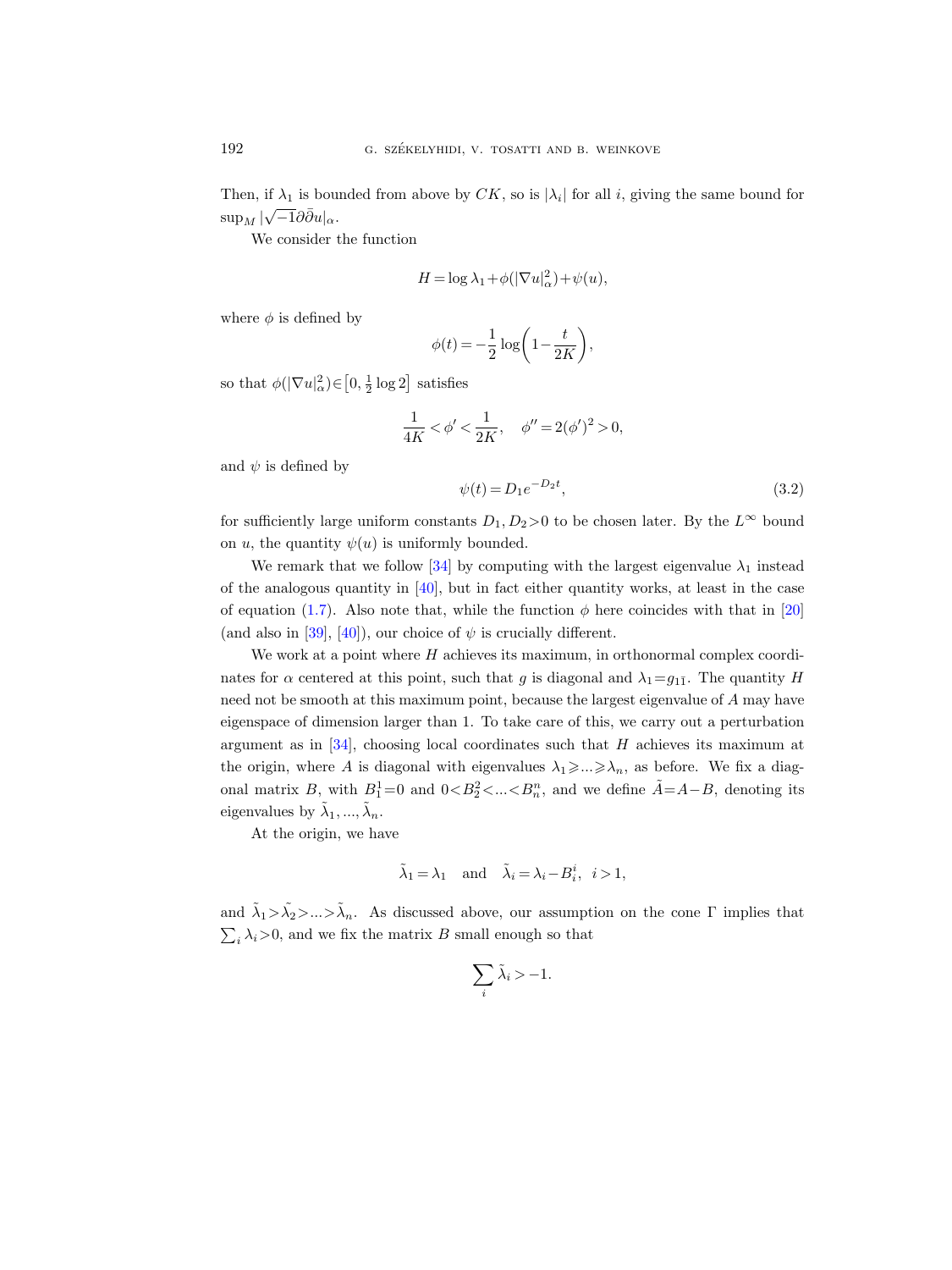Then, if  $\lambda_1$  is bounded from above by CK, so is  $|\lambda_i|$  for all i, giving the same bound for  $\sup_M |\sqrt{-1}\partial\bar{\partial}u|_{\alpha}.$ 

We consider the function

$$
H = \log \lambda_1 + \phi(|\nabla u|_\alpha^2) + \psi(u),
$$

where  $\phi$  is defined by

$$
\phi(t) = -\frac{1}{2}\log\bigg(1 - \frac{t}{2K}\bigg),\,
$$

so that  $\phi(|\nabla u|_{\alpha}^2) \in [0, \frac{1}{2} \log 2]$  satisfies

$$
\frac{1}{4K} < \phi' < \frac{1}{2K}, \quad \phi'' = 2(\phi')^2 > 0,
$$

and  $\psi$  is defined by

$$
\psi(t) = D_1 e^{-D_2 t},\tag{3.2}
$$

for sufficiently large uniform constants  $D_1, D_2>0$  to be chosen later. By the  $L^{\infty}$  bound on u, the quantity  $\psi(u)$  is uniformly bounded.

We remark that we follow [\[34\]](#page-30-6) by computing with the largest eigenvalue  $\lambda_1$  instead of the analogous quantity in  $[40]$ , but in fact either quantity works, at least in the case of equation [\(1.7\)](#page-3-1). Also note that, while the function  $\phi$  here coincides with that in [\[20\]](#page-29-7) (and also in [\[39\]](#page-30-5), [\[40\]](#page-30-2)), our choice of  $\psi$  is crucially different.

We work at a point where  $H$  achieves its maximum, in orthonormal complex coordinates for  $\alpha$  centered at this point, such that g is diagonal and  $\lambda_1 = g_{1\bar{1}}$ . The quantity H need not be smooth at this maximum point, because the largest eigenvalue of A may have eigenspace of dimension larger than 1. To take care of this, we carry out a perturbation argument as in  $[34]$ , choosing local coordinates such that H achieves its maximum at the origin, where A is diagonal with eigenvalues  $\lambda_1 \geq \ldots \geq \lambda_n$ , as before. We fix a diagonal matrix B, with  $B_1^1=0$  and  $0 < B_2^2 < ... < B_n^n$ , and we define  $A = A - B$ , denoting its eigenvalues by  $\tilde{\lambda}_1, ..., \tilde{\lambda}_n$ .

At the origin, we have

$$
\tilde{\lambda}_1=\lambda_1\quad\text{and}\quad \tilde{\lambda}_i=\lambda_i-B_i^i,\;\;i>1,
$$

and  $\tilde{\lambda}_1 > \tilde{\lambda}_2 > ... > \tilde{\lambda}_n$ . As discussed above, our assumption on the cone  $\Gamma$  implies that  $\sum_i \lambda_i > 0$ , and we fix the matrix B small enough so that

$$
\sum_{i} \tilde{\lambda}_i > -1.
$$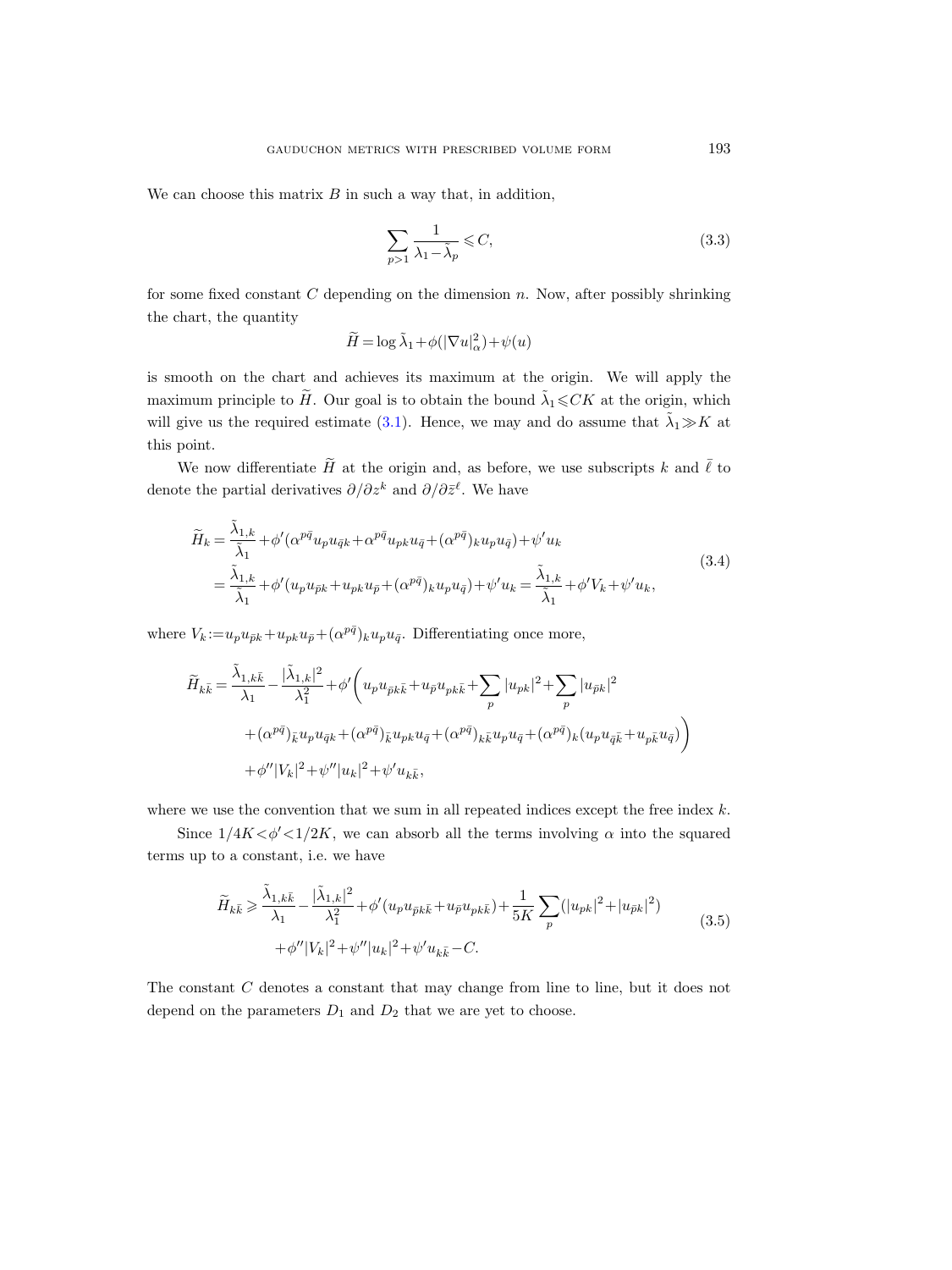We can choose this matrix  $B$  in such a way that, in addition,

<span id="page-12-0"></span>
$$
\sum_{p>1} \frac{1}{\lambda_1 - \tilde{\lambda}_p} \leqslant C,\tag{3.3}
$$

for some fixed constant  $C$  depending on the dimension  $n$ . Now, after possibly shrinking the chart, the quantity

$$
\widetilde{H} = \log \widetilde{\lambda}_1 + \phi(|\nabla u|_{\alpha}^2) + \psi(u)
$$

is smooth on the chart and achieves its maximum at the origin. We will apply the maximum principle to  $\widetilde{H}$ . Our goal is to obtain the bound  $\widetilde{\lambda}_1 \leqslant CK$  at the origin, which will give us the required estimate [\(3.1\)](#page-10-1). Hence, we may and do assume that  $\tilde{\lambda}_1 \gg K$  at this point.

We now differentiate  $\tilde{H}$  at the origin and, as before, we use subscripts k and  $\overline{\ell}$  to denote the partial derivatives  $\partial/\partial z^k$  and  $\partial/\partial \bar{z}^{\ell}$ . We have

<span id="page-12-2"></span>
$$
\widetilde{H}_k = \frac{\widetilde{\lambda}_{1,k}}{\widetilde{\lambda}_1} + \phi'(\alpha^{p\bar{q}}u_p u_{\bar{q}k} + \alpha^{p\bar{q}}u_{pk}u_{\bar{q}} + (\alpha^{p\bar{q}})_{k}u_p u_{\bar{q}}) + \psi'u_k
$$
\n
$$
= \frac{\widetilde{\lambda}_{1,k}}{\widetilde{\lambda}_1} + \phi'(u_p u_{\bar{p}k} + u_{pk}u_{\bar{p}} + (\alpha^{p\bar{q}})_{k}u_p u_{\bar{q}}) + \psi'u_k = \frac{\widetilde{\lambda}_{1,k}}{\widetilde{\lambda}_1} + \phi'V_k + \psi'u_k,
$$
\n(3.4)

where  $V_k := u_p u_{\bar{p}k} + u_{pk} u_{\bar{p}} + (\alpha^{p\bar{q}})_k u_p u_{\bar{q}}$ . Differentiating once more,

$$
\widetilde{H}_{k\bar{k}} = \frac{\widetilde{\lambda}_{1,k\bar{k}}}{\lambda_1} - \frac{|\widetilde{\lambda}_{1,k}|^2}{\lambda_1^2} + \phi' \bigg( u_p u_{\bar{p}k\bar{k}} + u_{\bar{p}} u_{pk\bar{k}} + \sum_p |u_{pk}|^2 + \sum_p |u_{\bar{p}k}|^2
$$
\n
$$
+ (\alpha^{p\bar{q}})_{\bar{k}} u_p u_{\bar{q}k} + (\alpha^{p\bar{q}})_{\bar{k}} u_{pk} u_{\bar{q}} + (\alpha^{p\bar{q}})_{k\bar{k}} u_p u_{\bar{q}} + (\alpha^{p\bar{q}})_{k} (u_p u_{\bar{q}\bar{k}} + u_{p\bar{k}} u_{\bar{q}}) \bigg)
$$
\n
$$
+ \phi'' |V_k|^2 + \psi'' |u_k|^2 + \psi' u_{k\bar{k}},
$$

where we use the convention that we sum in all repeated indices except the free index  $k$ .

Since  $1/4K < \phi' < 1/2K$ , we can absorb all the terms involving  $\alpha$  into the squared terms up to a constant, i.e. we have

<span id="page-12-1"></span>
$$
\widetilde{H}_{k\bar{k}} \geq \frac{\widetilde{\lambda}_{1,k\bar{k}}}{\lambda_1} - \frac{|\widetilde{\lambda}_{1,k}|^2}{\lambda_1^2} + \phi'(u_p u_{\bar{p}k\bar{k}} + u_{\bar{p}} u_{p k\bar{k}}) + \frac{1}{5K} \sum_p (|u_{p k}|^2 + |u_{\bar{p}k}|^2) + \phi'' |V_k|^2 + \psi'' |u_k|^2 + \psi' u_{k\bar{k}} - C.
$$
\n(3.5)

The constant C denotes a constant that may change from line to line, but it does not depend on the parameters  $D_1$  and  $D_2$  that we are yet to choose.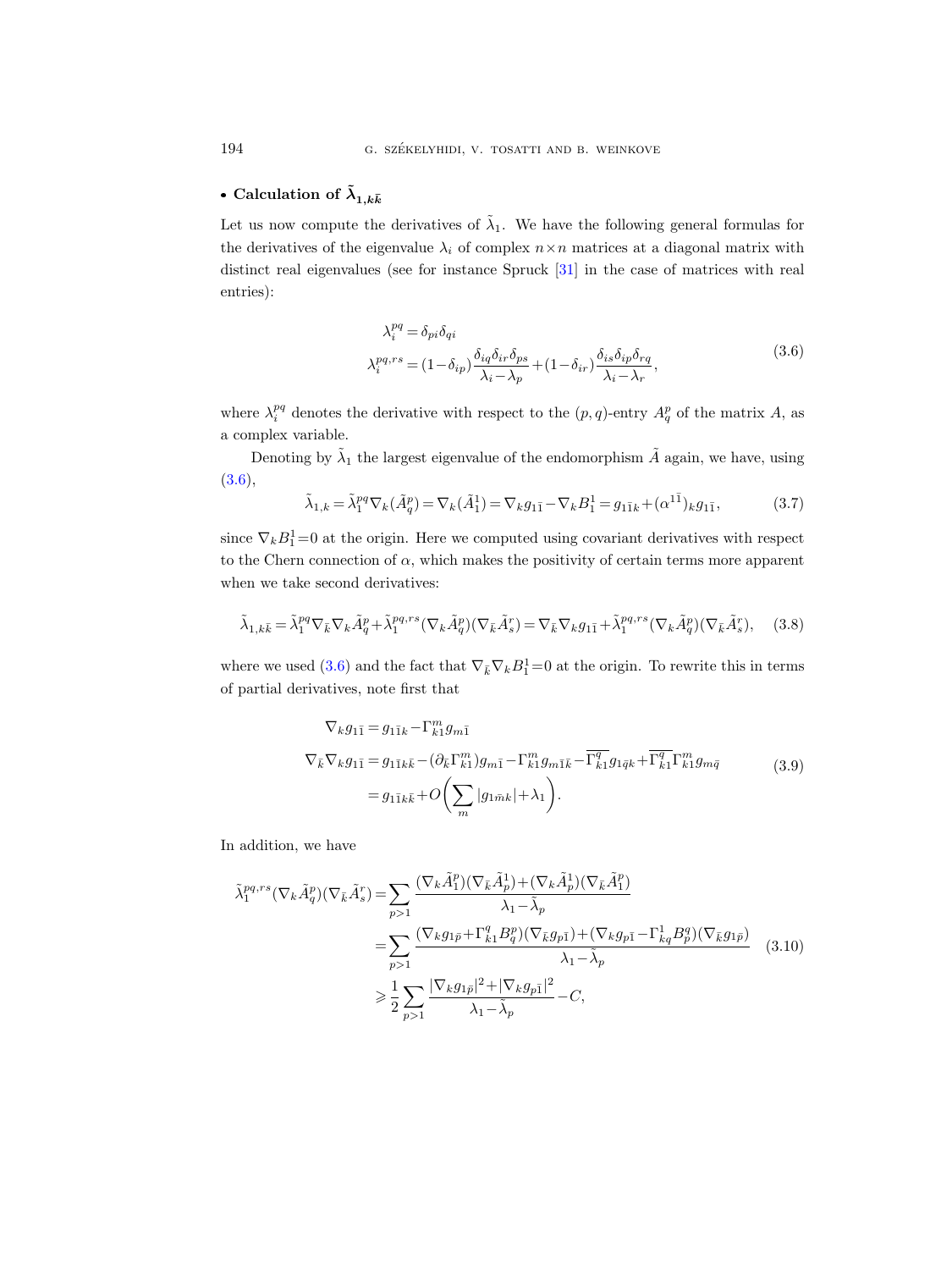# • Calculation of  $\tilde{\lambda}_{1,k\bar{k}}$

Let us now compute the derivatives of  $\tilde{\lambda}_1$ . We have the following general formulas for the derivatives of the eigenvalue  $\lambda_i$  of complex  $n \times n$  matrices at a diagonal matrix with distinct real eigenvalues (see for instance Spruck [\[31\]](#page-29-19) in the case of matrices with real entries):

$$
\lambda_i^{pq} = \delta_{pi} \delta_{qi}
$$
\n
$$
\lambda_i^{pq,rs} = (1 - \delta_{ip}) \frac{\delta_{iq} \delta_{ir} \delta_{ps}}{\lambda_i - \lambda_p} + (1 - \delta_{ir}) \frac{\delta_{is} \delta_{ip} \delta_{rq}}{\lambda_i - \lambda_r},
$$
\n(3.6)

<span id="page-13-0"></span>where  $\lambda_i^{pq}$  denotes the derivative with respect to the  $(p, q)$ -entry  $A_q^p$  of the matrix A, as a complex variable.

Denoting by  $\tilde{\lambda}_1$  the largest eigenvalue of the endomorphism  $\tilde{A}$  again, we have, using  $(3.6),$  $(3.6),$ 

<span id="page-13-3"></span>
$$
\tilde{\lambda}_{1,k} = \tilde{\lambda}_1^{pq} \nabla_k (\tilde{A}_q^p) = \nabla_k (\tilde{A}_1^1) = \nabla_k g_{1\bar{1}} - \nabla_k B_1^1 = g_{1\bar{1}k} + (\alpha^{1\bar{1}})_k g_{1\bar{1}},
$$
\n(3.7)

since  $\nabla_k B_1^1 = 0$  at the origin. Here we computed using covariant derivatives with respect to the Chern connection of  $\alpha$ , which makes the positivity of certain terms more apparent when we take second derivatives:

<span id="page-13-1"></span>
$$
\tilde{\lambda}_{1,k\bar{k}} = \tilde{\lambda}_1^{pq} \nabla_{\bar{k}} \nabla_k \tilde{A}_q^p + \tilde{\lambda}_1^{pq,rs} (\nabla_k \tilde{A}_q^p) (\nabla_{\bar{k}} \tilde{A}_s^r) = \nabla_{\bar{k}} \nabla_k g_{1\bar{1}} + \tilde{\lambda}_1^{pq,rs} (\nabla_k \tilde{A}_q^p) (\nabla_{\bar{k}} \tilde{A}_s^r), \quad (3.8)
$$

where we used [\(3.6\)](#page-13-0) and the fact that  $\nabla_{\bar{k}}\nabla_{k}B_1^1=0$  at the origin. To rewrite this in terms of partial derivatives, note first that

$$
\nabla_k g_{1\bar{1}} = g_{1\bar{1}k} - \Gamma_{k1}^m g_{m\bar{1}} \n\nabla_{\bar{k}} \nabla_k g_{1\bar{1}} = g_{1\bar{1}k\bar{k}} - (\partial_{\bar{k}} \Gamma_{k1}^m) g_{m\bar{1}} - \Gamma_{k1}^m g_{m\bar{1}\bar{k}} - \overline{\Gamma_{k1}^q} g_{1\bar{q}k} + \overline{\Gamma_{k1}^q} \Gamma_{k1}^m g_{m\bar{q}} \n= g_{1\bar{1}k\bar{k}} + O\left(\sum_m |g_{1\bar{m}k}| + \lambda_1\right).
$$
\n(3.9)

<span id="page-13-2"></span>In addition, we have

$$
\tilde{\lambda}_1^{pq,rs}(\nabla_k \tilde{A}_q^p)(\nabla_{\bar{k}} \tilde{A}_s^r) = \sum_{p>1} \frac{(\nabla_k \tilde{A}_1^p)(\nabla_{\bar{k}} \tilde{A}_p^1) + (\nabla_k \tilde{A}_p^1)(\nabla_{\bar{k}} \tilde{A}_1^p)}{\lambda_1 - \tilde{\lambda}_p}
$$
\n
$$
= \sum_{p>1} \frac{(\nabla_k g_{1\bar{p}} + \Gamma_{k1}^q B_q^p)(\nabla_{\bar{k}} g_{p\bar{1}}) + (\nabla_k g_{p\bar{1}} - \Gamma_{kq}^1 B_p^q)(\nabla_{\bar{k}} g_{1\bar{p}})}{\lambda_1 - \tilde{\lambda}_p}
$$
\n
$$
\geq \frac{1}{2} \sum_{p>1} \frac{|\nabla_k g_{1\bar{p}}|^2 + |\nabla_k g_{p\bar{1}}|^2}{\lambda_1 - \tilde{\lambda}_p} - C,
$$
\n(3.10)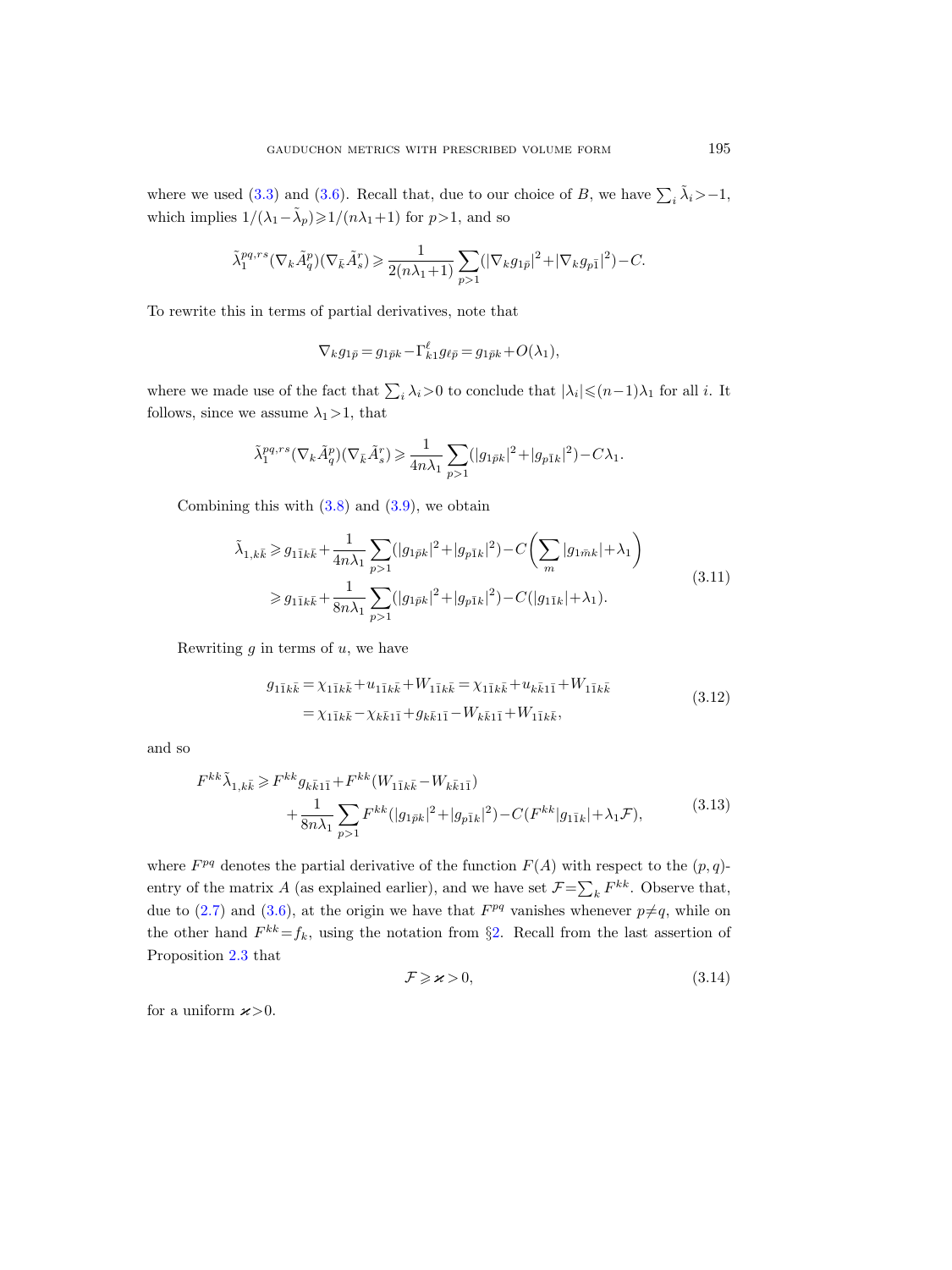where we used [\(3.3\)](#page-12-0) and [\(3.6\)](#page-13-0). Recall that, due to our choice of B, we have  $\sum_i \tilde{\lambda}_i > -1$ , which implies  $1/(\lambda_1 - \tilde{\lambda}_p) \geq 1/(n\lambda_1 + 1)$  for  $p > 1$ , and so

$$
\tilde{\lambda}_1^{pq,rs}(\nabla_k \tilde{A}^p_q)(\nabla_{\bar{k}} \tilde{A}^r_s) \geqslant \frac{1}{2(n\lambda_1+1)} \sum_{p>1}(|\nabla_k g_{1\bar{p}}|^2+|\nabla_k g_{p\bar{1}}|^2)-C.
$$

To rewrite this in terms of partial derivatives, note that

$$
\nabla_k g_{1\bar p}=g_{1\bar pk}-\Gamma_{k1}^\ell g_{\ell\bar p}=g_{1\bar pk}+O(\lambda_1),
$$

where we made use of the fact that  $\sum_i \lambda_i > 0$  to conclude that  $|\lambda_i| \leq (n-1)\lambda_1$  for all *i*. It follows, since we assume  $\lambda_1>1$ , that

$$
\tilde{\lambda}_1^{pq,rs}(\nabla_k \tilde{A}^p_q)(\nabla_{\bar{k}} \tilde{A}^r_s) \geqslant \frac{1}{4n\lambda_1} \sum_{p>1} (|g_{1\bar{p}k}|^2 + |g_{p\bar{1}k}|^2) - C\lambda_1.
$$

Combining this with  $(3.8)$  and  $(3.9)$ , we obtain

$$
\tilde{\lambda}_{1,k\bar{k}} \ge g_{1\bar{1}k\bar{k}} + \frac{1}{4n\lambda_1} \sum_{p>1} (|g_{1\bar{p}k}|^2 + |g_{p\bar{1}k}|^2) - C \left(\sum_m |g_{1\bar{m}k}| + \lambda_1\right)
$$
\n
$$
\ge g_{1\bar{1}k\bar{k}} + \frac{1}{8n\lambda_1} \sum_{p>1} (|g_{1\bar{p}k}|^2 + |g_{p\bar{1}k}|^2) - C(|g_{1\bar{1}k}| + \lambda_1). \tag{3.11}
$$

Rewriting  $g$  in terms of  $u$ , we have

$$
g_{1\bar{1}k\bar{k}} = \chi_{1\bar{1}k\bar{k}} + u_{1\bar{1}k\bar{k}} + W_{1\bar{1}k\bar{k}} = \chi_{1\bar{1}k\bar{k}} + u_{k\bar{k}1\bar{1}} + W_{1\bar{1}k\bar{k}} = \chi_{1\bar{1}k\bar{k}} - \chi_{k\bar{k}1\bar{1}} + g_{k\bar{k}1\bar{1}} - W_{k\bar{k}1\bar{1}} + W_{1\bar{1}k\bar{k}},
$$
\n(3.12)

<span id="page-14-1"></span>and so

$$
F^{kk}\tilde{\lambda}_{1,k\bar{k}} \geq F^{kk}g_{k\bar{k}1\bar{1}} + F^{kk}(W_{1\bar{1}k\bar{k}} - W_{k\bar{k}1\bar{1}}) + \frac{1}{8n\lambda_1} \sum_{p>1} F^{kk}(|g_{1\bar{p}k}|^2 + |g_{p\bar{1}k}|^2) - C(F^{kk}|g_{1\bar{1}k}| + \lambda_1 \mathcal{F}),
$$
(3.13)

where  $F^{pq}$  denotes the partial derivative of the function  $F(A)$  with respect to the  $(p, q)$ entry of the matrix A (as explained earlier), and we have set  $\mathcal{F} = \sum_k F^{kk}$ . Observe that, due to [\(2.7\)](#page-7-1) and [\(3.6\)](#page-13-0), at the origin we have that  $F^{pq}$  vanishes whenever  $p \neq q$ , while on the other hand  $F^{kk} = f_k$ , using the notation from §[2.](#page-5-0) Recall from the last assertion of Proposition [2.3](#page-9-1) that

<span id="page-14-0"></span>
$$
\mathcal{F} \geqslant \varkappa > 0,\tag{3.14}
$$

for a uniform  $\varkappa > 0$ .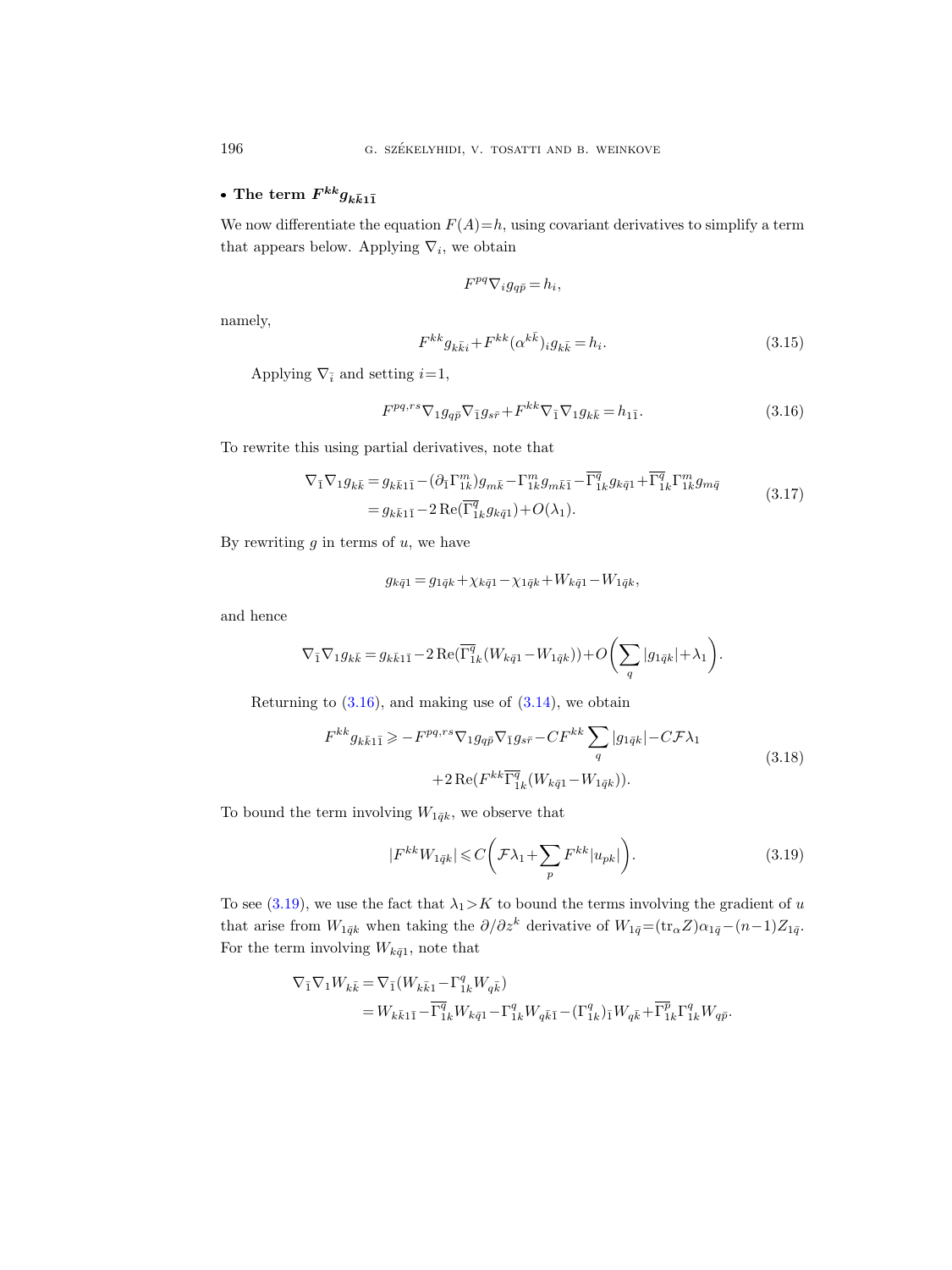# • The term  $F^{kk}g_{k\bar{k}1\bar{1}}$

We now differentiate the equation  $F(A)=h$ , using covariant derivatives to simplify a term that appears below. Applying  $\nabla_i$ , we obtain

$$
F^{pq} \nabla_i g_{q\bar{p}} = h_i,
$$

namely,

<span id="page-15-3"></span>
$$
F^{kk}g_{k\bar{k}i} + F^{kk}(\alpha^{k\bar{k}})_{i}g_{k\bar{k}} = h_{i}.
$$
\n(3.15)

Applying  $\nabla_{\bar{i}}$  and setting  $i=1$ ,

<span id="page-15-0"></span>
$$
F^{pq,rs}\nabla_1 g_{q\bar{p}}\nabla_{\bar{1}}g_{s\bar{r}} + F^{kk}\nabla_{\bar{1}}\nabla_1 g_{k\bar{k}} = h_{1\bar{1}}.
$$
\n(3.16)

To rewrite this using partial derivatives, note that

$$
\nabla_{\bar{1}} \nabla_{1} g_{k\bar{k}} = g_{k\bar{k}1\bar{1}} - (\partial_{\bar{1}} \Gamma^{m}_{1k}) g_{m\bar{k}} - \Gamma^{m}_{1k} g_{m\bar{k}\bar{1}} - \overline{\Gamma^{q}}_{1k} g_{k\bar{q}1} + \overline{\Gamma^{q}}_{1k} \Gamma^{m}_{1k} g_{m\bar{q}}
$$
  
=  $g_{k\bar{k}1\bar{1}} - 2 \operatorname{Re}(\overline{\Gamma^{q}}_{1k} g_{k\bar{q}1}) + O(\lambda_{1}).$  (3.17)

By rewriting  $g$  in terms of  $u$ , we have

$$
g_{k\bar{q}1} = g_{1\bar{q}k} + \chi_{k\bar{q}1} - \chi_{1\bar{q}k} + W_{k\bar{q}1} - W_{1\bar{q}k},
$$

and hence

$$
\nabla_{\bar{1}}\nabla_1 g_{k\bar{k}}=g_{k\bar{k}1\bar{1}}-2\operatorname{Re}(\overline{\Gamma^q_{1k}}(W_{k\bar{q}1}-W_{1\bar{q}k}))+O\bigg(\sum_q |g_{1\bar{q}k}|+\lambda_1\bigg).
$$

<span id="page-15-2"></span>Returning to  $(3.16)$ , and making use of  $(3.14)$ , we obtain

$$
F^{kk}g_{k\bar{k}1\bar{1}} \geqslant -F^{pq,rs}\nabla_{1}g_{q\bar{p}}\nabla_{\bar{1}}g_{s\bar{r}} - CF^{kk}\sum_{q}|g_{1\bar{q}k}| - C\mathcal{F}\lambda_{1}
$$
\n
$$
+2\operatorname{Re}(F^{kk}\overline{\Gamma}^{\bar{q}}_{1k}(W_{k\bar{q}1} - W_{1\bar{q}k})).
$$
\n(3.18)

To bound the term involving  $W_{1\bar{q}k}$ , we observe that

<span id="page-15-1"></span>
$$
|F^{kk}W_{1\bar{q}k}| \leq C\bigg(\mathcal{F}\lambda_1 + \sum_p F^{kk} |u_{pk}|\bigg). \tag{3.19}
$$

To see [\(3.19\)](#page-15-1), we use the fact that  $\lambda_1 > K$  to bound the terms involving the gradient of u that arise from  $W_{1\bar{q}k}$  when taking the  $\partial/\partial z^k$  derivative of  $W_{1\bar{q}}=(\text{tr}_\alpha Z)\alpha_{1\bar{q}}-(n-1)Z_{1\bar{q}}$ . For the term involving  $W_{k\bar{q}1}$ , note that

$$
\begin{split} \nabla_{\bar{1}}\nabla_{1}W_{k\bar{k}}&=\nabla_{\bar{1}}(W_{k\bar{k}1}-\Gamma_{1k}^{q}W_{q\bar{k}})\\ & =W_{k\bar{k}1\bar{1}}-\overline{\Gamma_{1k}^{q}}W_{k\bar{q}1}-\Gamma_{1k}^{q}W_{q\bar{k}\bar{1}}-(\Gamma_{1k}^{q})_{\bar{1}}W_{q\bar{k}}+\overline{\Gamma_{1k}^{p}}\Gamma_{1k}^{q}W_{q\bar{p}}. \end{split}
$$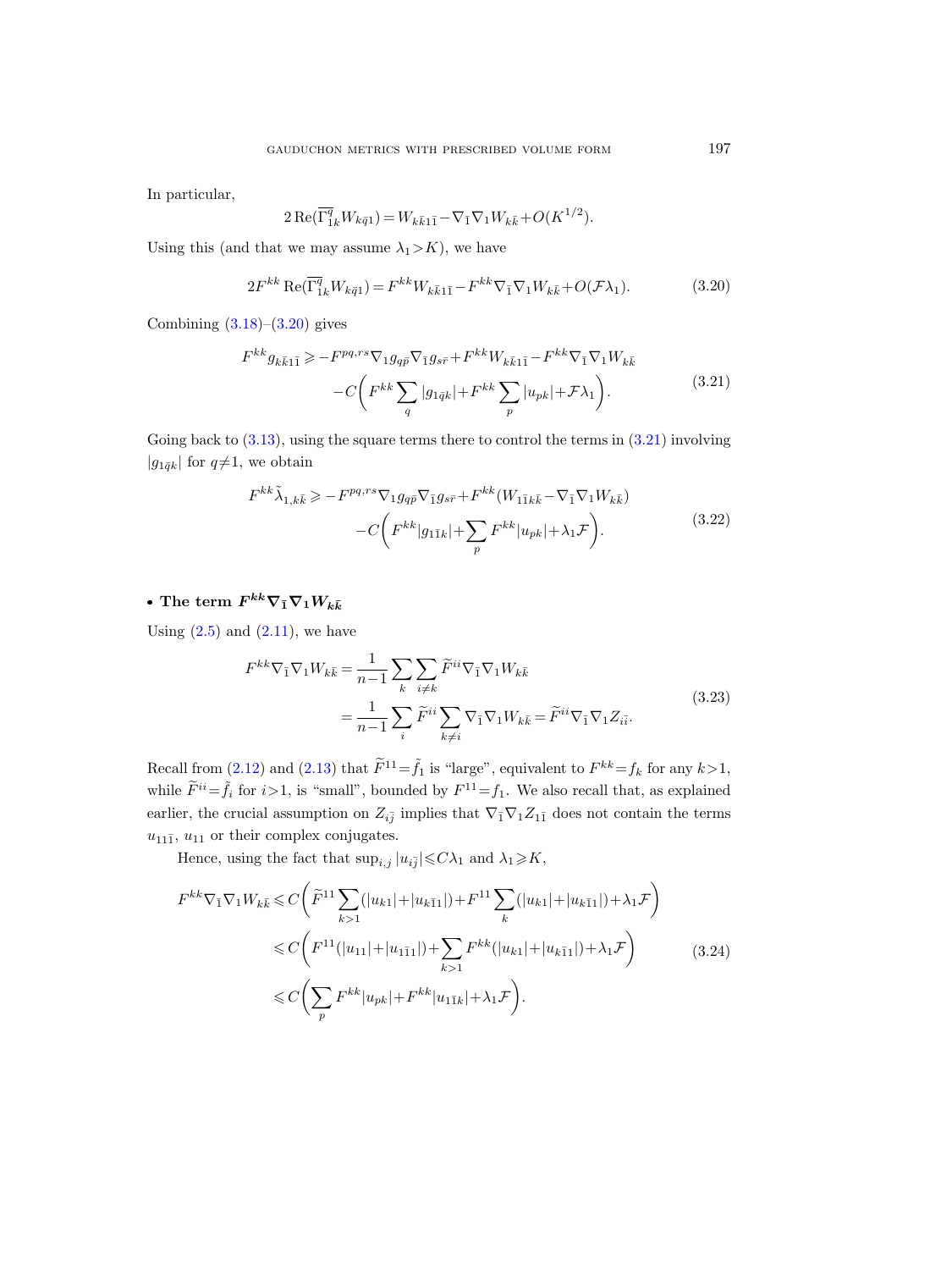In particular,

$$
2 \operatorname{Re}(\overline{\Gamma_{1k}^{q}} W_{k\bar{q}1}) = W_{k\bar{k}1\bar{1}} - \nabla_{\bar{1}} \nabla_{1} W_{k\bar{k}} + O(K^{1/2}).
$$

<span id="page-16-0"></span>Using this (and that we may assume  $\lambda_1 > K$ ), we have

$$
2F^{kk}\operatorname{Re}(\overline{\Gamma_{1k}^{q}}W_{k\bar{q}1}) = F^{kk}W_{k\bar{k}1\bar{1}} - F^{kk}\nabla_{\bar{1}}\nabla_{1}W_{k\bar{k}} + O(\mathcal{F}\lambda_{1}).
$$
\n(3.20)

<span id="page-16-1"></span>Combining  $(3.18)$ – $(3.20)$  gives

$$
F^{kk}g_{k\bar{k}1\bar{1}} \geqslant -F^{pq,rs}\nabla_{1}g_{q\bar{p}}\nabla_{\bar{1}}g_{s\bar{r}} + F^{kk}W_{k\bar{k}1\bar{1}} - F^{kk}\nabla_{\bar{1}}\nabla_{1}W_{k\bar{k}} - C\left(F^{kk}\sum_{q}|g_{1\bar{q}k}| + F^{kk}\sum_{p}|u_{pk}| + \mathcal{F}\lambda_{1}\right).
$$
\n(3.21)

<span id="page-16-4"></span>Going back to  $(3.13)$ , using the square terms there to control the terms in  $(3.21)$  involving  $|g_{1\bar{q}k}|$  for  $q\neq1$ , we obtain

$$
F^{kk}\tilde{\lambda}_{1,k\bar{k}} \geqslant -F^{pq,rs}\nabla_{1}g_{q\bar{p}}\nabla_{\bar{1}}g_{s\bar{r}} + F^{kk}(W_{1\bar{1}k\bar{k}} - \nabla_{\bar{1}}\nabla_{1}W_{k\bar{k}}) - C\left(F^{kk}|g_{1\bar{1}k}| + \sum_{p} F^{kk}|u_{pk}| + \lambda_{1}\mathcal{F}\right).
$$
\n(3.22)

# • The term  $F^{kk}\nabla_{\bar{1}}\nabla_{1}W_{k\bar{k}}$

<span id="page-16-3"></span>Using  $(2.5)$  and  $(2.11)$ , we have

$$
F^{kk}\nabla_{\bar{1}}\nabla_{1}W_{k\bar{k}} = \frac{1}{n-1}\sum_{k}\sum_{i\neq k}\widetilde{F}^{ii}\nabla_{\bar{1}}\nabla_{1}W_{k\bar{k}} = \frac{1}{n-1}\sum_{i}\widetilde{F}^{ii}\sum_{k\neq i}\nabla_{\bar{1}}\nabla_{1}W_{k\bar{k}} = \widetilde{F}^{ii}\nabla_{\bar{1}}\nabla_{1}Z_{i\bar{i}}.
$$
\n(3.23)

Recall from  $(2.12)$  and  $(2.13)$  that  $\widetilde{F}^{11} = \widetilde{f}_1$  is "large", equivalent to  $F^{kk} = f_k$  for any  $k > 1$ , while  $\tilde{F}^{ii} = \tilde{f}_i$  for  $i > 1$ , is "small", bounded by  $F^{11} = f_1$ . We also recall that, as explained earlier, the crucial assumption on  $Z_{i\bar{j}}$  implies that  $\nabla_{\bar{1}}\nabla_{1}Z_{1\bar{1}}$  does not contain the terms  $u_{11\bar{1}}$ ,  $u_{11}$  or their complex conjugates.

Hence, using the fact that  $\sup_{i,j}|u_{i\overline{j}}|\leqslant C\lambda_1$  and  $\lambda_1\geqslant K$ ,

<span id="page-16-2"></span>
$$
F^{kk}\nabla_{\bar{1}}\nabla_{1}W_{k\bar{k}} \leq C\left(\widetilde{F}^{11}\sum_{k>1}(|u_{k1}|+|u_{k\bar{1}1}|)+F^{11}\sum_{k}(|u_{k1}|+|u_{k\bar{1}1}|)+\lambda_{1}\mathcal{F}\right)
$$
  

$$
\leq C\left(F^{11}(|u_{11}|+|u_{1\bar{1}1}|)+\sum_{k>1}F^{kk}(|u_{k1}|+|u_{k\bar{1}1}|)+\lambda_{1}\mathcal{F}\right)
$$
  

$$
\leq C\left(\sum_{p}F^{kk}|u_{pk}|+F^{kk}|u_{1\bar{1}k}|+\lambda_{1}\mathcal{F}\right).
$$
 (3.24)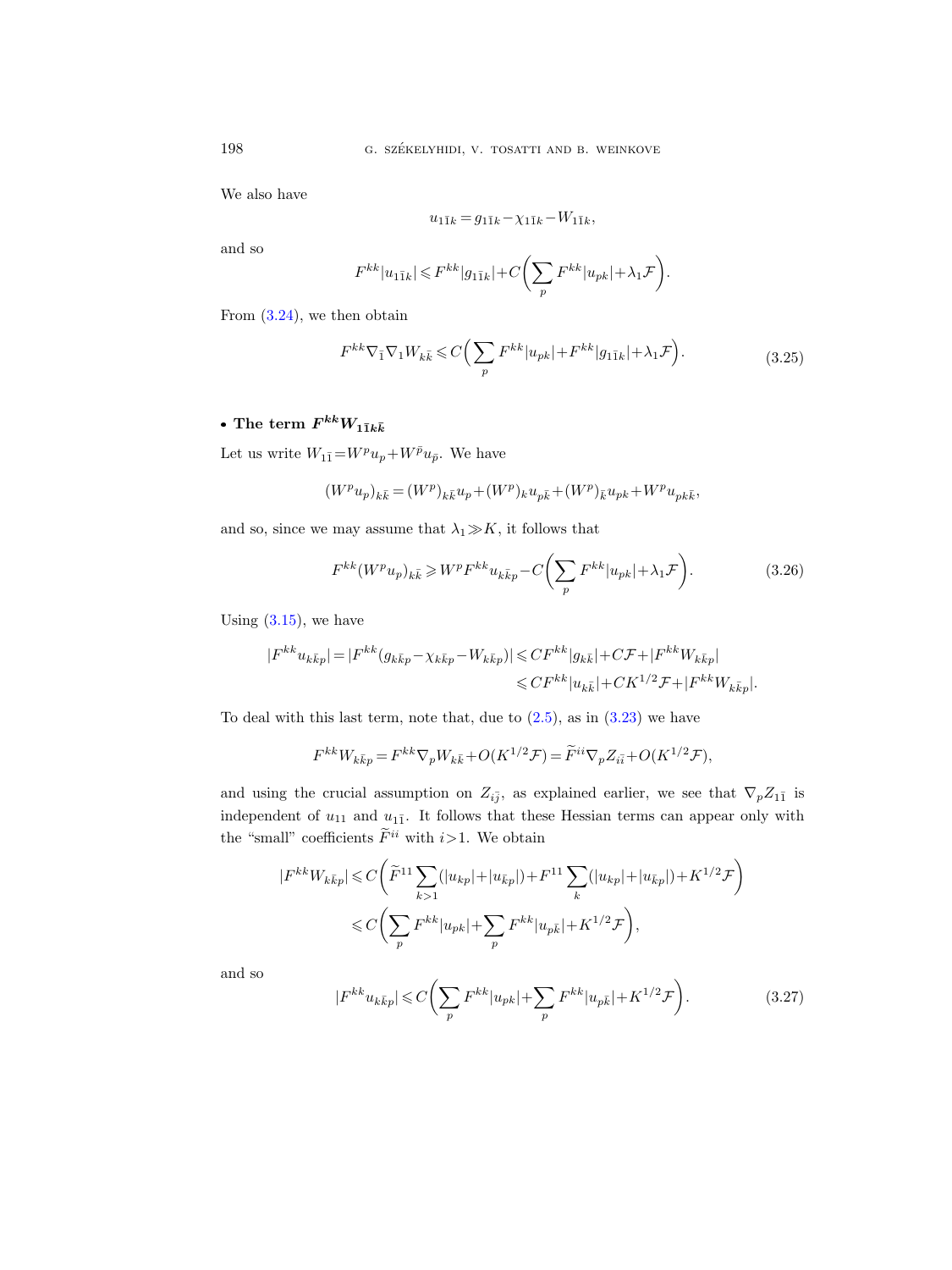We also have

$$
u_{1\bar{1}k} = g_{1\bar{1}k} - \chi_{1\bar{1}k} - W_{1\bar{1}k},
$$

and so

$$
F^{kk} |u_{1\bar{1}k}| \leqslant F^{kk} |g_{1\bar{1}k}| + C \bigg( \sum_p F^{kk} |u_{pk}| + \lambda_1 \mathcal{F} \bigg).
$$

<span id="page-17-1"></span>From  $(3.24)$ , we then obtain

$$
F^{kk}\nabla_{\bar{1}}\nabla_{1}W_{k\bar{k}} \leq C\bigg(\sum_{p} F^{kk}|u_{pk}| + F^{kk}|g_{1\bar{1}k}| + \lambda_{1}\mathcal{F}\bigg). \tag{3.25}
$$

# $\bullet$  The term  $F^{kk}W_{1\bar{1}k\bar{k}}$

Let us write  $W_{1\bar 1}\! =\! W^pu_p\!+\!W^{\bar p}u_{\bar p}.$  We have

$$
(W^pu_p)_{k\bar k}= (W^p)_{k\bar k}u_p + (W^p)_{k}u_{p\bar k} + (W^p)_{\bar k}u_{pk} + W^pu_{pk\bar k},
$$

and so, since we may assume that  $\lambda_1\!\gg\!K,$  it follows that

<span id="page-17-0"></span>
$$
F^{kk}(W^p u_p)_{k\bar{k}} \geqslant W^p F^{kk} u_{k\bar{k}p} - C \left( \sum_p F^{kk} |u_{pk}| + \lambda_1 \mathcal{F} \right). \tag{3.26}
$$

Using  $(3.15)$ , we have

$$
\begin{aligned} |F^{kk}u_{k\bar{k}p}|&=|F^{kk}(g_{k\bar{k}p}-\chi_{k\bar{k}p}-W_{k\bar{k}p})|\leqslant CF^{kk}|g_{k\bar{k}}|+C\mathcal{F}+|F^{kk}W_{k\bar{k}p}|\\ &\leqslant CF^{kk}|u_{k\bar{k}}|+CK^{1/2}\mathcal{F}+|F^{kk}W_{k\bar{k}p}|.\end{aligned}
$$

To deal with this last term, note that, due to  $(2.5)$ , as in  $(3.23)$  we have

$$
F^{kk}W_{k\bar{k}p} = F^{kk}\nabla_p W_{k\bar{k}} + O(K^{1/2}\mathcal{F}) = \widetilde{F}^{ii}\nabla_p Z_{i\bar{i}} + O(K^{1/2}\mathcal{F}),
$$

and using the crucial assumption on  $Z_{i\bar{j}}$ , as explained earlier, we see that  $\nabla_p Z_{1\bar{1}}$  is independent of  $u_{11}$  and  $u_{11}$ . It follows that these Hessian terms can appear only with the "small" coefficients  $\widetilde{F}^{ii}$  with  $i>1$ . We obtain

$$
|F^{kk}W_{k\bar{k}p}| \leq C \left( \tilde{F}^{11} \sum_{k>1} (|u_{kp}| + |u_{\bar{k}p}|) + F^{11} \sum_{k} (|u_{kp}| + |u_{\bar{k}p}|) + K^{1/2} \mathcal{F} \right)
$$
  

$$
\leq C \left( \sum_{p} F^{kk} |u_{pk}| + \sum_{p} F^{kk} |u_{p\bar{k}}| + K^{1/2} \mathcal{F} \right),
$$

and so

<span id="page-17-2"></span>
$$
|F^{kk}u_{k\bar{k}p}| \leq C \bigg(\sum_{p} F^{kk} |u_{pk}| + \sum_{p} F^{kk} |u_{p\bar{k}}| + K^{1/2} \mathcal{F}\bigg). \tag{3.27}
$$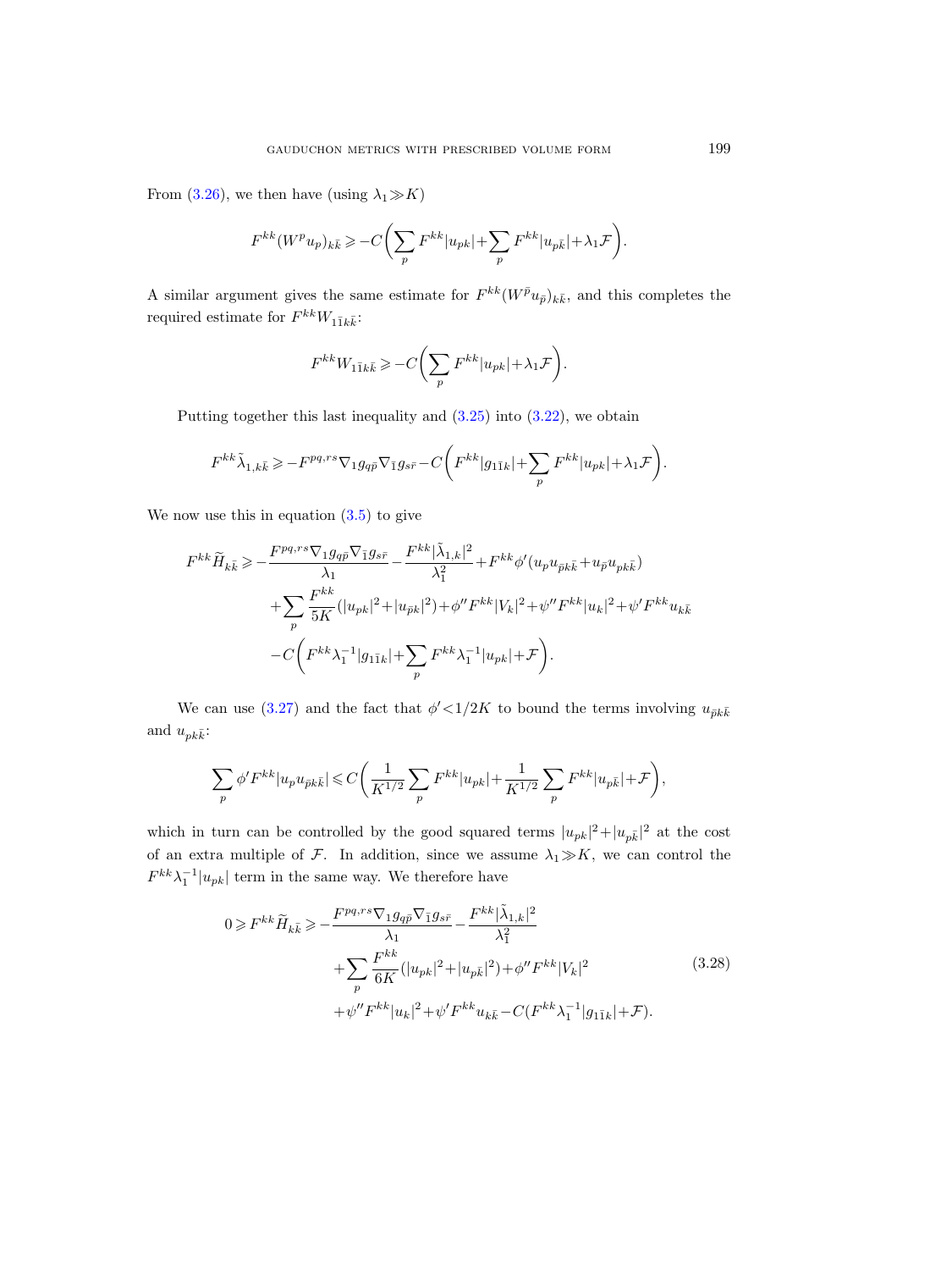From [\(3.26\)](#page-17-0), we then have (using  $\lambda_1 \gg K$ )

$$
F^{kk}(W^pu_p)_{k\bar k}\geqslant -C\biggl(\sum_p F^{kk} |u_{pk}|+\sum_p F^{kk} |u_{p\bar k}|+\lambda_1\mathcal F\biggr).
$$

A similar argument gives the same estimate for  $F^{kk}(W^{\bar{p}}u_{\bar{p}})_{k\bar{k}}$ , and this completes the required estimate for  $F^{kk}W_{1\bar{1}k\bar{k}}$ :

$$
F^{kk}W_{1\bar{1}k\bar{k}} \geqslant -C\bigg(\sum_p F^{kk} |u_{pk}| + \lambda_1 \mathcal{F}\bigg).
$$

Putting together this last inequality and  $(3.25)$  into  $(3.22)$ , we obtain

$$
F^{kk}\tilde{\lambda}_{1,k\bar{k}} \geqslant -F^{pq,rs}\nabla_1 g_{q\bar{p}}\nabla_{\bar{1}}g_{s\bar{r}} - C\bigg(F^{kk}|g_{1\bar{1}k}|+\sum_p F^{kk}|u_{pk}|+\lambda_1\mathcal{F}\bigg).
$$

We now use this in equation  $(3.5)$  to give

$$
F^{kk}\widetilde{H}_{k\bar{k}} \ge -\frac{F^{pq,rs}\nabla_{1}g_{q\bar{p}}\nabla_{\bar{1}}g_{s\bar{r}}}{\lambda_{1}} - \frac{F^{kk}|\widetilde{\lambda}_{1,k}|^{2}}{\lambda_{1}^{2}} + F^{kk}\phi'(u_{p}u_{\bar{p}k\bar{k}} + u_{\bar{p}}u_{p k\bar{k}}) + \sum_{p} \frac{F^{kk}}{5K}(|u_{pk}|^{2} + |u_{\bar{p}k}|^{2}) + \phi''F^{kk}|V_{k}|^{2} + \psi''F^{kk}|u_{k}|^{2} + \psi'F^{kk}u_{k\bar{k}} - C\bigg(F^{kk}\lambda_{1}^{-1}|g_{1\bar{1}k}| + \sum_{p} F^{kk}\lambda_{1}^{-1}|u_{pk}| + \mathcal{F}\bigg).
$$

We can use [\(3.27\)](#page-17-2) and the fact that  $\phi' < 1/2K$  to bound the terms involving  $u_{\bar{p}k\bar{k}}$ and  $u_{pk\bar{k}}$ :

$$
\sum_{p} \phi' F^{kk} |u_p u_{\bar{p} k \bar{k}}| \leqslant C \bigg(\frac{1}{K^{1/2}} \sum_{p} F^{kk} |u_{pk}| + \frac{1}{K^{1/2}} \sum_{p} F^{kk} |u_{p\bar{k}}| + \mathcal{F}\bigg),
$$

which in turn can be controlled by the good squared terms  $|u_{pk}|^2 + |u_{p\bar{k}}|^2$  at the cost of an extra multiple of  $\mathcal F$ . In addition, since we assume  $\lambda_1 \gg K$ , we can control the  $F^{kk}\lambda_1^{-1}|u_{pk}|$  term in the same way. We therefore have

<span id="page-18-0"></span>
$$
0 \geq F^{kk} \widetilde{H}_{k\bar{k}} \geq -\frac{F^{pq,rs} \nabla_1 g_{q\bar{p}} \nabla_{\bar{1}} g_{s\bar{r}}}{\lambda_1} - \frac{F^{kk} |\tilde{\lambda}_{1,k}|^2}{\lambda_1^2} + \sum_{p} \frac{F^{kk}}{6K} (|u_{pk}|^2 + |u_{p\bar{k}}|^2) + \phi'' F^{kk} |V_k|^2 + \psi'' F^{kk} |u_k|^2 + \psi' F^{kk} u_{k\bar{k}} - C(F^{kk} \lambda_1^{-1} |g_{1\bar{1}k}| + \mathcal{F}).
$$
\n(3.28)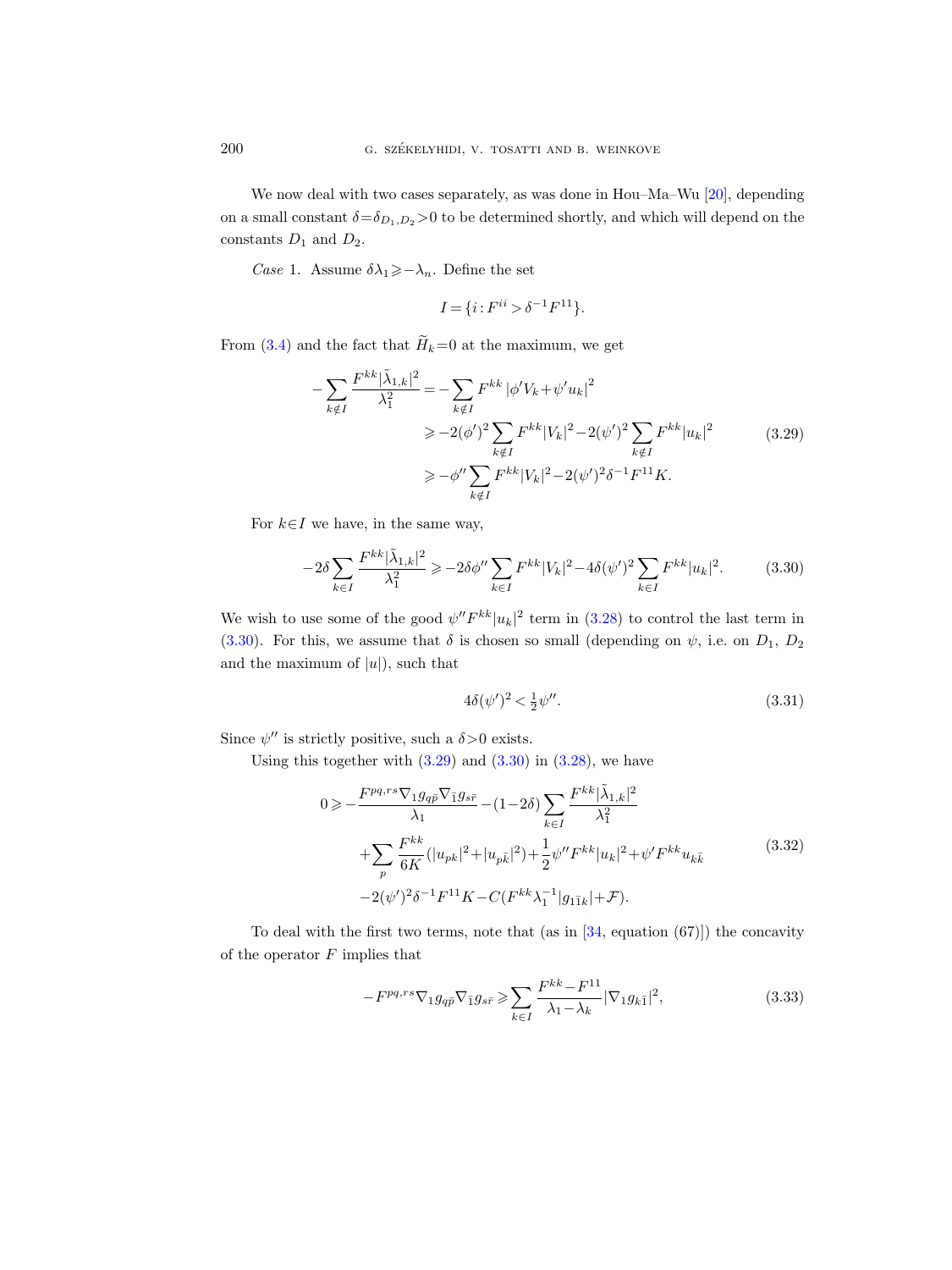We now deal with two cases separately, as was done in Hou–Ma–Wu [\[20\]](#page-29-7), depending on a small constant  $\delta = \delta_{D_1,D_2} > 0$  to be determined shortly, and which will depend on the constants  $D_1$  and  $D_2$ .

*Case* 1. Assume  $\delta \lambda_1 \geqslant -\lambda_n$ . Define the set

$$
I = \{i : F^{ii} > \delta^{-1} F^{11}\}.
$$

<span id="page-19-1"></span>From [\(3.4\)](#page-12-2) and the fact that  $\widetilde{H}_k=0$  at the maximum, we get

$$
-\sum_{k \notin I} \frac{F^{kk}|\tilde{\lambda}_{1,k}|^2}{\lambda_1^2} = -\sum_{k \notin I} F^{kk} |\phi' V_k + \psi' u_k|^2
$$
  
\n
$$
\ge -2(\phi')^2 \sum_{k \notin I} F^{kk} |V_k|^2 - 2(\psi')^2 \sum_{k \notin I} F^{kk} |u_k|^2
$$
  
\n
$$
\ge -\phi'' \sum_{k \notin I} F^{kk} |V_k|^2 - 2(\psi')^2 \delta^{-1} F^{11} K.
$$
\n(3.29)

For  $k \in I$  we have, in the same way,

<span id="page-19-0"></span>
$$
-2\delta \sum_{k\in I} \frac{F^{kk}|\tilde{\lambda}_{1,k}|^2}{\lambda_1^2} \ge -2\delta\phi'' \sum_{k\in I} F^{kk} |V_k|^2 - 4\delta(\psi')^2 \sum_{k\in I} F^{kk} |u_k|^2. \tag{3.30}
$$

We wish to use some of the good  $\psi'' F^{kk} |u_k|^2$  term in  $(3.28)$  to control the last term in [\(3.30\)](#page-19-0). For this, we assume that  $\delta$  is chosen so small (depending on  $\psi$ , i.e. on  $D_1$ ,  $D_2$ and the maximum of  $|u|$ , such that

<span id="page-19-4"></span>
$$
4\delta(\psi')^2 < \frac{1}{2}\psi''.\tag{3.31}
$$

Since  $\psi''$  is strictly positive, such a  $\delta > 0$  exists.

<span id="page-19-2"></span>Using this together with  $(3.29)$  and  $(3.30)$  in  $(3.28)$ , we have

$$
0 \geqslant -\frac{F^{pq,rs}\nabla_{1}g_{q\bar{p}}\nabla_{\bar{1}}g_{s\bar{r}}}{\lambda_{1}} - (1-2\delta)\sum_{k\in I}\frac{F^{kk}|\tilde{\lambda}_{1,k}|^{2}}{\lambda_{1}^{2}} + \sum_{p}\frac{F^{kk}}{6K}(|u_{pk}|^{2}+|u_{p\bar{k}}|^{2}) + \frac{1}{2}\psi''F^{kk}|u_{k}|^{2} + \psi'F^{kk}u_{k\bar{k}} - 2(\psi')^{2}\delta^{-1}F^{11}K - C(F^{kk}\lambda_{1}^{-1}|g_{1\bar{1}k}| + \mathcal{F}).
$$
\n
$$
(3.32)
$$

To deal with the first two terms, note that (as in [\[34,](#page-30-6) equation (67)]) the concavity of the operator  $F$  implies that

<span id="page-19-3"></span>
$$
-F^{pq,rs}\nabla_1 g_{q\bar{p}}\nabla_{\bar{1}}g_{s\bar{r}} \ge \sum_{k\in I} \frac{F^{kk} - F^{11}}{\lambda_1 - \lambda_k} |\nabla_1 g_{k\bar{1}}|^2,\tag{3.33}
$$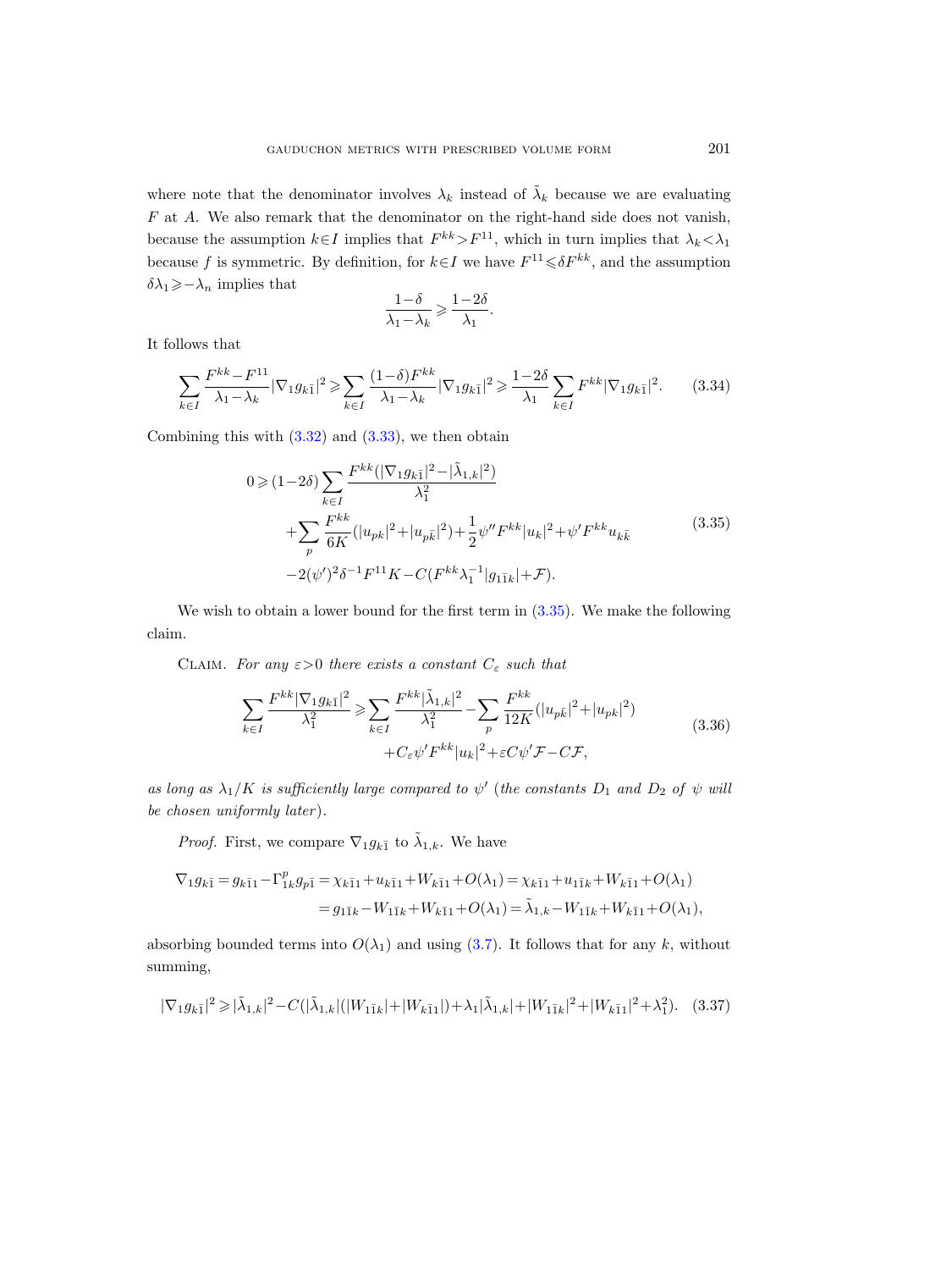where note that the denominator involves  $\lambda_k$  instead of  $\tilde{\lambda}_k$  because we are evaluating F at A. We also remark that the denominator on the right-hand side does not vanish, because the assumption  $k \in I$  implies that  $F^{kk} > F^{11}$ , which in turn implies that  $\lambda_k < \lambda_1$ because f is symmetric. By definition, for  $k \in I$  we have  $F^{11} \leq \delta F^{kk}$ , and the assumption  $\delta \lambda_1\!\geqslant\! -\lambda_n$  implies that

$$
\frac{1-\delta}{\lambda_1-\lambda_k} \geqslant \frac{1-2\delta}{\lambda_1}.
$$

It follows that

$$
\sum_{k \in I} \frac{F^{kk} - F^{11}}{\lambda_1 - \lambda_k} |\nabla_1 g_{k\bar{1}}|^2 \ge \sum_{k \in I} \frac{(1 - \delta)F^{kk}}{\lambda_1 - \lambda_k} |\nabla_1 g_{k\bar{1}}|^2 \ge \frac{1 - 2\delta}{\lambda_1} \sum_{k \in I} F^{kk} |\nabla_1 g_{k\bar{1}}|^2. \tag{3.34}
$$

<span id="page-20-0"></span>Combining this with  $(3.32)$  and  $(3.33)$ , we then obtain

$$
0 \geqslant (1-2\delta) \sum_{k \in I} \frac{F^{kk}(|\nabla_1 g_{k\bar{1}}|^2 - |\tilde{\lambda}_{1,k}|^2)}{\lambda_1^2} + \sum_p \frac{F^{kk}}{6K} (|u_{pk}|^2 + |u_{p\bar{k}}|^2) + \frac{1}{2} \psi'' F^{kk} |u_k|^2 + \psi' F^{kk} u_{k\bar{k}} - 2(\psi')^2 \delta^{-1} F^{11} K - C(F^{kk} \lambda_1^{-1} |g_{1\bar{1}k}| + \mathcal{F}).
$$
\n
$$
(3.35)
$$

We wish to obtain a lower bound for the first term in  $(3.35)$ . We make the following claim.

CLAIM. For any  $\varepsilon > 0$  there exists a constant  $C_{\varepsilon}$  such that

$$
\sum_{k\in I} \frac{F^{kk}|\nabla_1 g_{k\bar{1}}|^2}{\lambda_1^2} \ge \sum_{k\in I} \frac{F^{kk}|\tilde{\lambda}_{1,k}|^2}{\lambda_1^2} - \sum_p \frac{F^{kk}}{12K} (|u_{p\bar{k}}|^2 + |u_{pk}|^2) + C_{\varepsilon} \psi' F^{kk} |u_k|^2 + \varepsilon C \psi' \mathcal{F} - C \mathcal{F},
$$
\n(3.36)

as long as  $\lambda_1/K$  is sufficiently large compared to  $\psi'$  (the constants  $D_1$  and  $D_2$  of  $\psi$  will be chosen uniformly later).

*Proof.* First, we compare  $\nabla_1 g_{k\bar{1}}$  to  $\tilde{\lambda}_{1,k}$ . We have

$$
\nabla_1 g_{k\bar{1}} = g_{k\bar{1}1} - \Gamma_{1k}^p g_{p\bar{1}} = \chi_{k\bar{1}1} + u_{k\bar{1}1} + W_{k\bar{1}1} + O(\lambda_1) = \chi_{k\bar{1}1} + u_{1\bar{1}k} + W_{k\bar{1}1} + O(\lambda_1)
$$
  
=  $g_{1\bar{1}k} - W_{1\bar{1}k} + W_{k\bar{1}1} + O(\lambda_1) = \tilde{\lambda}_{1,k} - W_{1\bar{1}k} + W_{k\bar{1}1} + O(\lambda_1),$ 

absorbing bounded terms into  $O(\lambda_1)$  and using [\(3.7\)](#page-13-3). It follows that for any k, without summing,

<span id="page-20-1"></span>
$$
|\nabla_1 g_{k\bar{1}}|^2 \geqslant |\tilde{\lambda}_{1,k}|^2 - C(|\tilde{\lambda}_{1,k}|(|W_{1\bar{1}k}| + |W_{k\bar{1}1}|) + \lambda_1 |\tilde{\lambda}_{1,k}| + |W_{1\bar{1}k}|^2 + |W_{k\bar{1}1}|^2 + \lambda_1^2). \tag{3.37}
$$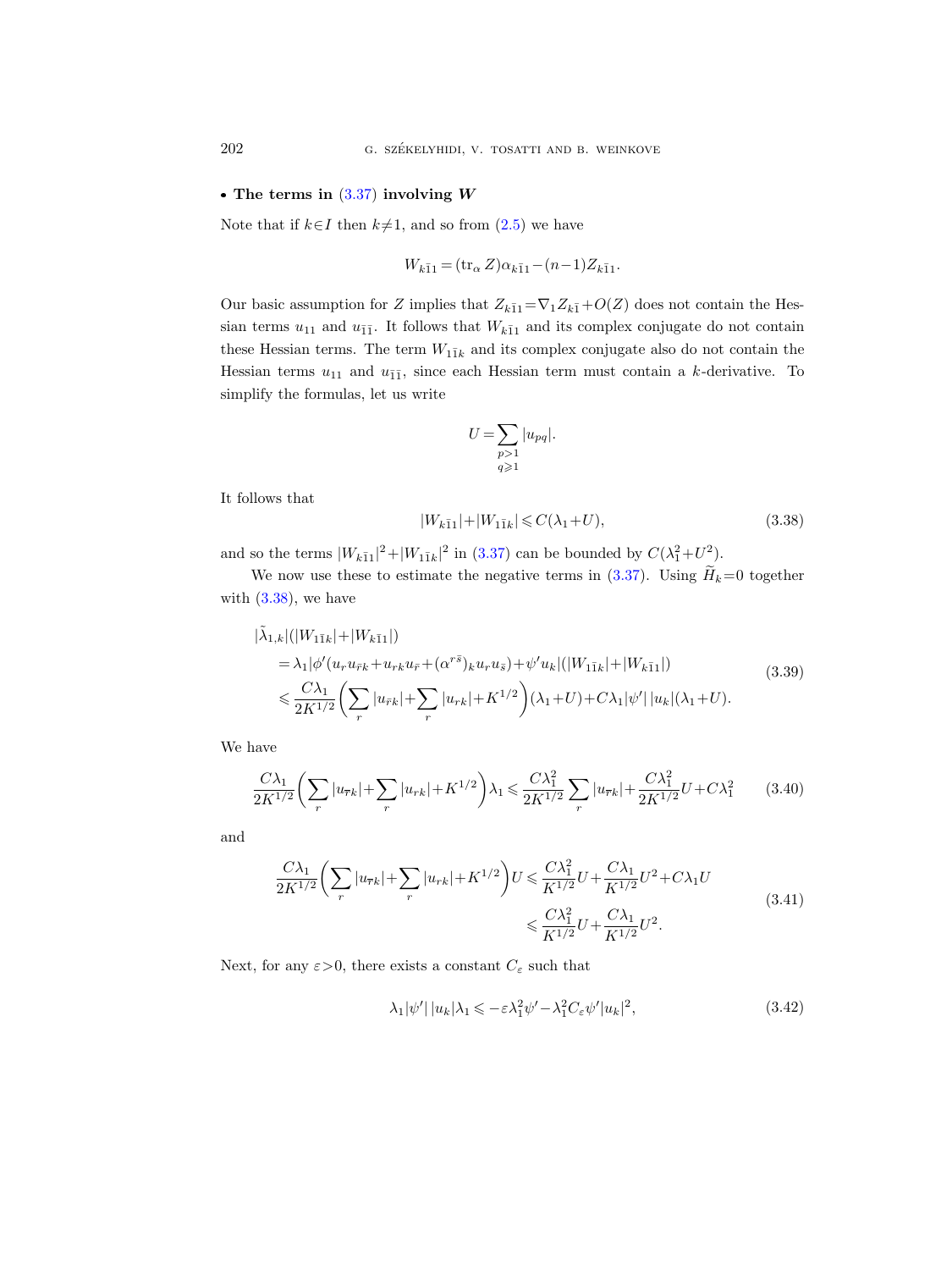#### • The terms in  $(3.37)$  involving W

Note that if  $k\in I$  then  $k\neq 1$ , and so from  $(2.5)$  we have

$$
W_{k\bar{1}1} = (\text{tr}_{\alpha} Z)\alpha_{k\bar{1}1} - (n-1)Z_{k\bar{1}1}.
$$

Our basic assumption for Z implies that  $Z_{k\bar{1}1} = \nabla_1 Z_{k\bar{1}} + O(Z)$  does not contain the Hessian terms  $u_{11}$  and  $u_{\bar{1}\bar{1}}$ . It follows that  $W_{k\bar{1}1}$  and its complex conjugate do not contain these Hessian terms. The term  $W_{1\bar{1}k}$  and its complex conjugate also do not contain the Hessian terms  $u_{11}$  and  $u_{\bar{1}\bar{1}}$ , since each Hessian term must contain a k-derivative. To simplify the formulas, let us write

$$
U = \sum_{\substack{p>1\\q\geqslant 1}} |u_{pq}|.
$$

It follows that

<span id="page-21-0"></span>
$$
|W_{k\bar{1}1}|+|W_{1\bar{1}k}|\leqslant C(\lambda_1+U),\eqno(3.38)
$$

and so the terms  $|W_{k\bar{1}1}|^2 + |W_{1\bar{1}k}|^2$  in [\(3.37\)](#page-20-1) can be bounded by  $C(\lambda_1^2 + U^2)$ .

We now use these to estimate the negative terms in  $(3.37)$ . Using  $\widetilde{H}_k=0$  together with  $(3.38)$ , we have

<span id="page-21-1"></span>
$$
\begin{split}\n|\tilde{\lambda}_{1,k}|(|W_{1\bar{1}k}|+|W_{k\bar{1}1}|) \\
&= \lambda_1 |\phi'(u_r u_{\bar{r}k} + u_{r\bar{k}} u_{\bar{r}} + (\alpha^{r\bar{s}})_{k} u_{r} u_{\bar{s}}) + \psi' u_k |(|W_{1\bar{1}k}| + |W_{k\bar{1}1}|) \\
&\leq \frac{C\lambda_1}{2K^{1/2}} \left(\sum_r |u_{\bar{r}k}| + \sum_r |u_{r\bar{k}}| + K^{1/2}\right) (\lambda_1 + U) + C\lambda_1 |\psi'| |u_k| (\lambda_1 + U).\n\end{split} \tag{3.39}
$$

We have

<span id="page-21-2"></span>
$$
\frac{C\lambda_1}{2K^{1/2}}\left(\sum_r |u_{\overline{r}k}| + \sum_r |u_{rk}| + K^{1/2}\right)\lambda_1 \leq \frac{C\lambda_1^2}{2K^{1/2}}\sum_r |u_{\overline{r}k}| + \frac{C\lambda_1^2}{2K^{1/2}}U + C\lambda_1^2\tag{3.40}
$$

and

$$
\frac{C\lambda_1}{2K^{1/2}} \left( \sum_r |u_{\overline{r}k}| + \sum_r |u_{rk}| + K^{1/2} \right) U \leqslant \frac{C\lambda_1^2}{K^{1/2}} U + \frac{C\lambda_1}{K^{1/2}} U^2 + C\lambda_1 U
$$
\n
$$
\leqslant \frac{C\lambda_1^2}{K^{1/2}} U + \frac{C\lambda_1}{K^{1/2}} U^2. \tag{3.41}
$$

Next, for any  $\varepsilon > 0$ , there exists a constant  $C_{\varepsilon}$  such that

$$
\lambda_1 |\psi'| |u_k| \lambda_1 \leqslant -\varepsilon \lambda_1^2 \psi' - \lambda_1^2 C_\varepsilon \psi' |u_k|^2,
$$
\n(3.42)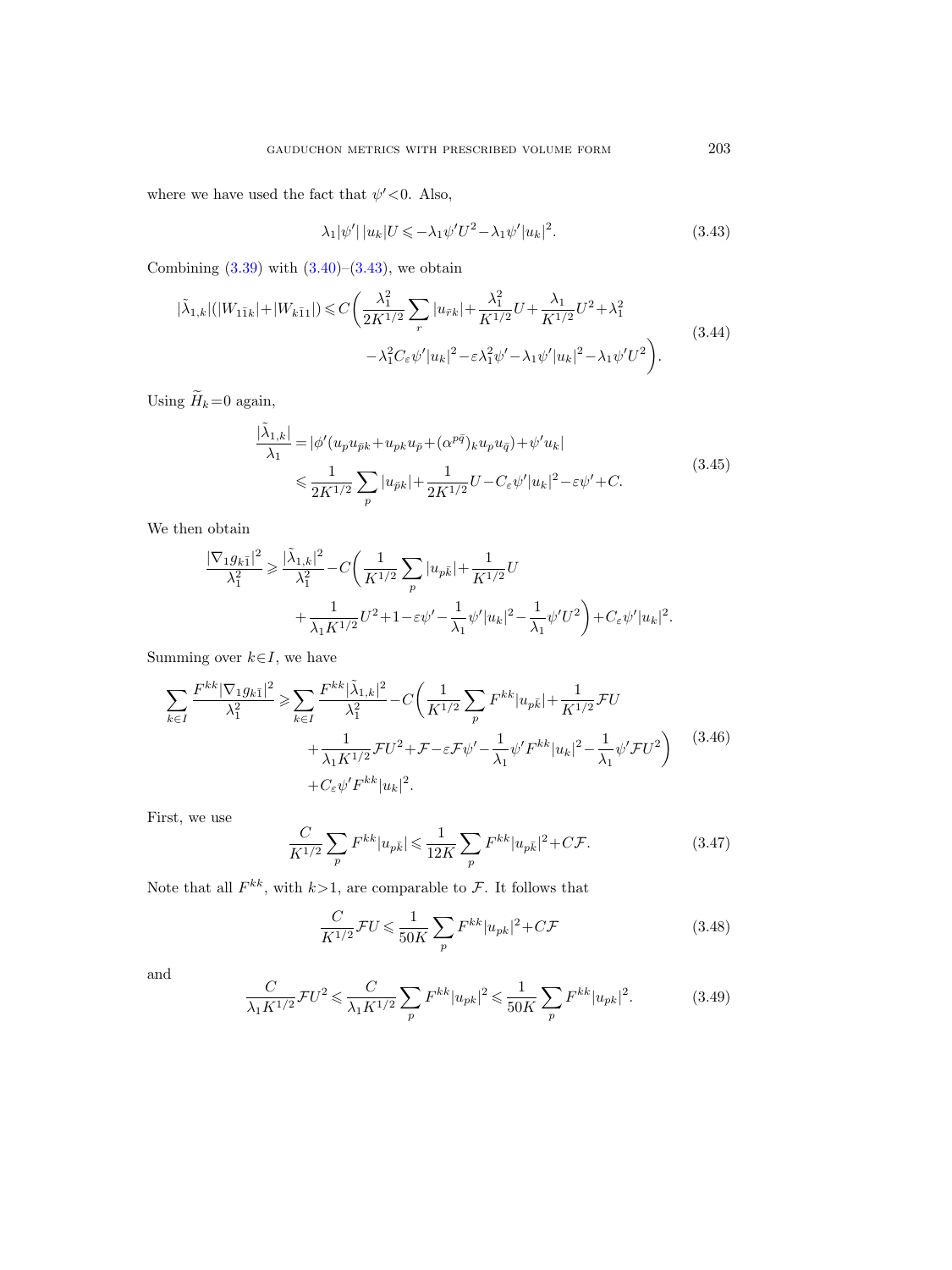where we have used the fact that  $\psi' < 0$ . Also,

<span id="page-22-0"></span>
$$
\lambda_1 |\psi'| |u_k | U \leqslant -\lambda_1 \psi' U^2 - \lambda_1 \psi' |u_k|^2. \tag{3.43}
$$

Combining  $(3.39)$  with  $(3.40)$ – $(3.43)$ , we obtain

$$
|\tilde{\lambda}_{1,k}|(|W_{1\bar{1}k}|+|W_{k\bar{1}1}|) \leq C \bigg(\frac{\lambda_1^2}{2K^{1/2}} \sum_r |u_{\bar{r}k}| + \frac{\lambda_1^2}{K^{1/2}} U + \frac{\lambda_1}{K^{1/2}} U^2 + \lambda_1^2
$$
\n
$$
-\lambda_1^2 C_\varepsilon \psi' |u_k|^2 - \varepsilon \lambda_1^2 \psi' - \lambda_1 \psi' |u_k|^2 - \lambda_1 \psi' U^2 \bigg). \tag{3.44}
$$

<span id="page-22-3"></span>Using  $\widetilde{H}_k=0$  again,

$$
\frac{|\tilde{\lambda}_{1,k}|}{\lambda_1} = |\phi'(u_p u_{\bar{p}k} + u_{pk} u_{\bar{p}} + (\alpha^{p\bar{q}})_k u_p u_{\bar{q}}) + \psi' u_k|
$$
\n
$$
\leq \frac{1}{2K^{1/2}} \sum_p |u_{\bar{p}k}| + \frac{1}{2K^{1/2}} U - C_{\varepsilon} \psi' |u_k|^2 - \varepsilon \psi' + C.
$$
\n(3.45)

We then obtain

$$
\label{eq:11} \begin{split} \frac{|\nabla_1 g_{k\bar{1}}|^2}{\lambda_1^2} &\geqslant \frac{|\tilde{\lambda}_{1,k}|^2}{\lambda_1^2} - C\bigg(\frac{1}{K^{1/2}}\sum_p |u_{p\bar{k}}| + \frac{1}{K^{1/2}}U \\ &\qquad\qquad + \frac{1}{\lambda_1 K^{1/2}}U^2 + 1 - \varepsilon\psi' - \frac{1}{\lambda_1}\psi'|u_k|^2 - \frac{1}{\lambda_1}\psi'U^2\bigg) + C_\varepsilon\psi'|u_k|^2. \end{split}
$$

Summing over  $k \in I$ , we have

<span id="page-22-2"></span>
$$
\sum_{k \in I} \frac{F^{kk} |\nabla_1 g_{k\bar{1}}|^2}{\lambda_1^2} \ge \sum_{k \in I} \frac{F^{kk} |\tilde{\lambda}_{1,k}|^2}{\lambda_1^2} - C \left( \frac{1}{K^{1/2}} \sum_p F^{kk} |u_{p\bar{k}}| + \frac{1}{K^{1/2}} \mathcal{F}U + \frac{1}{\lambda_1 K^{1/2}} \mathcal{F}U^2 + \mathcal{F} - \varepsilon \mathcal{F}\psi' - \frac{1}{\lambda_1} \psi' F^{kk} |u_k|^2 - \frac{1}{\lambda_1} \psi' \mathcal{F}U^2 \right) \tag{3.46}
$$
  
+  $C_{\varepsilon} \psi' F^{kk} |u_k|^2$ .

First, we use

<span id="page-22-1"></span>
$$
\frac{C}{K^{1/2}} \sum_{p} F^{kk} |u_{p\bar{k}}| \leq \frac{1}{12K} \sum_{p} F^{kk} |u_{p\bar{k}}|^2 + C\mathcal{F}.
$$
 (3.47)

Note that all  $F^{kk}$ , with  $k>1$ , are comparable to F. It follows that

$$
\frac{C}{K^{1/2}}\mathcal{F}U \le \frac{1}{50K} \sum_{p} F^{kk} |u_{pk}|^2 + C\mathcal{F}
$$
\n(3.48)

and

$$
\frac{C}{\lambda_1 K^{1/2}} \mathcal{F} U^2 \leqslant \frac{C}{\lambda_1 K^{1/2}} \sum_p F^{kk} |u_{pk}|^2 \leqslant \frac{1}{50K} \sum_p F^{kk} |u_{pk}|^2. \tag{3.49}
$$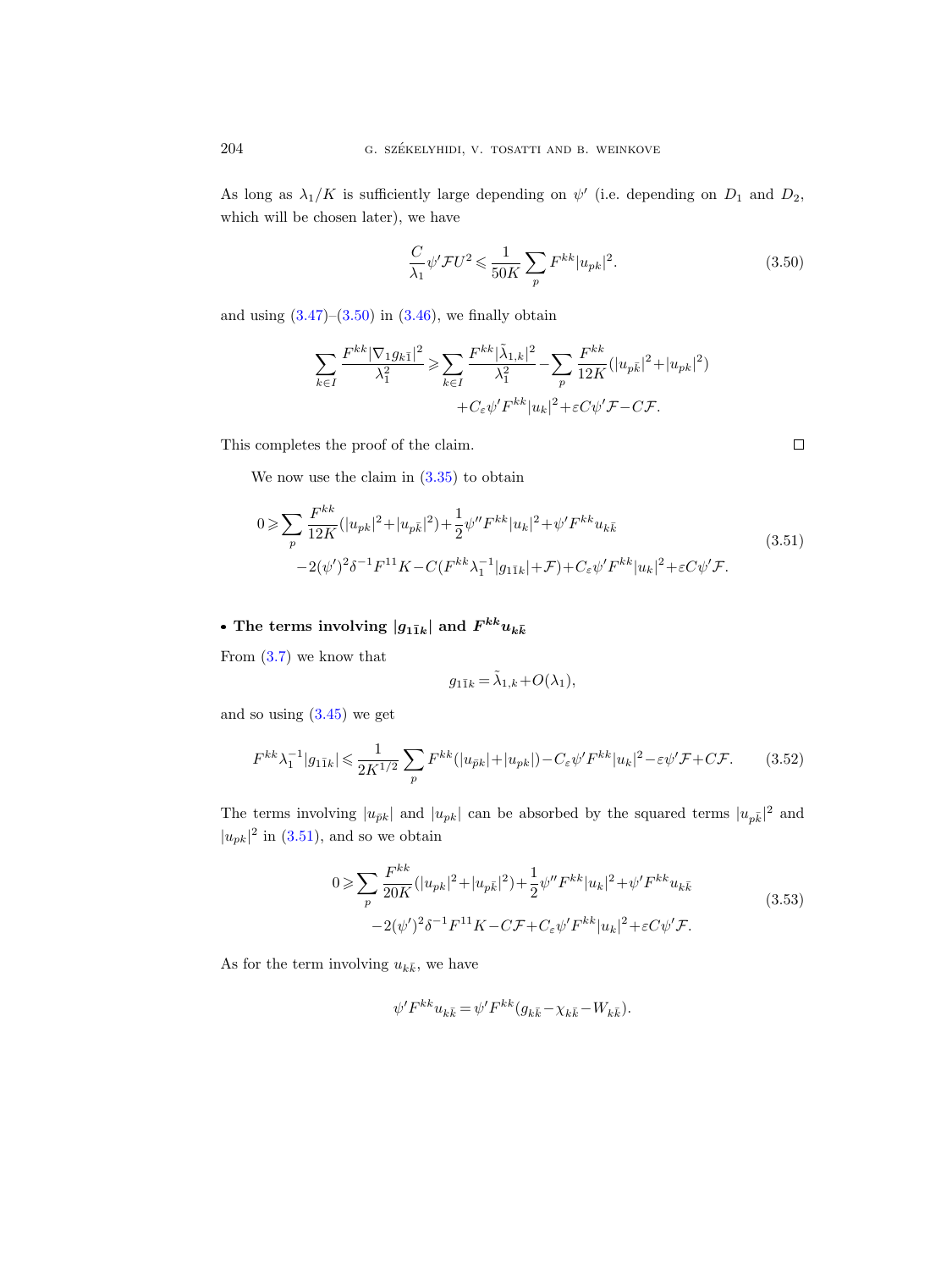As long as  $\lambda_1/K$  is sufficiently large depending on  $\psi'$  (i.e. depending on  $D_1$  and  $D_2$ , which will be chosen later), we have

<span id="page-23-0"></span>
$$
\frac{C}{\lambda_1} \psi' \mathcal{F} U^2 \leqslant \frac{1}{50K} \sum_p F^{kk} |u_{pk}|^2.
$$
\n(3.50)

and using  $(3.47)$ – $(3.50)$  in  $(3.46)$ , we finally obtain

$$
\begin{split} \sum_{k\in I}\frac{F^{kk}|\nabla_1 g_{k\bar{1}}|^2}{\lambda_1^2}\geqslant&\sum_{k\in I}\frac{F^{kk}|\tilde{\lambda}_{1,k}|^2}{\lambda_1^2}-\sum_{p}\frac{F^{kk}}{12K}(|u_{p\bar{k}}|^2+|u_{pk}|^2)\\ &+C_\varepsilon\psi'F^{kk}|u_k|^2+\varepsilon C\psi'\mathcal{F}-C\mathcal{F}. \end{split}
$$

This completes the proof of the claim.

We now use the claim in [\(3.35\)](#page-20-0) to obtain

<span id="page-23-1"></span>
$$
0 \geqslant \sum_{p} \frac{F^{kk}}{12K} (|u_{pk}|^2 + |u_{p\bar{k}}|^2) + \frac{1}{2} \psi'' F^{kk} |u_k|^2 + \psi' F^{kk} u_{k\bar{k}} - 2(\psi')^2 \delta^{-1} F^{11} K - C(F^{kk} \lambda_1^{-1} |g_{1\bar{1}k}| + \mathcal{F}) + C_{\varepsilon} \psi' F^{kk} |u_k|^2 + \varepsilon C \psi' \mathcal{F}.
$$
\n
$$
(3.51)
$$

# • The terms involving  $|g_{1\bar{1}k}|$  and  $F^{kk}u_{k\bar{k}}$

From [\(3.7\)](#page-13-3) we know that

$$
g_{1\bar{1}k} = \tilde{\lambda}_{1,k} + O(\lambda_1),
$$

and so using  $(3.45)$  we get

$$
F^{kk}\lambda_1^{-1}|g_{1\bar{1}k}| \leq \frac{1}{2K^{1/2}} \sum_p F^{kk}(|u_{\bar{p}k}| + |u_{pk}|) - C_{\varepsilon}\psi'F^{kk}|u_k|^2 - \varepsilon\psi'\mathcal{F} + C\mathcal{F}.
$$
 (3.52)

The terms involving  $|u_{\bar{p}k}|$  and  $|u_{pk}|$  can be absorbed by the squared terms  $|u_{p\bar{k}}|^2$  and  $|u_{pk}|^2$  in [\(3.51\)](#page-23-1), and so we obtain

$$
0 \geqslant \sum_{p} \frac{F^{kk}}{20K} (|u_{pk}|^2 + |u_{p\bar{k}}|^2) + \frac{1}{2} \psi'' F^{kk} |u_k|^2 + \psi' F^{kk} u_{k\bar{k}} - 2(\psi')^2 \delta^{-1} F^{11} K - C \mathcal{F} + C_{\varepsilon} \psi' F^{kk} |u_k|^2 + \varepsilon C \psi' \mathcal{F}.
$$
 (3.53)

<span id="page-23-2"></span>As for the term involving  $u_{k\bar{k}}$ , we have

$$
\psi' F^{kk} u_{k\bar{k}} = \psi' F^{kk} (g_{k\bar{k}} - \chi_{k\bar{k}} - W_{k\bar{k}}).
$$

 $\Box$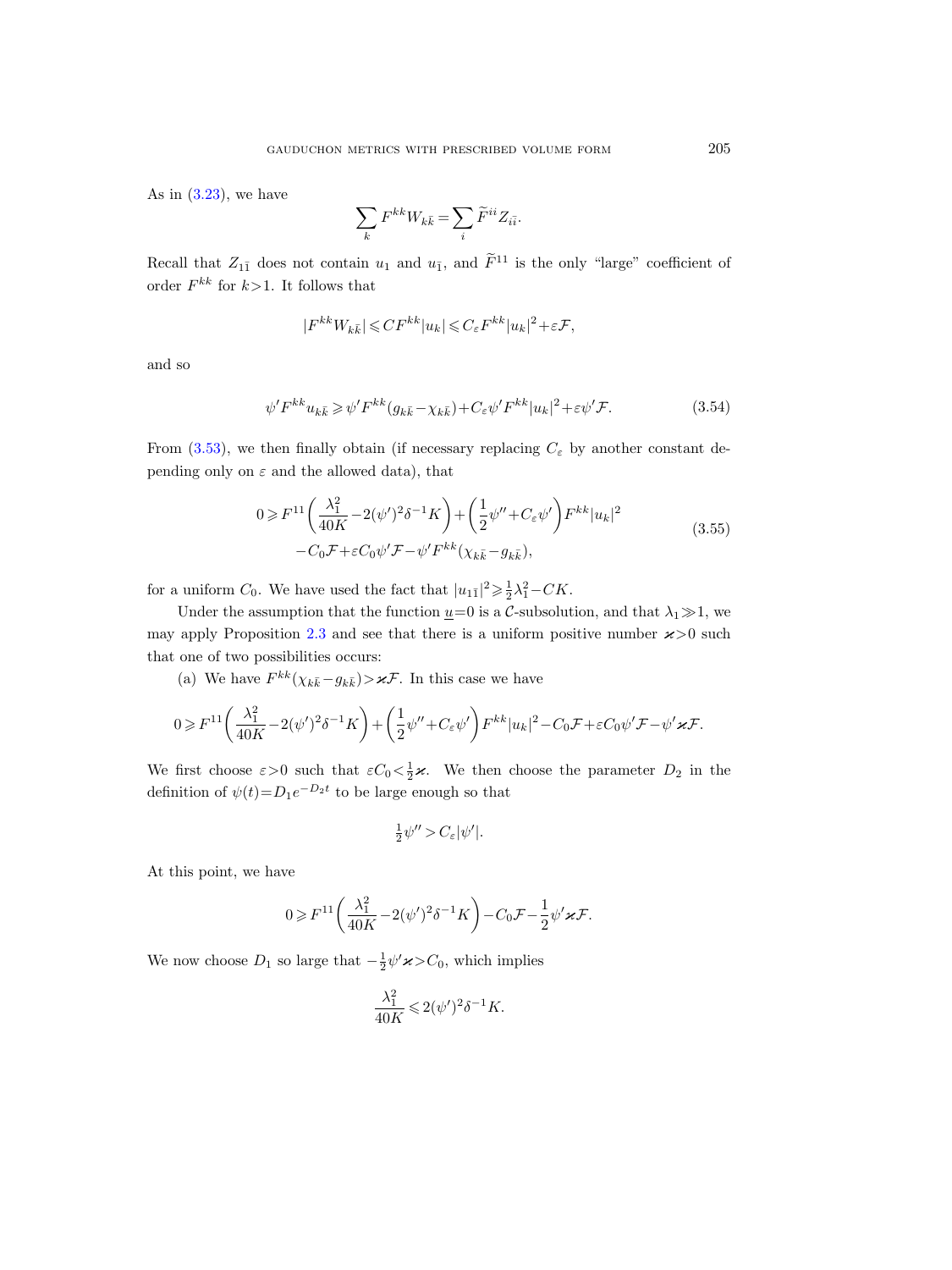As in  $(3.23)$ , we have

$$
\sum_{k} F^{kk} W_{k\bar{k}} = \sum_{i} \widetilde{F}^{ii} Z_{i\bar{i}}
$$

Recall that  $Z_{1\bar{1}}$  does not contain  $u_1$  and  $u_{\bar{1}}$ , and  $\tilde{F}^{11}$  is the only "large" coefficient of order  $F^{kk}$  for  $k>1$ . It follows that

$$
|F^{kk}W_{k\bar k}|\leqslant CF^{kk}|u_k|\leqslant C_\varepsilon F^{kk}|u_k|^2+\varepsilon\mathcal F,
$$

and so

$$
\psi' F^{kk} u_{k\bar{k}} \geqslant \psi' F^{kk} (g_{k\bar{k}} - \chi_{k\bar{k}}) + C_{\varepsilon} \psi' F^{kk} |u_k|^2 + \varepsilon \psi' \mathcal{F}.
$$
\n
$$
(3.54)
$$

.

From [\(3.53\)](#page-23-2), we then finally obtain (if necessary replacing  $C_{\varepsilon}$  by another constant depending only on  $\varepsilon$  and the allowed data), that

$$
0 \geq F^{11}\left(\frac{\lambda_1^2}{40K} - 2(\psi')^2 \delta^{-1} K\right) + \left(\frac{1}{2}\psi'' + C_{\varepsilon}\psi'\right) F^{kk} |u_k|^2
$$
  

$$
-C_0 \mathcal{F} + \varepsilon C_0 \psi' \mathcal{F} - \psi' F^{kk} (\chi_{k\bar{k}} - g_{k\bar{k}}),
$$
 (3.55)

<span id="page-24-0"></span>for a uniform  $C_0$ . We have used the fact that  $|u_{1\bar{1}}|^2 \geq \frac{1}{2}\lambda_1^2 - CK$ .

Under the assumption that the function  $\underline{u}=0$  is a C-subsolution, and that  $\lambda_1 \gg 1$ , we may apply Proposition [2.3](#page-9-1) and see that there is a uniform positive number  $\varkappa > 0$  such that one of two possibilities occurs:

(a) We have  $F^{kk}(\chi_{k\bar{k}}-g_{k\bar{k}}) > \varkappa \mathcal{F}$ . In this case we have

$$
0 \geqslant F^{11}\bigg(\frac{\lambda_1^2}{40K}-2(\psi')^2\delta^{-1}K\bigg)+\bigg(\frac{1}{2}\psi''+C_\varepsilon\psi'\bigg)F^{kk}|u_k|^2-C_0\mathcal{F}+\varepsilon C_0\psi'\mathcal{F}-\psi'\varkappa\mathcal{F}.
$$

We first choose  $\varepsilon > 0$  such that  $\varepsilon C_0 < \frac{1}{2}\varkappa$ . We then choose the parameter  $D_2$  in the definition of  $\psi(t) = D_1 e^{-D_2 t}$  to be large enough so that

$$
\frac{1}{2}\psi'' > C_{\varepsilon}|\psi'|.
$$

At this point, we have

$$
0 \geq F^{11}\left(\frac{\lambda_1^2}{40K} - 2(\psi')^2 \delta^{-1} K\right) - C_0 \mathcal{F} - \frac{1}{2} \psi' \varkappa \mathcal{F}.
$$

We now choose  $D_1$  so large that  $-\frac{1}{2}\psi' \varkappa > C_0$ , which implies

$$
\frac{\lambda_1^2}{40K} \leqslant 2(\psi')^2 \delta^{-1} K.
$$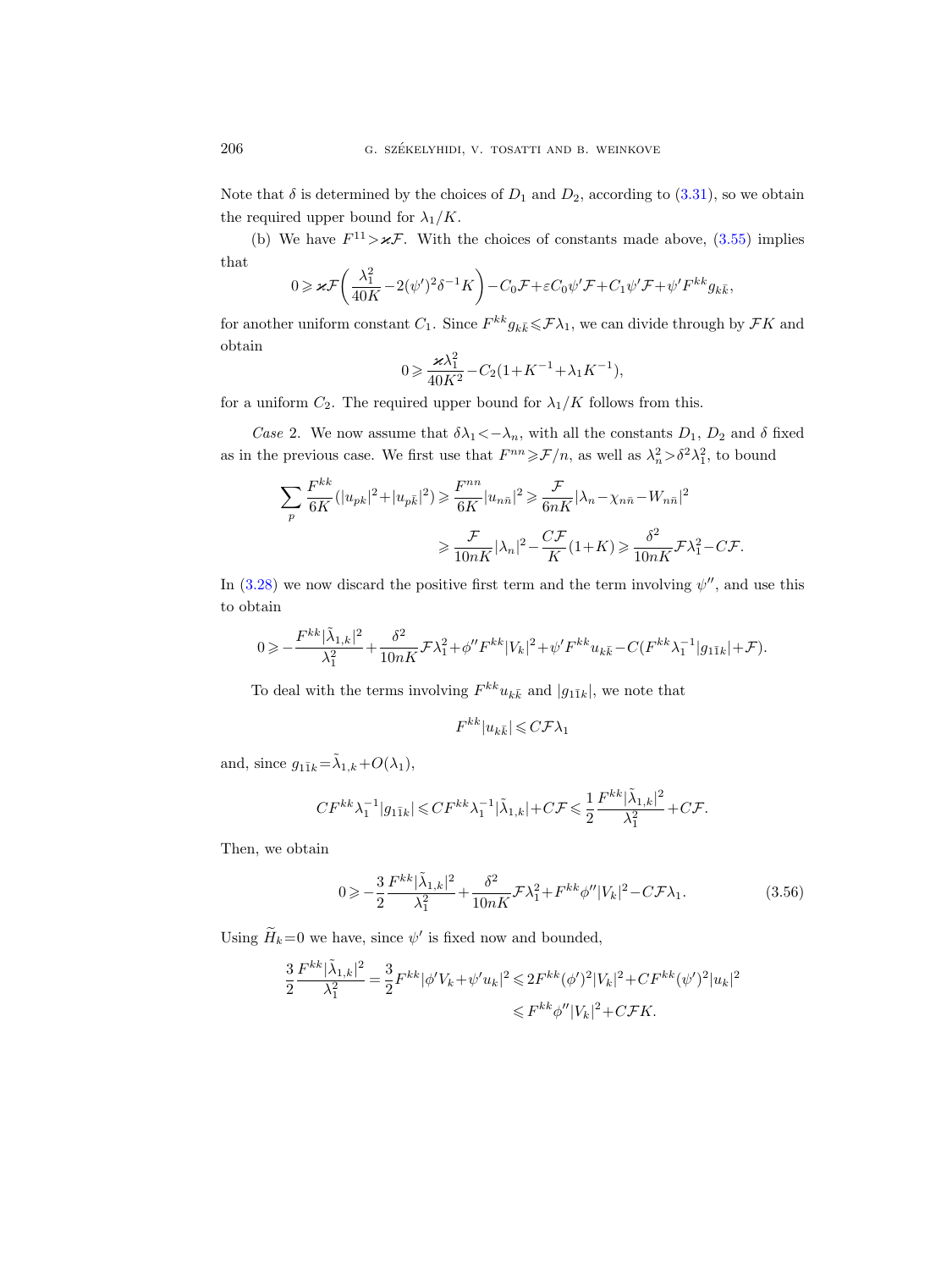Note that  $\delta$  is determined by the choices of  $D_1$  and  $D_2$ , according to [\(3.31\)](#page-19-4), so we obtain the required upper bound for  $\lambda_1/K$ .

(b) We have  $F^{11} > \varkappa \mathcal{F}$ . With the choices of constants made above, [\(3.55\)](#page-24-0) implies that

$$
0 \geqslant \varkappa \mathcal{F}\left(\frac{\lambda_1^2}{40K} - 2(\psi')^2 \delta^{-1} K\right) - C_0 \mathcal{F} + \varepsilon C_0 \psi' \mathcal{F} + C_1 \psi' \mathcal{F} + \psi' F^{kk} g_{k\bar{k}},
$$

for another uniform constant  $C_1$ . Since  $F^{kk}g_{k\bar{k}} \leq \mathcal{F}\lambda_1$ , we can divide through by  $\mathcal{F}K$  and obtain

$$
0\geqslant \frac{\varkappa \lambda_1^2}{40K^2}-C_2(1+K^{-1}+\lambda_1 K^{-1}),
$$

for a uniform  $C_2$ . The required upper bound for  $\lambda_1/K$  follows from this.

Case 2. We now assume that  $\delta \lambda_1 \langle -\lambda_n$ , with all the constants  $D_1$ ,  $D_2$  and  $\delta$  fixed as in the previous case. We first use that  $F^{nn} \geqslant \mathcal{F}/n$ , as well as  $\lambda_n^2 > \delta^2 \lambda_1^2$ , to bound

$$
\sum_{p} \frac{F^{kk}}{6K} (|u_{pk}|^2 + |u_{p\bar{k}}|^2) \geq \frac{F^{nn}}{6K} |u_{n\bar{n}}|^2 \geq \frac{\mathcal{F}}{6nK} |\lambda_n - \chi_{n\bar{n}} - W_{n\bar{n}}|^2
$$

$$
\geq \frac{\mathcal{F}}{10nK} |\lambda_n|^2 - \frac{C\mathcal{F}}{K} (1+K) \geq \frac{\delta^2}{10nK} \mathcal{F} \lambda_1^2 - C\mathcal{F}.
$$

In  $(3.28)$  we now discard the positive first term and the term involving  $\psi''$ , and use this to obtain

$$
0\geqslant -\frac{F^{kk}|\tilde{\lambda}_{1,k}|^2}{\lambda_{1}^{2}}+\frac{\delta^{2}}{10nK}\mathcal{F}\lambda_{1}^{2}+\phi''F^{kk}|V_{k}|^2+\psi'F^{kk}u_{k\bar{k}}-C(F^{kk}\lambda_{1}^{-1}|g_{1\bar{1}k}|+\mathcal{F}).
$$

To deal with the terms involving  $F^{kk}u_{k\bar{k}}$  and  $|g_{1\bar{1}k}|$ , we note that

$$
F^{kk} |u_{k\bar{k}}| \leqslant C \mathcal{F} \lambda_1
$$

and, since  $g_{1\bar{1}k} = \tilde{\lambda}_{1,k} + O(\lambda_1)$ ,

$$
CF^{kk}\lambda_1^{-1}|g_{1\bar{1}k}|\leqslant CF^{kk}\lambda_1^{-1}|\tilde{\lambda}_{1,k}|+C\mathcal{F}\leqslant \frac{1}{2}\frac{F^{kk}|\tilde{\lambda}_{1,k}|^2}{\lambda_1^2}+C\mathcal{F}.
$$

Then, we obtain

<span id="page-25-0"></span>
$$
0 \geqslant -\frac{3}{2} \frac{F^{kk} |\tilde{\lambda}_{1,k}|^2}{\lambda_1^2} + \frac{\delta^2}{10nK} \mathcal{F} \lambda_1^2 + F^{kk} \phi'' |V_k|^2 - C \mathcal{F} \lambda_1. \tag{3.56}
$$

Using  $\widetilde{H}_k=0$  we have, since  $\psi'$  is fixed now and bounded,

$$
\frac{3}{2}\frac{F^{kk}|\tilde{\lambda}_{1,k}|^2}{\lambda_1^2} = \frac{3}{2}F^{kk}|\phi'V_k + \psi'u_k|^2 \leq 2F^{kk}(\phi')^2|V_k|^2 + CF^{kk}(\psi')^2|u_k|^2
$$
  

$$
\leq F^{kk}\phi''|V_k|^2 + C\mathcal{F}K.
$$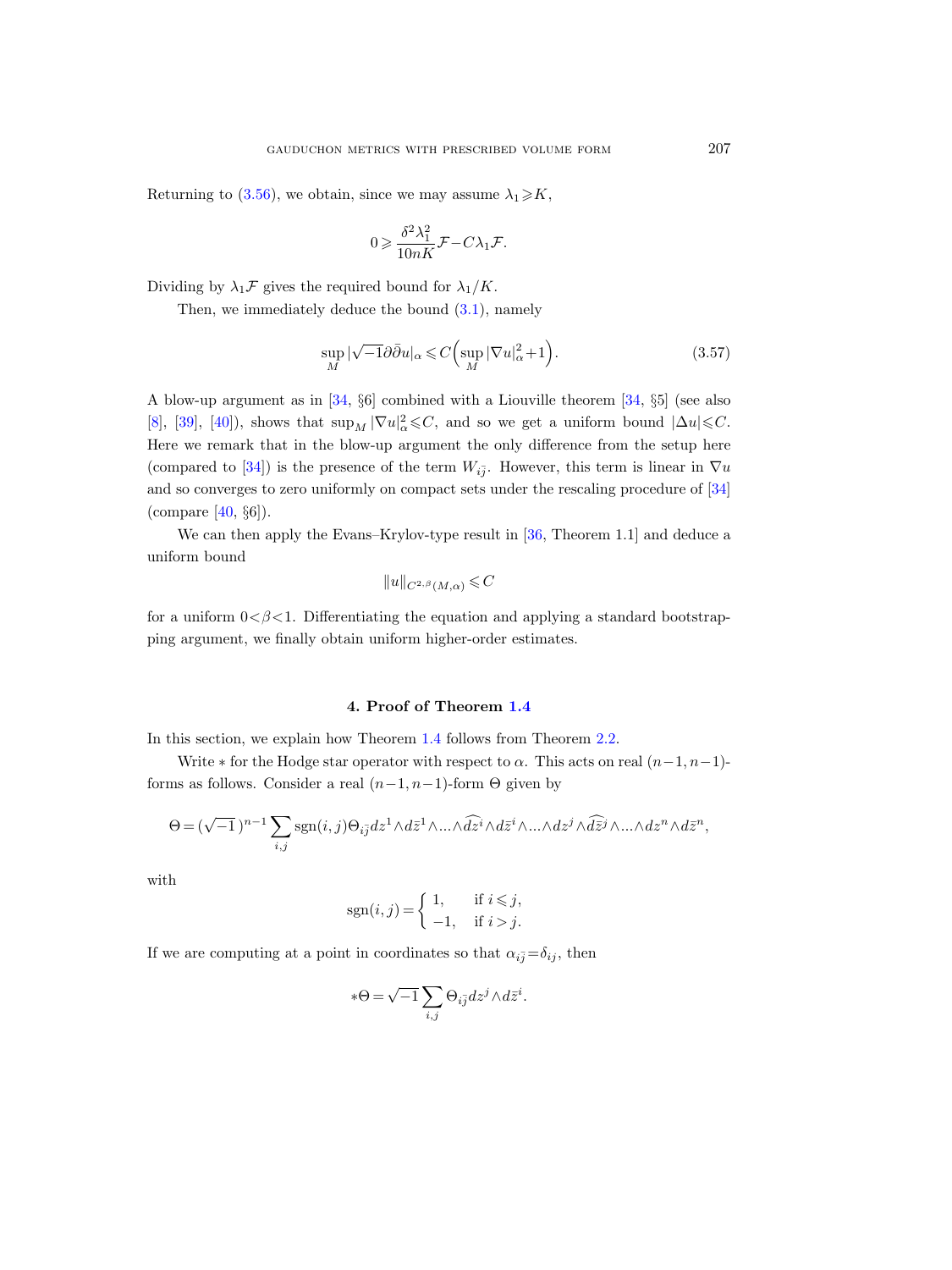Returning to [\(3.56\)](#page-25-0), we obtain, since we may assume  $\lambda_1 \geq K$ ,

$$
0 \geqslant \frac{\delta^2 \lambda_1^2}{10nK} \mathcal{F} - C\lambda_1 \mathcal{F}.
$$

Dividing by  $\lambda_1 \mathcal{F}$  gives the required bound for  $\lambda_1/K$ .

Then, we immediately deduce the bound [\(3.1\)](#page-10-1), namely

<span id="page-26-1"></span>
$$
\sup_{M} |\sqrt{-1}\partial \bar{\partial} u|_{\alpha} \leqslant C \Big(\sup_{M} |\nabla u|_{\alpha}^{2} + 1\Big). \tag{3.57}
$$

A blow-up argument as in [\[34,](#page-30-6) §6] combined with a Liouville theorem [\[34,](#page-30-6) §5] (see also [\[8\]](#page-28-5), [\[39\]](#page-30-5), [\[40\]](#page-30-2)), shows that  $\sup_M |\nabla u|_\alpha^2 \leqslant C$ , and so we get a uniform bound  $|\Delta u| \leqslant C$ . Here we remark that in the blow-up argument the only difference from the setup here (compared to [\[34\]](#page-30-6)) is the presence of the term  $W_{i\bar{j}}$ . However, this term is linear in  $\nabla u$ and so converges to zero uniformly on compact sets under the rescaling procedure of [\[34\]](#page-30-6) (compare [\[40,](#page-30-2) §6]).

We can then apply the Evans–Krylov-type result in [\[36,](#page-30-11) Theorem 1.1] and deduce a uniform bound

$$
||u||_{C^{2,\beta}(M,\alpha)} \leqslant C
$$

for a uniform  $0 < \beta < 1$ . Differentiating the equation and applying a standard bootstrapping argument, we finally obtain uniform higher-order estimates.

#### 4. Proof of Theorem [1.4](#page-3-0)

<span id="page-26-0"></span>In this section, we explain how Theorem [1.4](#page-3-0) follows from Theorem [2.2.](#page-8-0)

Write  $*$  for the Hodge star operator with respect to  $\alpha$ . This acts on real  $(n-1, n-1)$ forms as follows. Consider a real  $(n-1, n-1)$ -form  $\Theta$  given by

$$
\Theta = (\sqrt{-1})^{n-1} \sum_{i,j} \text{sgn}(i,j) \Theta_{i\overline{j}} dz^1 \wedge d\overline{z}^1 \wedge \dots \wedge \widehat{dz}^i \wedge d\overline{z}^i \wedge \dots \wedge dz^j \wedge \widehat{d\overline{z}}^j \wedge \dots \wedge dz^n \wedge d\overline{z}^n,
$$

with

$$
\mathrm{sgn}(i,j) = \begin{cases} 1, & \text{if } i \leq j, \\ -1, & \text{if } i > j. \end{cases}
$$

If we are computing at a point in coordinates so that  $\alpha_{i\bar{j}}=\delta_{ij}$ , then

$$
*\Theta = \sqrt{-1} \sum_{i,j} \Theta_{i\bar{j}} dz^j \wedge d\bar{z}^i.
$$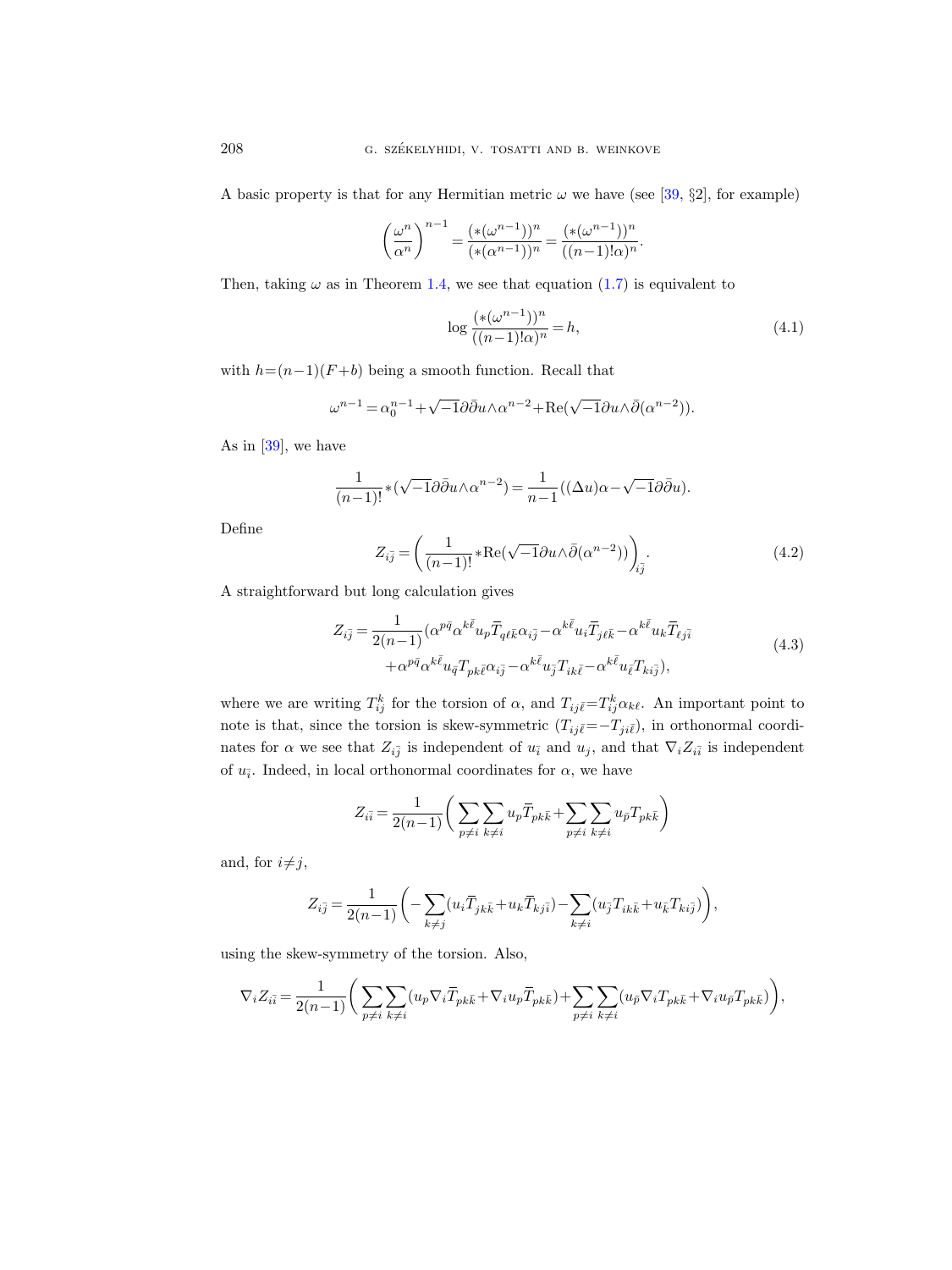A basic property is that for any Hermitian metric  $\omega$  we have (see [\[39,](#page-30-5) §2], for example)

$$
\left(\frac{\omega^n}{\alpha^n}\right)^{n-1} = \frac{(*(\omega^{n-1}))^n}{(*(\alpha^{n-1}))^n} = \frac{(*(\omega^{n-1}))^n}{((n-1)!\alpha)^n}.
$$

Then, taking  $\omega$  as in Theorem [1.4,](#page-3-0) we see that equation [\(1.7\)](#page-3-1) is equivalent to

<span id="page-27-1"></span>
$$
\log \frac{(* (\omega^{n-1}))^n}{((n-1)!\alpha)^n} = h,
$$
\n(4.1)

with  $h=(n-1)(F+b)$  being a smooth function. Recall that

$$
\omega^{n-1} = \alpha_0^{n-1} + \sqrt{-1}\partial\bar{\partial}_u \wedge \alpha^{n-2} + \text{Re}(\sqrt{-1}\partial u \wedge \bar{\partial}(\alpha^{n-2})).
$$

As in  $[39]$ , we have

$$
\frac{1}{(n-1)!} * (\sqrt{-1}\partial \bar{\partial}u \wedge \alpha^{n-2}) = \frac{1}{n-1} ((\Delta u)\alpha - \sqrt{-1}\partial \bar{\partial}u).
$$

Define

$$
Z_{i\overline{j}} = \left(\frac{1}{(n-1)!} * \text{Re}(\sqrt{-1}\partial u \wedge \overline{\partial}(\alpha^{n-2}))\right)_{i\overline{j}}.
$$
\n(4.2)

<span id="page-27-0"></span>A straightforward but long calculation gives

$$
Z_{i\bar{j}} = \frac{1}{2(n-1)} (\alpha^{p\bar{q}} \alpha^{k\bar{\ell}} u_p \overline{T}_{q\ell\bar{k}} \alpha_{i\bar{j}} - \alpha^{k\bar{\ell}} u_i \overline{T}_{j\ell\bar{k}} - \alpha^{k\bar{\ell}} u_k \overline{T}_{\ell j\bar{i}} + \alpha^{p\bar{q}} \alpha^{k\bar{\ell}} u_{\bar{q}} T_{pk\bar{\ell}} \alpha_{i\bar{j}} - \alpha^{k\bar{\ell}} u_{\bar{j}} T_{ik\bar{\ell}} - \alpha^{k\bar{\ell}} u_{\bar{\ell}} T_{ki\bar{j}}),
$$
\n(4.3)

where we are writing  $T_{ij}^k$  for the torsion of  $\alpha$ , and  $T_{ij\bar{\ell}}=T_{ij}^k\alpha_{k\ell}$ . An important point to note is that, since the torsion is skew-symmetric  $(T_{ij\bar{\ell}}=-T_{ji\bar{\ell}})$ , in orthonormal coordinates for  $\alpha$  we see that  $Z_{i\bar{j}}$  is independent of  $u_i$  and  $u_j$ , and that  $\nabla_i Z_{i\bar{i}}$  is independent of  $u_{\overline{i}}$ . Indeed, in local orthonormal coordinates for  $\alpha$ , we have

$$
Z_{i\bar{i}} = \frac{1}{2(n-1)} \bigg( \sum_{p \neq i} \sum_{k \neq i} u_p \overline{T}_{pk\bar{k}} + \sum_{p \neq i} \sum_{k \neq i} u_{\bar{p}} T_{pk\bar{k}} \bigg)
$$

and, for  $i\neq j$ ,

$$
Z_{i\bar{j}} = \frac{1}{2(n-1)} \left( -\sum_{k \neq j} (u_i \bar{T}_{jk\bar{k}} + u_k \bar{T}_{kj\bar{i}}) - \sum_{k \neq i} (u_{\bar{j}} T_{ik\bar{k}} + u_{\bar{k}} T_{ki\bar{j}}) \right),
$$

using the skew-symmetry of the torsion. Also,

$$
\nabla_i Z_{i\bar{i}} = \frac{1}{2(n-1)} \bigg( \sum_{p \neq i} \sum_{k \neq i} (u_p \nabla_i \overline{T}_{pk\bar{k}} + \nabla_i u_p \overline{T}_{pk\bar{k}}) + \sum_{p \neq i} \sum_{k \neq i} (u_{\bar{p}} \nabla_i T_{pk\bar{k}} + \nabla_i u_{\bar{p}} T_{pk\bar{k}}) \bigg),
$$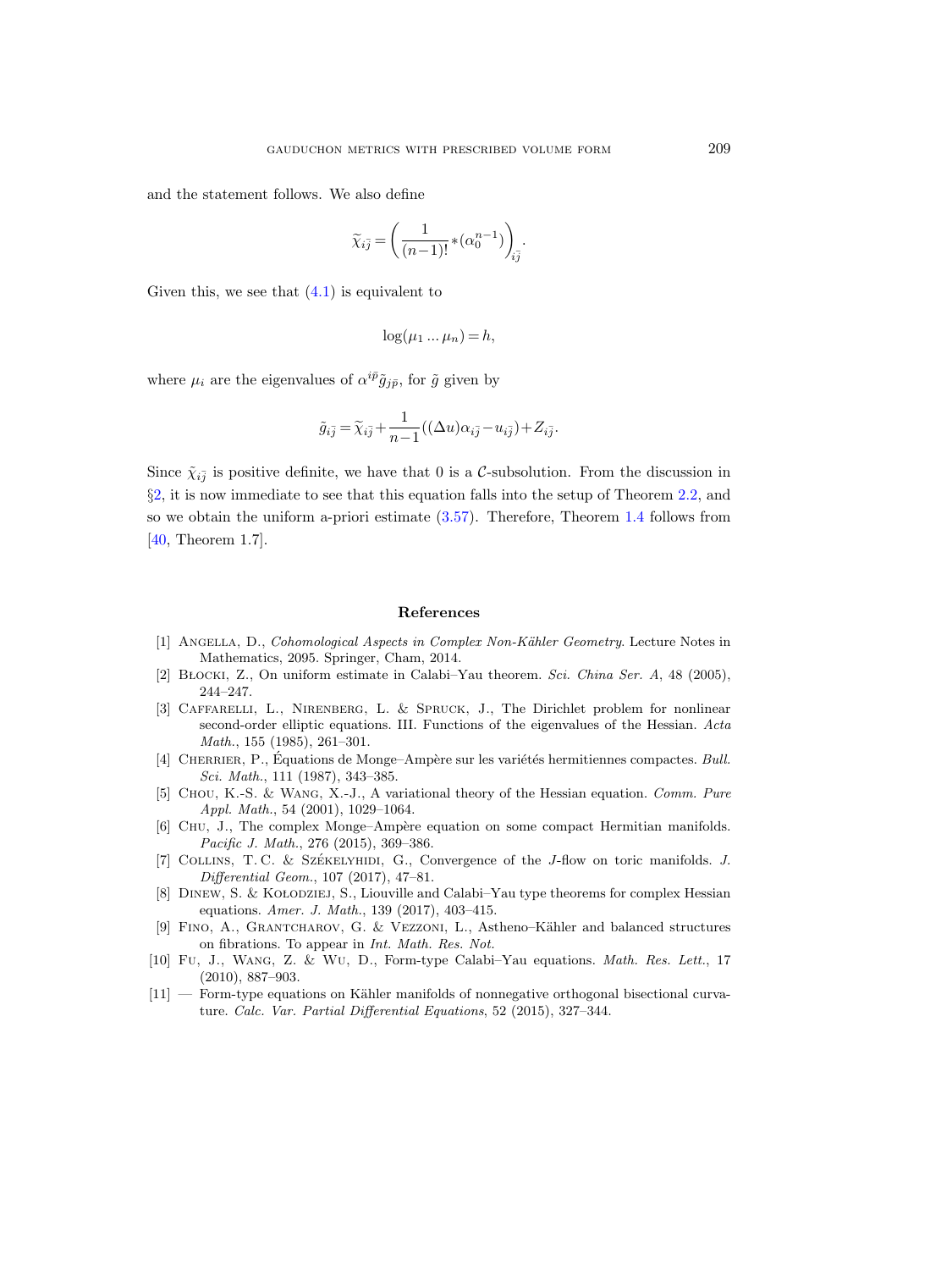and the statement follows. We also define

$$
\widetilde{\chi}_{i\overline{j}} = \left(\frac{1}{(n-1)!} * (\alpha_0^{n-1})\right)_{i\overline{j}}.
$$

Given this, we see that  $(4.1)$  is equivalent to

$$
\log(\mu_1 \dots \mu_n) = h,
$$

where  $\mu_i$  are the eigenvalues of  $\alpha^{i\bar{p}}\tilde{g}_{j\bar{p}},$  for  $\tilde{g}$  given by

$$
\tilde{g}_{i\bar{j}}=\widetilde{\chi}_{i\bar{j}}+\frac{1}{n-1}\big((\Delta u)\alpha_{i\bar{j}}-u_{i\bar{j}}\big)+Z_{i\bar{j}}.
$$

Since  $\tilde{\chi}_{i\bar{j}}$  is positive definite, we have that 0 is a C-subsolution. From the discussion in §[2,](#page-5-0) it is now immediate to see that this equation falls into the setup of Theorem [2.2,](#page-8-0) and so we obtain the uniform a-priori estimate  $(3.57)$ . Therefore, Theorem [1.4](#page-3-0) follows from [\[40,](#page-30-2) Theorem 1.7].

#### References

- <span id="page-28-1"></span>[1] ANGELLA, D., Cohomological Aspects in Complex Non-Kähler Geometry. Lecture Notes in Mathematics, 2095. Springer, Cham, 2014.
- <span id="page-28-9"></span>[2] BŁOCKI, Z., On uniform estimate in Calabi–Yau theorem. Sci. China Ser. A, 48 (2005), 244–247.
- <span id="page-28-6"></span>[3] Caffarelli, L., Nirenberg, L. & Spruck, J., The Dirichlet problem for nonlinear second-order elliptic equations. III. Functions of the eigenvalues of the Hessian. Acta Math., 155 (1985), 261–301.
- <span id="page-28-0"></span>[4] CHERRIER, P., Équations de Monge–Ampère sur les variétés hermitiennes compactes. Bull. Sci. Math., 111 (1987), 343–385.
- <span id="page-28-10"></span>[5] CHOU, K.-S. & WANG, X.-J., A variational theory of the Hessian equation. Comm. Pure Appl. Math., 54 (2001), 1029–1064.
- <span id="page-28-7"></span>[6] CHU, J., The complex Monge–Ampère equation on some compact Hermitian manifolds. Pacific J. Math., 276 (2015), 369–386.
- <span id="page-28-8"></span>[7] COLLINS, T.C. & SZÉKELYHIDI, G., Convergence of the J-flow on toric manifolds. J. Differential Geom., 107 (2017), 47–81.
- <span id="page-28-5"></span>[8] DINEW, S. & KOLODZIEJ, S., Liouville and Calabi–Yau type theorems for complex Hessian equations. Amer. J. Math., 139 (2017), 403–415.
- <span id="page-28-4"></span>[9] Fino, A., Grantcharov, G. & Vezzoni, L., Astheno–K¨ahler and balanced structures on fibrations. To appear in Int. Math. Res. Not.
- <span id="page-28-2"></span>[10] Fu, J., Wang, Z. & Wu, D., Form-type Calabi–Yau equations. Math. Res. Lett., 17 (2010), 887–903.
- <span id="page-28-3"></span> $[11]$  — Form-type equations on Kähler manifolds of nonnegative orthogonal bisectional curvature. Calc. Var. Partial Differential Equations, 52 (2015), 327–344.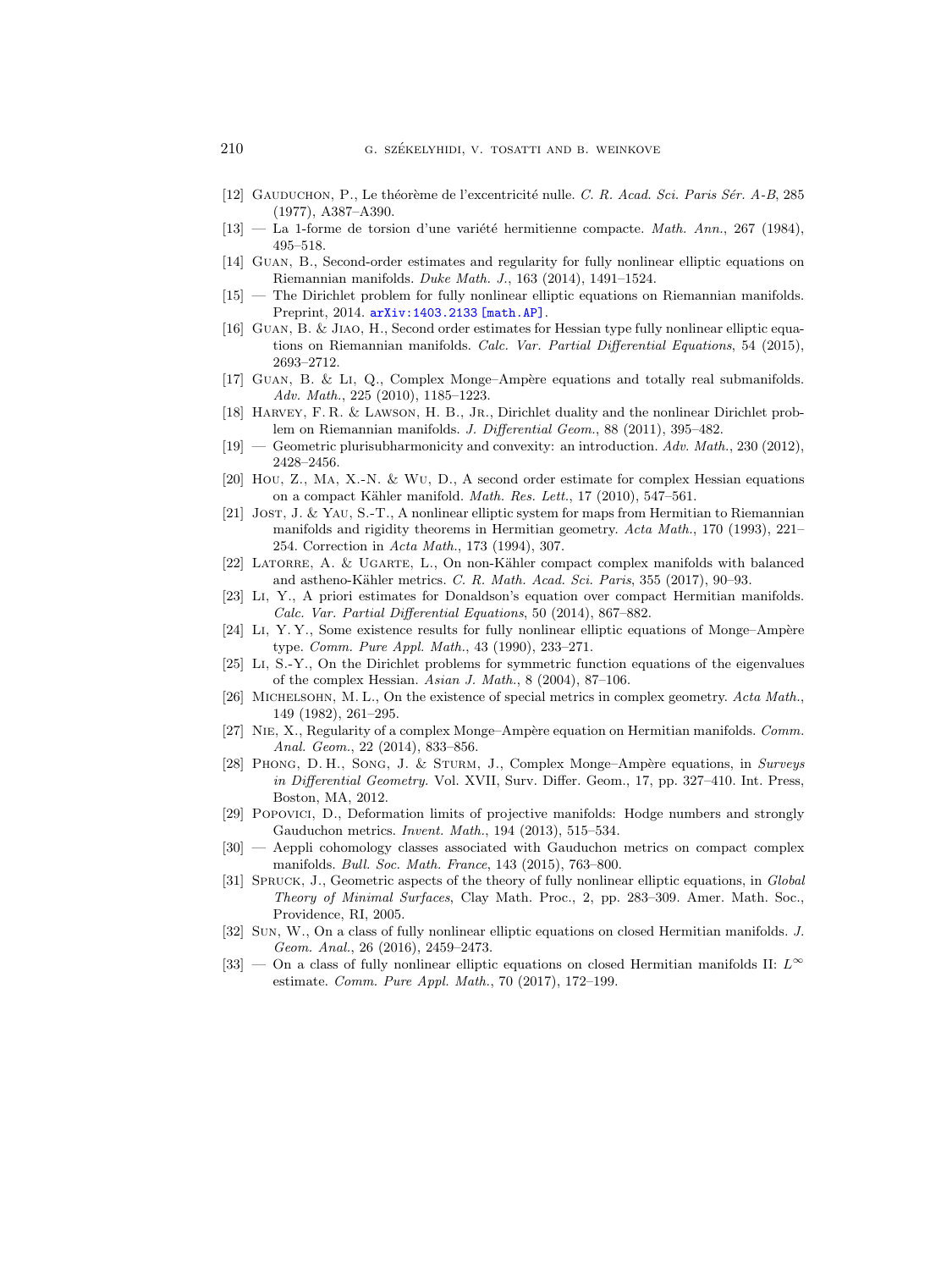- <span id="page-29-0"></span>[12] GAUDUCHON, P., Le théorème de l'excentricité nulle. C. R. Acad. Sci. Paris Sér. A-B, 285 (1977), A387–A390.
- <span id="page-29-1"></span> $[13]$  — La 1-forme de torsion d'une variété hermitienne compacte. Math. Ann., 267 (1984), 495–518.
- <span id="page-29-12"></span>[14] Guan, B., Second-order estimates and regularity for fully nonlinear elliptic equations on Riemannian manifolds. Duke Math. J., 163 (2014), 1491–1524.
- [15] The Dirichlet problem for fully nonlinear elliptic equations on Riemannian manifolds. Preprint, 2014. [arXiv:1403.2133 \[math.AP\]](http://arxiv.org/abs/1403.2133).
- <span id="page-29-11"></span>[16] Guan, B. & Jiao, H., Second order estimates for Hessian type fully nonlinear elliptic equations on Riemannian manifolds. Calc. Var. Partial Differential Equations, 54 (2015), 2693–2712.
- <span id="page-29-2"></span>[17] GUAN, B. & LI, Q., Complex Monge–Ampère equations and totally real submanifolds. Adv. Math., 225 (2010), 1185–1223.
- <span id="page-29-5"></span>[18] HARVEY, F. R. & LAWSON, H. B., JR., Dirichlet duality and the nonlinear Dirichlet problem on Riemannian manifolds. J. Differential Geom., 88 (2011), 395–482.
- <span id="page-29-6"></span>[19] — Geometric plurisubharmonicity and convexity: an introduction. Adv. Math., 230 (2012), 2428–2456.
- <span id="page-29-7"></span>[20] Hou, Z., Ma, X.-N. & Wu, D., A second order estimate for complex Hessian equations on a compact Kähler manifold. Math. Res. Lett., 17 (2010), 547-561.
- <span id="page-29-3"></span>[21] Jost, J. & Yau, S.-T., A nonlinear elliptic system for maps from Hermitian to Riemannian manifolds and rigidity theorems in Hermitian geometry. Acta Math., 170 (1993), 221– 254. Correction in Acta Math., 173 (1994), 307.
- <span id="page-29-10"></span>[22] LATORRE, A. & UGARTE, L., On non-Kähler compact complex manifolds with balanced and astheno-Kähler metrics. C. R. Math. Acad. Sci. Paris, 355 (2017), 90–93.
- <span id="page-29-13"></span>[23] Li, Y., A priori estimates for Donaldson's equation over compact Hermitian manifolds. Calc. Var. Partial Differential Equations, 50 (2014), 867–882.
- $[24]$  LI, Y. Y., Some existence results for fully nonlinear elliptic equations of Monge–Ampère type. Comm. Pure Appl. Math., 43 (1990), 233–271.
- <span id="page-29-14"></span>[25] Li, S.-Y., On the Dirichlet problems for symmetric function equations of the eigenvalues of the complex Hessian. Asian J. Math., 8 (2004), 87–106.
- <span id="page-29-9"></span>[26] MICHELSOHN, M. L., On the existence of special metrics in complex geometry. Acta Math., 149 (1982), 261–295.
- <span id="page-29-15"></span>[27] NIE, X., Regularity of a complex Monge–Ampère equation on Hermitian manifolds. Comm. Anal. Geom., 22 (2014), 833–856.
- <span id="page-29-16"></span>[28] PHONG, D. H., SONG, J. & STURM, J., Complex Monge–Ampère equations, in Surveys in Differential Geometry. Vol. XVII, Surv. Differ. Geom., 17, pp. 327–410. Int. Press, Boston, MA, 2012.
- <span id="page-29-8"></span>[29] Popovici, D., Deformation limits of projective manifolds: Hodge numbers and strongly Gauduchon metrics. Invent. Math., 194 (2013), 515–534.
- <span id="page-29-4"></span>[30] — Aeppli cohomology classes associated with Gauduchon metrics on compact complex manifolds. Bull. Soc. Math. France, 143 (2015), 763–800.
- <span id="page-29-19"></span>[31] SPRUCK, J., Geometric aspects of the theory of fully nonlinear elliptic equations, in Global Theory of Minimal Surfaces, Clay Math. Proc., 2, pp. 283–309. Amer. Math. Soc., Providence, RI, 2005.
- <span id="page-29-17"></span>[32] Sun, W., On a class of fully nonlinear elliptic equations on closed Hermitian manifolds. J. Geom. Anal., 26 (2016), 2459–2473.
- <span id="page-29-18"></span>[33] — On a class of fully nonlinear elliptic equations on closed Hermitian manifolds II:  $L^{\infty}$ estimate. Comm. Pure Appl. Math., 70 (2017), 172–199.